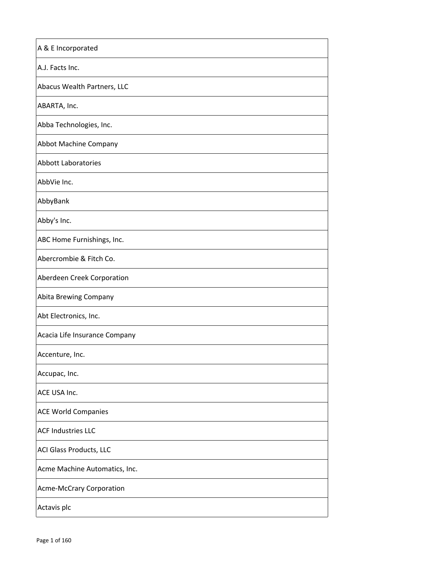| A & E Incorporated              |
|---------------------------------|
| A.J. Facts Inc.                 |
| Abacus Wealth Partners, LLC     |
| ABARTA, Inc.                    |
| Abba Technologies, Inc.         |
| Abbot Machine Company           |
| <b>Abbott Laboratories</b>      |
| AbbVie Inc.                     |
| AbbyBank                        |
| Abby's Inc.                     |
| ABC Home Furnishings, Inc.      |
| Abercrombie & Fitch Co.         |
| Aberdeen Creek Corporation      |
| Abita Brewing Company           |
| Abt Electronics, Inc.           |
| Acacia Life Insurance Company   |
| Accenture, Inc.                 |
| Accupac, Inc.                   |
| ACE USA Inc.                    |
| <b>ACE World Companies</b>      |
| <b>ACF Industries LLC</b>       |
| ACI Glass Products, LLC         |
| Acme Machine Automatics, Inc.   |
| <b>Acme-McCrary Corporation</b> |
| Actavis plc                     |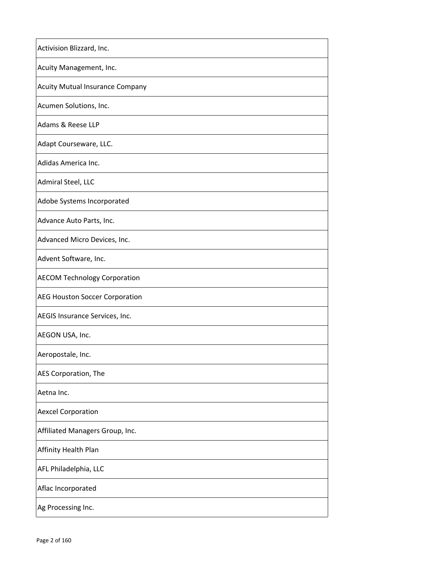| Activision Blizzard, Inc.              |
|----------------------------------------|
| Acuity Management, Inc.                |
| <b>Acuity Mutual Insurance Company</b> |
| Acumen Solutions, Inc.                 |
| Adams & Reese LLP                      |
| Adapt Courseware, LLC.                 |
| Adidas America Inc.                    |
| Admiral Steel, LLC                     |
| Adobe Systems Incorporated             |
| Advance Auto Parts, Inc.               |
| Advanced Micro Devices, Inc.           |
| Advent Software, Inc.                  |
| <b>AECOM Technology Corporation</b>    |
| <b>AEG Houston Soccer Corporation</b>  |
| AEGIS Insurance Services, Inc.         |
| AEGON USA, Inc.                        |
| Aeropostale, Inc.                      |
| AES Corporation, The                   |
| Aetna Inc.                             |
| <b>Aexcel Corporation</b>              |
| Affiliated Managers Group, Inc.        |
| Affinity Health Plan                   |
| AFL Philadelphia, LLC                  |
| Aflac Incorporated                     |
| Ag Processing Inc.                     |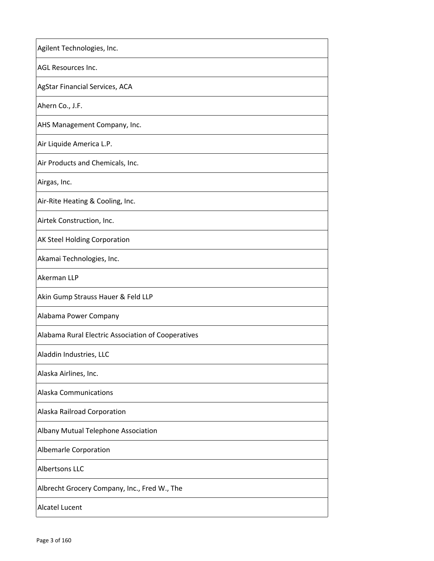| Agilent Technologies, Inc.                         |
|----------------------------------------------------|
| <b>AGL Resources Inc.</b>                          |
| AgStar Financial Services, ACA                     |
| Ahern Co., J.F.                                    |
| AHS Management Company, Inc.                       |
| Air Liquide America L.P.                           |
| Air Products and Chemicals, Inc.                   |
| Airgas, Inc.                                       |
| Air-Rite Heating & Cooling, Inc.                   |
| Airtek Construction, Inc.                          |
| AK Steel Holding Corporation                       |
| Akamai Technologies, Inc.                          |
| Akerman LLP                                        |
| Akin Gump Strauss Hauer & Feld LLP                 |
| Alabama Power Company                              |
| Alabama Rural Electric Association of Cooperatives |
| Aladdin Industries, LLC                            |
| Alaska Airlines, Inc.                              |
| <b>Alaska Communications</b>                       |
| Alaska Railroad Corporation                        |
| Albany Mutual Telephone Association                |
| Albemarle Corporation                              |
| <b>Albertsons LLC</b>                              |
| Albrecht Grocery Company, Inc., Fred W., The       |
| <b>Alcatel Lucent</b>                              |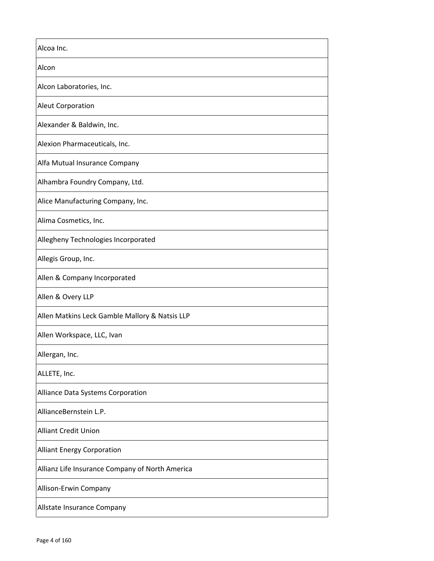| Alcoa Inc.                                      |
|-------------------------------------------------|
| Alcon                                           |
| Alcon Laboratories, Inc.                        |
| <b>Aleut Corporation</b>                        |
| Alexander & Baldwin, Inc.                       |
| Alexion Pharmaceuticals, Inc.                   |
| Alfa Mutual Insurance Company                   |
| Alhambra Foundry Company, Ltd.                  |
| Alice Manufacturing Company, Inc.               |
| Alima Cosmetics, Inc.                           |
| Allegheny Technologies Incorporated             |
| Allegis Group, Inc.                             |
| Allen & Company Incorporated                    |
| Allen & Overy LLP                               |
| Allen Matkins Leck Gamble Mallory & Natsis LLP  |
| Allen Workspace, LLC, Ivan                      |
| Allergan, Inc.                                  |
| ALLETE, Inc.                                    |
| Alliance Data Systems Corporation               |
| AllianceBernstein L.P.                          |
| <b>Alliant Credit Union</b>                     |
| <b>Alliant Energy Corporation</b>               |
| Allianz Life Insurance Company of North America |
| Allison-Erwin Company                           |
| Allstate Insurance Company                      |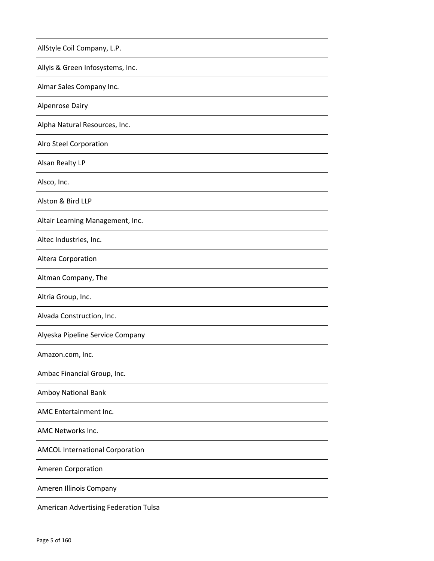| AllStyle Coil Company, L.P.            |
|----------------------------------------|
| Allyis & Green Infosystems, Inc.       |
| Almar Sales Company Inc.               |
| <b>Alpenrose Dairy</b>                 |
| Alpha Natural Resources, Inc.          |
| <b>Alro Steel Corporation</b>          |
| <b>Alsan Realty LP</b>                 |
| Alsco, Inc.                            |
| Alston & Bird LLP                      |
| Altair Learning Management, Inc.       |
| Altec Industries, Inc.                 |
| Altera Corporation                     |
| Altman Company, The                    |
| Altria Group, Inc.                     |
| Alvada Construction, Inc.              |
| Alyeska Pipeline Service Company       |
| Amazon.com, Inc.                       |
| Ambac Financial Group, Inc.            |
| Amboy National Bank                    |
| AMC Entertainment Inc.                 |
| <b>AMC Networks Inc.</b>               |
| <b>AMCOL International Corporation</b> |
| <b>Ameren Corporation</b>              |
| Ameren Illinois Company                |
| American Advertising Federation Tulsa  |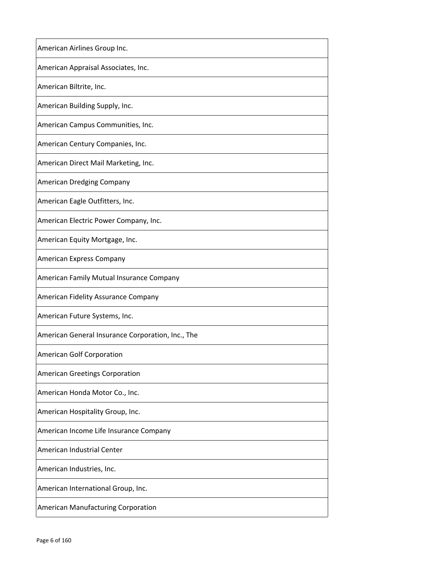| American Airlines Group Inc.                      |
|---------------------------------------------------|
| American Appraisal Associates, Inc.               |
| American Biltrite, Inc.                           |
| American Building Supply, Inc.                    |
| American Campus Communities, Inc.                 |
| American Century Companies, Inc.                  |
| American Direct Mail Marketing, Inc.              |
| American Dredging Company                         |
| American Eagle Outfitters, Inc.                   |
| American Electric Power Company, Inc.             |
| American Equity Mortgage, Inc.                    |
| American Express Company                          |
| American Family Mutual Insurance Company          |
| American Fidelity Assurance Company               |
| American Future Systems, Inc.                     |
| American General Insurance Corporation, Inc., The |
| American Golf Corporation                         |
| <b>American Greetings Corporation</b>             |
| American Honda Motor Co., Inc.                    |
| American Hospitality Group, Inc.                  |
| American Income Life Insurance Company            |
| American Industrial Center                        |
| American Industries, Inc.                         |
| American International Group, Inc.                |
| American Manufacturing Corporation                |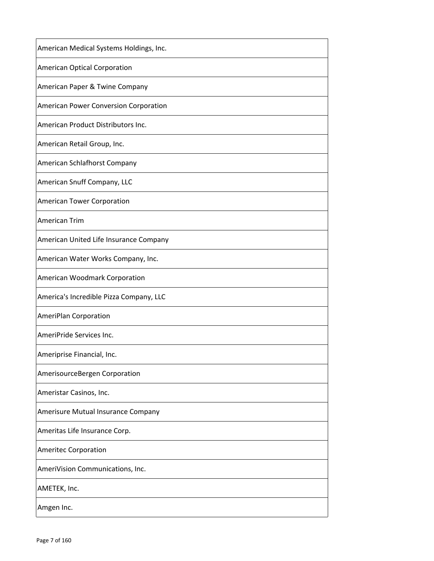| American Medical Systems Holdings, Inc.      |
|----------------------------------------------|
| American Optical Corporation                 |
| American Paper & Twine Company               |
| <b>American Power Conversion Corporation</b> |
| American Product Distributors Inc.           |
| American Retail Group, Inc.                  |
| American Schlafhorst Company                 |
| American Snuff Company, LLC                  |
| American Tower Corporation                   |
| American Trim                                |
| American United Life Insurance Company       |
| American Water Works Company, Inc.           |
| American Woodmark Corporation                |
| America's Incredible Pizza Company, LLC      |
| AmeriPlan Corporation                        |
| AmeriPride Services Inc.                     |
| Ameriprise Financial, Inc.                   |
| AmerisourceBergen Corporation                |
| Ameristar Casinos, Inc.                      |
| Amerisure Mutual Insurance Company           |
| Ameritas Life Insurance Corp.                |
| <b>Ameritec Corporation</b>                  |
| AmeriVision Communications, Inc.             |
| AMETEK, Inc.                                 |
| Amgen Inc.                                   |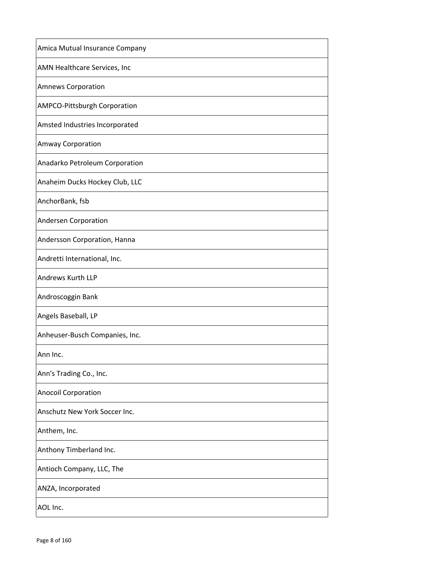| Amica Mutual Insurance Company      |
|-------------------------------------|
| <b>AMN Healthcare Services, Inc</b> |
| <b>Amnews Corporation</b>           |
| AMPCO-Pittsburgh Corporation        |
| Amsted Industries Incorporated      |
| <b>Amway Corporation</b>            |
| Anadarko Petroleum Corporation      |
| Anaheim Ducks Hockey Club, LLC      |
| AnchorBank, fsb                     |
| Andersen Corporation                |
| Andersson Corporation, Hanna        |
| Andretti International, Inc.        |
| Andrews Kurth LLP                   |
| Androscoggin Bank                   |
| Angels Baseball, LP                 |
| Anheuser-Busch Companies, Inc.      |
| Ann Inc.                            |
| Ann's Trading Co., Inc.             |
| <b>Anocoil Corporation</b>          |
| Anschutz New York Soccer Inc.       |
| Anthem, Inc.                        |
| Anthony Timberland Inc.             |
| Antioch Company, LLC, The           |
| ANZA, Incorporated                  |
| AOL Inc.                            |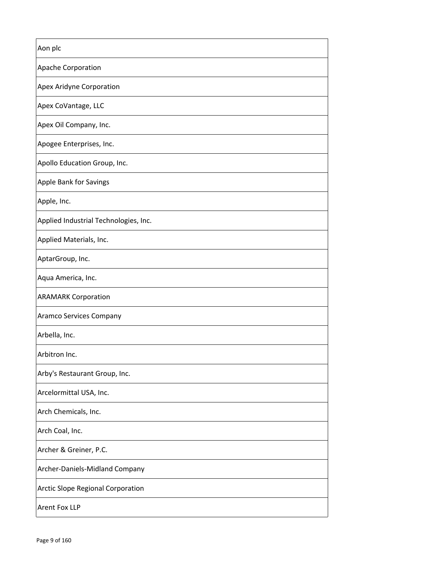| Aon plc                               |
|---------------------------------------|
| Apache Corporation                    |
| Apex Aridyne Corporation              |
| Apex CoVantage, LLC                   |
| Apex Oil Company, Inc.                |
| Apogee Enterprises, Inc.              |
| Apollo Education Group, Inc.          |
| Apple Bank for Savings                |
| Apple, Inc.                           |
| Applied Industrial Technologies, Inc. |
| Applied Materials, Inc.               |
| AptarGroup, Inc.                      |
| Aqua America, Inc.                    |
| <b>ARAMARK Corporation</b>            |
| Aramco Services Company               |
| Arbella, Inc.                         |
| Arbitron Inc.                         |
| Arby's Restaurant Group, Inc.         |
| Arcelormittal USA, Inc.               |
| Arch Chemicals, Inc.                  |
| Arch Coal, Inc.                       |
| Archer & Greiner, P.C.                |
| Archer-Daniels-Midland Company        |
| Arctic Slope Regional Corporation     |
| <b>Arent Fox LLP</b>                  |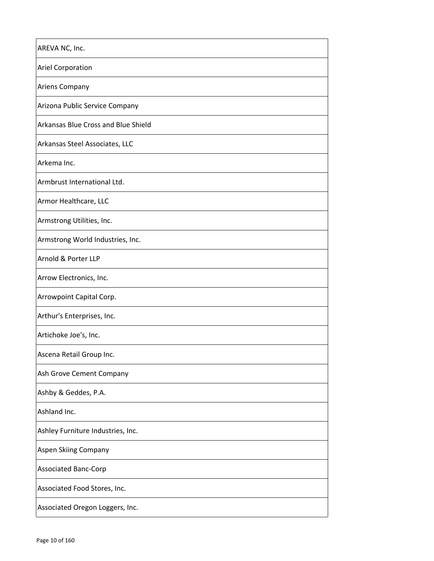| AREVA NC, Inc.                      |
|-------------------------------------|
| <b>Ariel Corporation</b>            |
| <b>Ariens Company</b>               |
| Arizona Public Service Company      |
| Arkansas Blue Cross and Blue Shield |
| Arkansas Steel Associates, LLC      |
| Arkema Inc.                         |
| Armbrust International Ltd.         |
| Armor Healthcare, LLC               |
| Armstrong Utilities, Inc.           |
| Armstrong World Industries, Inc.    |
| Arnold & Porter LLP                 |
| Arrow Electronics, Inc.             |
| Arrowpoint Capital Corp.            |
| Arthur's Enterprises, Inc.          |
| Artichoke Joe's, Inc.               |
| Ascena Retail Group Inc.            |
| Ash Grove Cement Company            |
| Ashby & Geddes, P.A.                |
| Ashland Inc.                        |
| Ashley Furniture Industries, Inc.   |
| Aspen Skiing Company                |
| <b>Associated Banc-Corp</b>         |
| Associated Food Stores, Inc.        |
| Associated Oregon Loggers, Inc.     |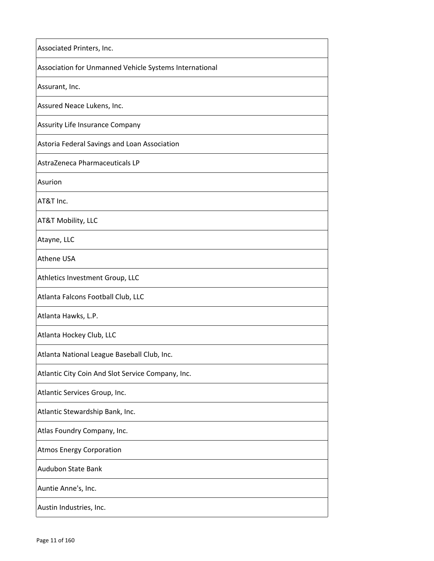| Associated Printers, Inc.                              |
|--------------------------------------------------------|
| Association for Unmanned Vehicle Systems International |
| Assurant, Inc.                                         |
| Assured Neace Lukens, Inc.                             |
| Assurity Life Insurance Company                        |
| Astoria Federal Savings and Loan Association           |
| AstraZeneca Pharmaceuticals LP                         |
| Asurion                                                |
| AT&T Inc.                                              |
| <b>AT&amp;T Mobility, LLC</b>                          |
| Atayne, LLC                                            |
| <b>Athene USA</b>                                      |
| Athletics Investment Group, LLC                        |
| Atlanta Falcons Football Club, LLC                     |
| Atlanta Hawks, L.P.                                    |
| Atlanta Hockey Club, LLC                               |
| Atlanta National League Baseball Club, Inc.            |
| Atlantic City Coin And Slot Service Company, Inc.      |
| Atlantic Services Group, Inc.                          |
| Atlantic Stewardship Bank, Inc.                        |
| Atlas Foundry Company, Inc.                            |
| <b>Atmos Energy Corporation</b>                        |
| <b>Audubon State Bank</b>                              |
| Auntie Anne's, Inc.                                    |
| Austin Industries, Inc.                                |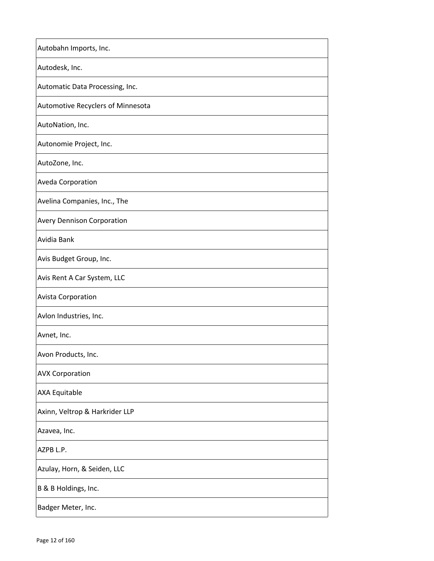| Autobahn Imports, Inc.            |
|-----------------------------------|
| Autodesk, Inc.                    |
| Automatic Data Processing, Inc.   |
| Automotive Recyclers of Minnesota |
| AutoNation, Inc.                  |
| Autonomie Project, Inc.           |
| AutoZone, Inc.                    |
| Aveda Corporation                 |
| Avelina Companies, Inc., The      |
| <b>Avery Dennison Corporation</b> |
| Avidia Bank                       |
| Avis Budget Group, Inc.           |
| Avis Rent A Car System, LLC       |
| <b>Avista Corporation</b>         |
| Avlon Industries, Inc.            |
| Avnet, Inc.                       |
| Avon Products, Inc.               |
| <b>AVX Corporation</b>            |
| <b>AXA Equitable</b>              |
| Axinn, Veltrop & Harkrider LLP    |
| Azavea, Inc.                      |
| AZPB L.P.                         |
| Azulay, Horn, & Seiden, LLC       |
| B & B Holdings, Inc.              |
| Badger Meter, Inc.                |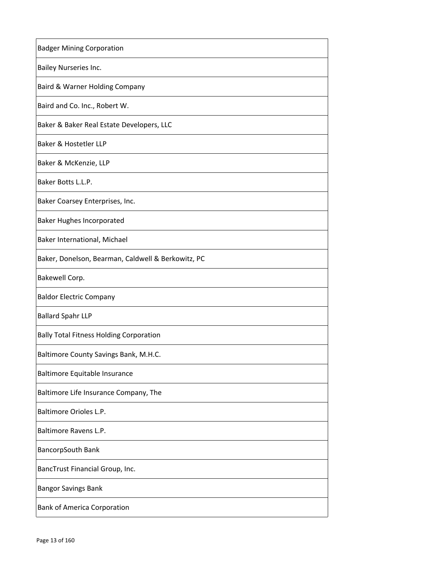| <b>Badger Mining Corporation</b>                   |
|----------------------------------------------------|
| <b>Bailey Nurseries Inc.</b>                       |
| Baird & Warner Holding Company                     |
| Baird and Co. Inc., Robert W.                      |
| Baker & Baker Real Estate Developers, LLC          |
| Baker & Hostetler LLP                              |
| Baker & McKenzie, LLP                              |
| Baker Botts L.L.P.                                 |
| Baker Coarsey Enterprises, Inc.                    |
| <b>Baker Hughes Incorporated</b>                   |
| Baker International, Michael                       |
| Baker, Donelson, Bearman, Caldwell & Berkowitz, PC |
| Bakewell Corp.                                     |
| <b>Baldor Electric Company</b>                     |
| <b>Ballard Spahr LLP</b>                           |
| <b>Bally Total Fitness Holding Corporation</b>     |
| Baltimore County Savings Bank, M.H.C.              |
| Baltimore Equitable Insurance                      |
| Baltimore Life Insurance Company, The              |
| Baltimore Orioles L.P.                             |
| Baltimore Ravens L.P.                              |
| <b>BancorpSouth Bank</b>                           |
| BancTrust Financial Group, Inc.                    |
| <b>Bangor Savings Bank</b>                         |
| <b>Bank of America Corporation</b>                 |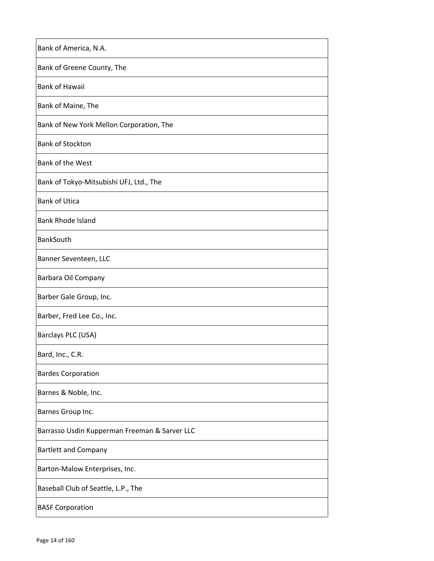| Bank of Maine, The<br>Bank of New York Mellon Corporation, The<br>Bank of the West<br>Bank of Tokyo-Mitsubishi UFJ, Ltd., The<br><b>Bank of Utica</b><br><b>Bank Rhode Island</b><br>BankSouth<br>Banner Seventeen, LLC<br>Barber, Fred Lee Co., Inc.<br><b>Bardes Corporation</b><br>Barnes & Noble, Inc.<br>Barnes Group Inc.<br>Barrasso Usdin Kupperman Freeman & Sarver LLC<br><b>Bartlett and Company</b><br>Barton-Malow Enterprises, Inc.<br>Baseball Club of Seattle, L.P., The<br><b>BASF Corporation</b> | Bank of America, N.A.      |
|---------------------------------------------------------------------------------------------------------------------------------------------------------------------------------------------------------------------------------------------------------------------------------------------------------------------------------------------------------------------------------------------------------------------------------------------------------------------------------------------------------------------|----------------------------|
|                                                                                                                                                                                                                                                                                                                                                                                                                                                                                                                     | Bank of Greene County, The |
|                                                                                                                                                                                                                                                                                                                                                                                                                                                                                                                     | <b>Bank of Hawaii</b>      |
|                                                                                                                                                                                                                                                                                                                                                                                                                                                                                                                     |                            |
|                                                                                                                                                                                                                                                                                                                                                                                                                                                                                                                     |                            |
|                                                                                                                                                                                                                                                                                                                                                                                                                                                                                                                     | <b>Bank of Stockton</b>    |
|                                                                                                                                                                                                                                                                                                                                                                                                                                                                                                                     |                            |
|                                                                                                                                                                                                                                                                                                                                                                                                                                                                                                                     |                            |
|                                                                                                                                                                                                                                                                                                                                                                                                                                                                                                                     |                            |
|                                                                                                                                                                                                                                                                                                                                                                                                                                                                                                                     |                            |
|                                                                                                                                                                                                                                                                                                                                                                                                                                                                                                                     |                            |
|                                                                                                                                                                                                                                                                                                                                                                                                                                                                                                                     |                            |
|                                                                                                                                                                                                                                                                                                                                                                                                                                                                                                                     | Barbara Oil Company        |
|                                                                                                                                                                                                                                                                                                                                                                                                                                                                                                                     | Barber Gale Group, Inc.    |
|                                                                                                                                                                                                                                                                                                                                                                                                                                                                                                                     |                            |
|                                                                                                                                                                                                                                                                                                                                                                                                                                                                                                                     | Barclays PLC (USA)         |
|                                                                                                                                                                                                                                                                                                                                                                                                                                                                                                                     | Bard, Inc., C.R.           |
|                                                                                                                                                                                                                                                                                                                                                                                                                                                                                                                     |                            |
|                                                                                                                                                                                                                                                                                                                                                                                                                                                                                                                     |                            |
|                                                                                                                                                                                                                                                                                                                                                                                                                                                                                                                     |                            |
|                                                                                                                                                                                                                                                                                                                                                                                                                                                                                                                     |                            |
|                                                                                                                                                                                                                                                                                                                                                                                                                                                                                                                     |                            |
|                                                                                                                                                                                                                                                                                                                                                                                                                                                                                                                     |                            |
|                                                                                                                                                                                                                                                                                                                                                                                                                                                                                                                     |                            |
|                                                                                                                                                                                                                                                                                                                                                                                                                                                                                                                     |                            |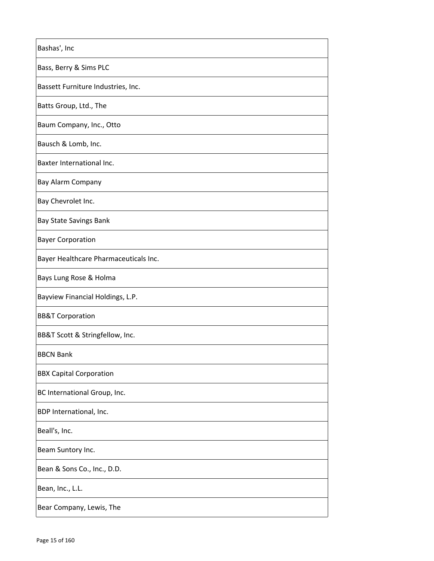| Bashas', Inc                          |
|---------------------------------------|
| Bass, Berry & Sims PLC                |
| Bassett Furniture Industries, Inc.    |
| Batts Group, Ltd., The                |
| Baum Company, Inc., Otto              |
| Bausch & Lomb, Inc.                   |
| Baxter International Inc.             |
| <b>Bay Alarm Company</b>              |
| Bay Chevrolet Inc.                    |
| <b>Bay State Savings Bank</b>         |
| <b>Bayer Corporation</b>              |
| Bayer Healthcare Pharmaceuticals Inc. |
| Bays Lung Rose & Holma                |
| Bayview Financial Holdings, L.P.      |
| <b>BB&amp;T Corporation</b>           |
| BB&T Scott & Stringfellow, Inc.       |
| <b>BBCN Bank</b>                      |
| <b>BBX Capital Corporation</b>        |
| BC International Group, Inc.          |
| BDP International, Inc.               |
| Beall's, Inc.                         |
| Beam Suntory Inc.                     |
| Bean & Sons Co., Inc., D.D.           |
| Bean, Inc., L.L.                      |
| Bear Company, Lewis, The              |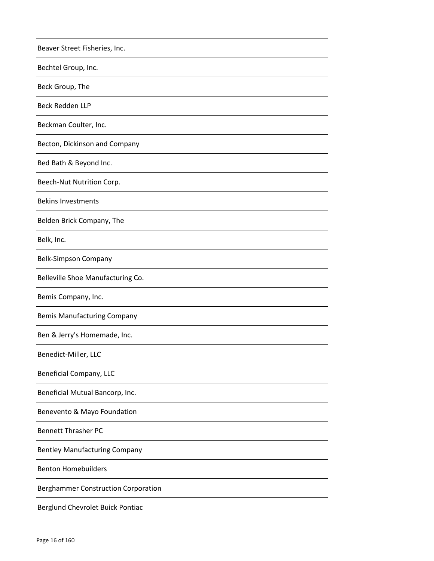| Beaver Street Fisheries, Inc.              |
|--------------------------------------------|
| Bechtel Group, Inc.                        |
| Beck Group, The                            |
| Beck Redden LLP                            |
| Beckman Coulter, Inc.                      |
| Becton, Dickinson and Company              |
| Bed Bath & Beyond Inc.                     |
| Beech-Nut Nutrition Corp.                  |
| <b>Bekins Investments</b>                  |
| Belden Brick Company, The                  |
| Belk, Inc.                                 |
| <b>Belk-Simpson Company</b>                |
| Belleville Shoe Manufacturing Co.          |
| Bemis Company, Inc.                        |
| <b>Bemis Manufacturing Company</b>         |
| Ben & Jerry's Homemade, Inc.               |
| Benedict-Miller, LLC                       |
| <b>Beneficial Company, LLC</b>             |
| Beneficial Mutual Bancorp, Inc.            |
| Benevento & Mayo Foundation                |
| <b>Bennett Thrasher PC</b>                 |
| <b>Bentley Manufacturing Company</b>       |
| <b>Benton Homebuilders</b>                 |
| <b>Berghammer Construction Corporation</b> |
| Berglund Chevrolet Buick Pontiac           |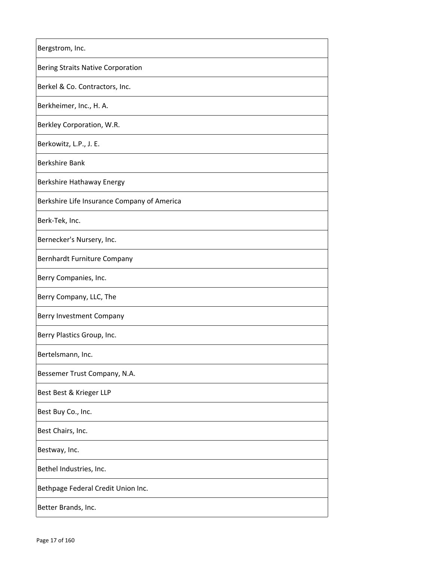| Bergstrom, Inc.                             |
|---------------------------------------------|
| <b>Bering Straits Native Corporation</b>    |
| Berkel & Co. Contractors, Inc.              |
| Berkheimer, Inc., H. A.                     |
| Berkley Corporation, W.R.                   |
| Berkowitz, L.P., J. E.                      |
| <b>Berkshire Bank</b>                       |
| Berkshire Hathaway Energy                   |
| Berkshire Life Insurance Company of America |
| Berk-Tek, Inc.                              |
| Bernecker's Nursery, Inc.                   |
| Bernhardt Furniture Company                 |
| Berry Companies, Inc.                       |
| Berry Company, LLC, The                     |
| Berry Investment Company                    |
| Berry Plastics Group, Inc.                  |
| Bertelsmann, Inc.                           |
| Bessemer Trust Company, N.A.                |
| Best Best & Krieger LLP                     |
| Best Buy Co., Inc.                          |
| Best Chairs, Inc.                           |
| Bestway, Inc.                               |
| Bethel Industries, Inc.                     |
| Bethpage Federal Credit Union Inc.          |
| Better Brands, Inc.                         |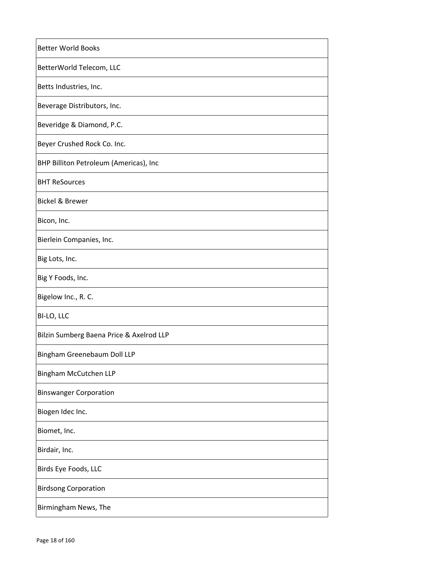| <b>Better World Books</b>                |
|------------------------------------------|
| BetterWorld Telecom, LLC                 |
| Betts Industries, Inc.                   |
| Beverage Distributors, Inc.              |
| Beveridge & Diamond, P.C.                |
| Beyer Crushed Rock Co. Inc.              |
| BHP Billiton Petroleum (Americas), Inc   |
| <b>BHT ReSources</b>                     |
| <b>Bickel &amp; Brewer</b>               |
| Bicon, Inc.                              |
| Bierlein Companies, Inc.                 |
| Big Lots, Inc.                           |
| Big Y Foods, Inc.                        |
| Bigelow Inc., R. C.                      |
| BI-LO, LLC                               |
| Bilzin Sumberg Baena Price & Axelrod LLP |
| Bingham Greenebaum Doll LLP              |
| <b>Bingham McCutchen LLP</b>             |
| <b>Binswanger Corporation</b>            |
| Biogen Idec Inc.                         |
| Biomet, Inc.                             |
| Birdair, Inc.                            |
| Birds Eye Foods, LLC                     |
| <b>Birdsong Corporation</b>              |
| Birmingham News, The                     |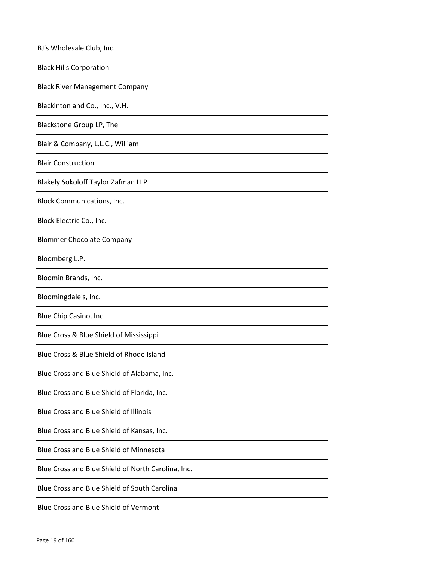| BJ's Wholesale Club, Inc.                          |
|----------------------------------------------------|
| <b>Black Hills Corporation</b>                     |
| <b>Black River Management Company</b>              |
| Blackinton and Co., Inc., V.H.                     |
| Blackstone Group LP, The                           |
| Blair & Company, L.L.C., William                   |
| <b>Blair Construction</b>                          |
| <b>Blakely Sokoloff Taylor Zafman LLP</b>          |
| Block Communications, Inc.                         |
| Block Electric Co., Inc.                           |
| <b>Blommer Chocolate Company</b>                   |
| Bloomberg L.P.                                     |
| Bloomin Brands, Inc.                               |
| Bloomingdale's, Inc.                               |
| Blue Chip Casino, Inc.                             |
| Blue Cross & Blue Shield of Mississippi            |
| Blue Cross & Blue Shield of Rhode Island           |
| Blue Cross and Blue Shield of Alabama, Inc.        |
| Blue Cross and Blue Shield of Florida, Inc.        |
| Blue Cross and Blue Shield of Illinois             |
| Blue Cross and Blue Shield of Kansas, Inc.         |
| Blue Cross and Blue Shield of Minnesota            |
| Blue Cross and Blue Shield of North Carolina, Inc. |
| Blue Cross and Blue Shield of South Carolina       |
| Blue Cross and Blue Shield of Vermont              |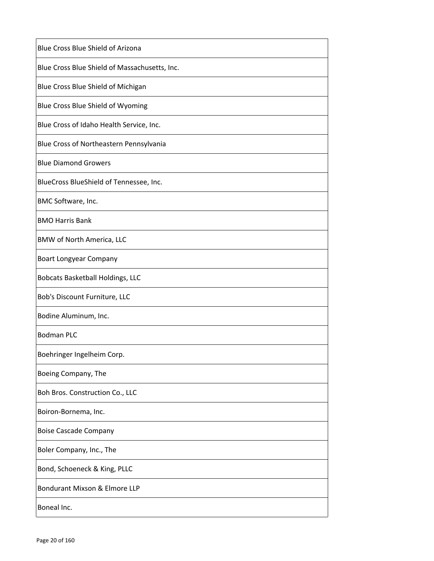| Blue Cross Blue Shield of Arizona             |
|-----------------------------------------------|
| Blue Cross Blue Shield of Massachusetts, Inc. |
| Blue Cross Blue Shield of Michigan            |
| Blue Cross Blue Shield of Wyoming             |
| Blue Cross of Idaho Health Service, Inc.      |
| Blue Cross of Northeastern Pennsylvania       |
| <b>Blue Diamond Growers</b>                   |
| BlueCross BlueShield of Tennessee, Inc.       |
| BMC Software, Inc.                            |
| <b>BMO Harris Bank</b>                        |
| BMW of North America, LLC                     |
| <b>Boart Longyear Company</b>                 |
| <b>Bobcats Basketball Holdings, LLC</b>       |
| Bob's Discount Furniture, LLC                 |
| Bodine Aluminum, Inc.                         |
| <b>Bodman PLC</b>                             |
| Boehringer Ingelheim Corp.                    |
| Boeing Company, The                           |
| Boh Bros. Construction Co., LLC               |
| Boiron-Bornema, Inc.                          |
| <b>Boise Cascade Company</b>                  |
| Boler Company, Inc., The                      |
| Bond, Schoeneck & King, PLLC                  |
| Bondurant Mixson & Elmore LLP                 |
| Boneal Inc.                                   |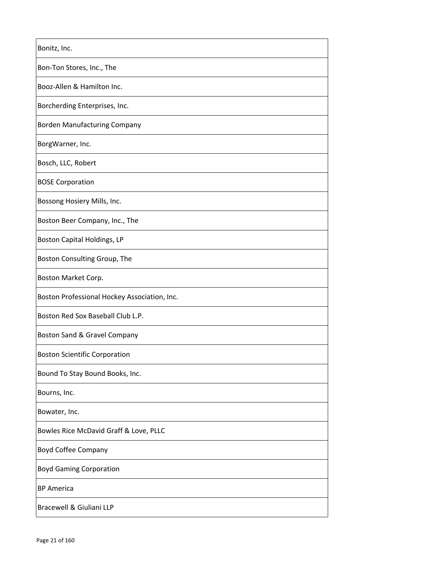| Bonitz, Inc.                                 |
|----------------------------------------------|
| Bon-Ton Stores, Inc., The                    |
| Booz-Allen & Hamilton Inc.                   |
| Borcherding Enterprises, Inc.                |
| <b>Borden Manufacturing Company</b>          |
| BorgWarner, Inc.                             |
| Bosch, LLC, Robert                           |
| <b>BOSE Corporation</b>                      |
| Bossong Hosiery Mills, Inc.                  |
| Boston Beer Company, Inc., The               |
| Boston Capital Holdings, LP                  |
| Boston Consulting Group, The                 |
| Boston Market Corp.                          |
| Boston Professional Hockey Association, Inc. |
| Boston Red Sox Baseball Club L.P.            |
| Boston Sand & Gravel Company                 |
| <b>Boston Scientific Corporation</b>         |
| Bound To Stay Bound Books, Inc.              |
| Bourns, Inc.                                 |
| Bowater, Inc.                                |
| Bowles Rice McDavid Graff & Love, PLLC       |
| <b>Boyd Coffee Company</b>                   |
| <b>Boyd Gaming Corporation</b>               |
| <b>BP</b> America                            |
| Bracewell & Giuliani LLP                     |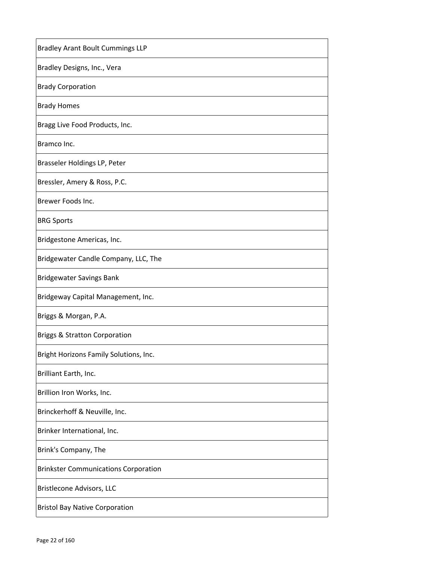| <b>Bradley Arant Boult Cummings LLP</b>     |
|---------------------------------------------|
| Bradley Designs, Inc., Vera                 |
| <b>Brady Corporation</b>                    |
| <b>Brady Homes</b>                          |
| Bragg Live Food Products, Inc.              |
| Bramco Inc.                                 |
| Brasseler Holdings LP, Peter                |
| Bressler, Amery & Ross, P.C.                |
| Brewer Foods Inc.                           |
| <b>BRG Sports</b>                           |
| Bridgestone Americas, Inc.                  |
| Bridgewater Candle Company, LLC, The        |
| <b>Bridgewater Savings Bank</b>             |
| Bridgeway Capital Management, Inc.          |
| Briggs & Morgan, P.A.                       |
| <b>Briggs &amp; Stratton Corporation</b>    |
| Bright Horizons Family Solutions, Inc.      |
| Brilliant Earth, Inc.                       |
| Brillion Iron Works, Inc.                   |
| Brinckerhoff & Neuville, Inc.               |
| Brinker International, Inc.                 |
| Brink's Company, The                        |
| <b>Brinkster Communications Corporation</b> |
| Bristlecone Advisors, LLC                   |
| <b>Bristol Bay Native Corporation</b>       |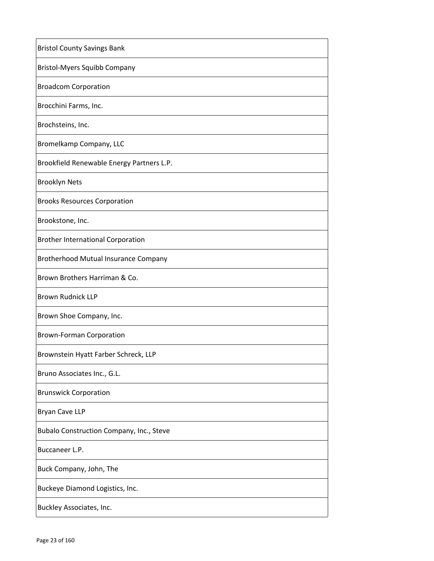| <b>Bristol County Savings Bank</b>          |
|---------------------------------------------|
| <b>Bristol-Myers Squibb Company</b>         |
| <b>Broadcom Corporation</b>                 |
| Brocchini Farms, Inc.                       |
| Brochsteins, Inc.                           |
| Bromelkamp Company, LLC                     |
| Brookfield Renewable Energy Partners L.P.   |
| <b>Brooklyn Nets</b>                        |
| <b>Brooks Resources Corporation</b>         |
| Brookstone, Inc.                            |
| <b>Brother International Corporation</b>    |
| <b>Brotherhood Mutual Insurance Company</b> |
| Brown Brothers Harriman & Co.               |
| <b>Brown Rudnick LLP</b>                    |
| Brown Shoe Company, Inc.                    |
| <b>Brown-Forman Corporation</b>             |
| Brownstein Hyatt Farber Schreck, LLP        |
| Bruno Associates Inc., G.L.                 |
| <b>Brunswick Corporation</b>                |
| Bryan Cave LLP                              |
| Bubalo Construction Company, Inc., Steve    |
| Buccaneer L.P.                              |
| Buck Company, John, The                     |
| Buckeye Diamond Logistics, Inc.             |
| Buckley Associates, Inc.                    |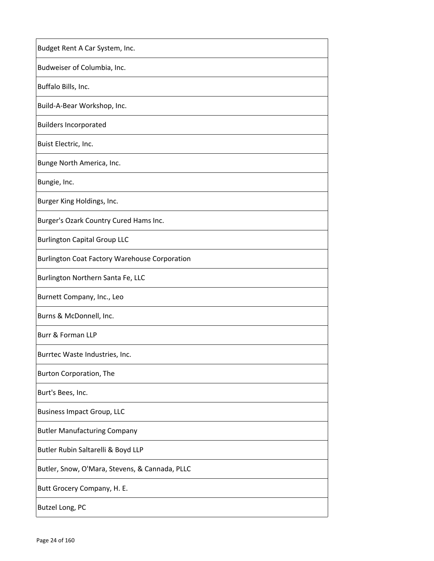| Budget Rent A Car System, Inc.                       |
|------------------------------------------------------|
| Budweiser of Columbia, Inc.                          |
| Buffalo Bills, Inc.                                  |
| Build-A-Bear Workshop, Inc.                          |
| <b>Builders Incorporated</b>                         |
| Buist Electric, Inc.                                 |
| Bunge North America, Inc.                            |
| Bungie, Inc.                                         |
| Burger King Holdings, Inc.                           |
| Burger's Ozark Country Cured Hams Inc.               |
| <b>Burlington Capital Group LLC</b>                  |
| <b>Burlington Coat Factory Warehouse Corporation</b> |
| Burlington Northern Santa Fe, LLC                    |
| Burnett Company, Inc., Leo                           |
| Burns & McDonnell, Inc.                              |
| <b>Burr &amp; Forman LLP</b>                         |
| Burrtec Waste Industries, Inc.                       |
| Burton Corporation, The                              |
| Burt's Bees, Inc.                                    |
| <b>Business Impact Group, LLC</b>                    |
| <b>Butler Manufacturing Company</b>                  |
| Butler Rubin Saltarelli & Boyd LLP                   |
| Butler, Snow, O'Mara, Stevens, & Cannada, PLLC       |
| Butt Grocery Company, H. E.                          |
| Butzel Long, PC                                      |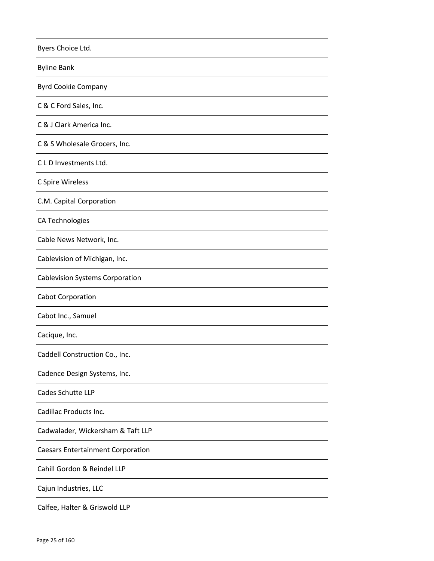| Byers Choice Ltd.                        |
|------------------------------------------|
| <b>Byline Bank</b>                       |
| <b>Byrd Cookie Company</b>               |
| C & C Ford Sales, Inc.                   |
| C & J Clark America Inc.                 |
| C & S Wholesale Grocers, Inc.            |
| C L D Investments Ltd.                   |
| C Spire Wireless                         |
| C.M. Capital Corporation                 |
| <b>CA Technologies</b>                   |
| Cable News Network, Inc.                 |
| Cablevision of Michigan, Inc.            |
| <b>Cablevision Systems Corporation</b>   |
| <b>Cabot Corporation</b>                 |
| Cabot Inc., Samuel                       |
| Cacique, Inc.                            |
| Caddell Construction Co., Inc.           |
| Cadence Design Systems, Inc.             |
| Cades Schutte LLP                        |
| Cadillac Products Inc.                   |
| Cadwalader, Wickersham & Taft LLP        |
| <b>Caesars Entertainment Corporation</b> |
| Cahill Gordon & Reindel LLP              |
| Cajun Industries, LLC                    |
| Calfee, Halter & Griswold LLP            |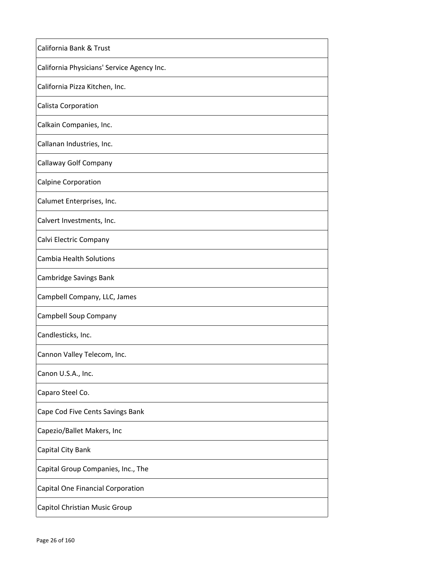| California Bank & Trust                    |
|--------------------------------------------|
| California Physicians' Service Agency Inc. |
| California Pizza Kitchen, Inc.             |
| Calista Corporation                        |
| Calkain Companies, Inc.                    |
| Callanan Industries, Inc.                  |
| Callaway Golf Company                      |
| <b>Calpine Corporation</b>                 |
| Calumet Enterprises, Inc.                  |
| Calvert Investments, Inc.                  |
| Calvi Electric Company                     |
| <b>Cambia Health Solutions</b>             |
| Cambridge Savings Bank                     |
| Campbell Company, LLC, James               |
| Campbell Soup Company                      |
| Candlesticks, Inc.                         |
| Cannon Valley Telecom, Inc.                |
| Canon U.S.A., Inc.                         |
| Caparo Steel Co.                           |
| Cape Cod Five Cents Savings Bank           |
| Capezio/Ballet Makers, Inc                 |
| Capital City Bank                          |
| Capital Group Companies, Inc., The         |
| Capital One Financial Corporation          |
| Capitol Christian Music Group              |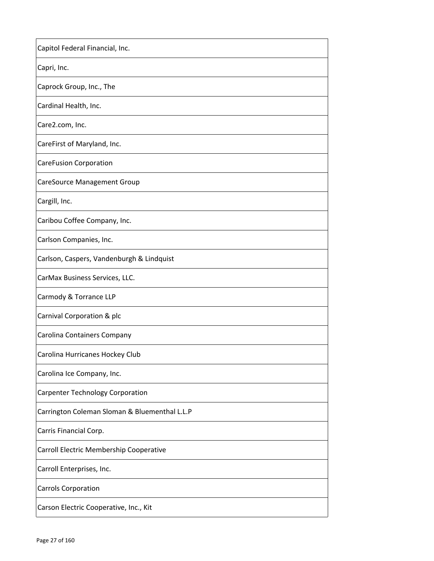| Capitol Federal Financial, Inc.               |
|-----------------------------------------------|
| Capri, Inc.                                   |
| Caprock Group, Inc., The                      |
| Cardinal Health, Inc.                         |
| Care2.com, Inc.                               |
| CareFirst of Maryland, Inc.                   |
| <b>CareFusion Corporation</b>                 |
| <b>CareSource Management Group</b>            |
| Cargill, Inc.                                 |
| Caribou Coffee Company, Inc.                  |
| Carlson Companies, Inc.                       |
| Carlson, Caspers, Vandenburgh & Lindquist     |
| CarMax Business Services, LLC.                |
| Carmody & Torrance LLP                        |
| Carnival Corporation & plc                    |
| Carolina Containers Company                   |
| Carolina Hurricanes Hockey Club               |
| Carolina Ice Company, Inc.                    |
| <b>Carpenter Technology Corporation</b>       |
| Carrington Coleman Sloman & Bluementhal L.L.P |
| Carris Financial Corp.                        |
| Carroll Electric Membership Cooperative       |
| Carroll Enterprises, Inc.                     |
| Carrols Corporation                           |
| Carson Electric Cooperative, Inc., Kit        |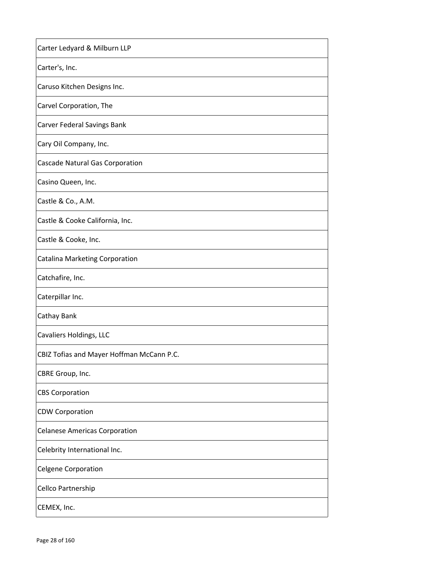| Carter Ledyard & Milburn LLP              |
|-------------------------------------------|
| Carter's, Inc.                            |
| Caruso Kitchen Designs Inc.               |
| Carvel Corporation, The                   |
| Carver Federal Savings Bank               |
| Cary Oil Company, Inc.                    |
| Cascade Natural Gas Corporation           |
| Casino Queen, Inc.                        |
| Castle & Co., A.M.                        |
| Castle & Cooke California, Inc.           |
| Castle & Cooke, Inc.                      |
| <b>Catalina Marketing Corporation</b>     |
| Catchafire, Inc.                          |
| Caterpillar Inc.                          |
| Cathay Bank                               |
| Cavaliers Holdings, LLC                   |
| CBIZ Tofias and Mayer Hoffman McCann P.C. |
| CBRE Group, Inc.                          |
| <b>CBS Corporation</b>                    |
| <b>CDW Corporation</b>                    |
| <b>Celanese Americas Corporation</b>      |
| Celebrity International Inc.              |
| <b>Celgene Corporation</b>                |
| Cellco Partnership                        |
| CEMEX, Inc.                               |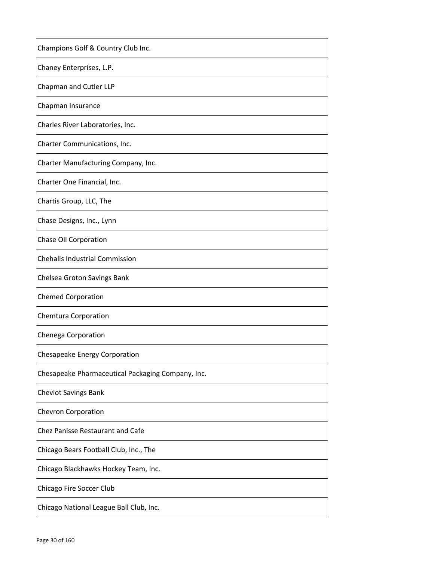| Champions Golf & Country Club Inc.                |
|---------------------------------------------------|
| Chaney Enterprises, L.P.                          |
| Chapman and Cutler LLP                            |
| Chapman Insurance                                 |
| Charles River Laboratories, Inc.                  |
| Charter Communications, Inc.                      |
| Charter Manufacturing Company, Inc.               |
| Charter One Financial, Inc.                       |
| Chartis Group, LLC, The                           |
| Chase Designs, Inc., Lynn                         |
| Chase Oil Corporation                             |
| <b>Chehalis Industrial Commission</b>             |
| Chelsea Groton Savings Bank                       |
| <b>Chemed Corporation</b>                         |
| Chemtura Corporation                              |
| Chenega Corporation                               |
| Chesapeake Energy Corporation                     |
| Chesapeake Pharmaceutical Packaging Company, Inc. |
| <b>Cheviot Savings Bank</b>                       |
| <b>Chevron Corporation</b>                        |
| Chez Panisse Restaurant and Cafe                  |
| Chicago Bears Football Club, Inc., The            |
| Chicago Blackhawks Hockey Team, Inc.              |
| Chicago Fire Soccer Club                          |
| Chicago National League Ball Club, Inc.           |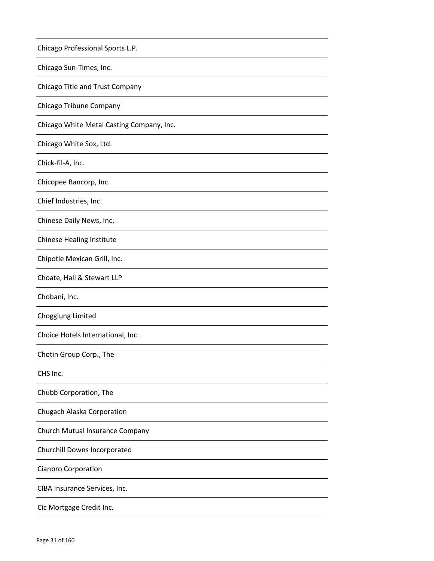| Chicago Professional Sports L.P.          |
|-------------------------------------------|
| Chicago Sun-Times, Inc.                   |
| Chicago Title and Trust Company           |
| Chicago Tribune Company                   |
| Chicago White Metal Casting Company, Inc. |
| Chicago White Sox, Ltd.                   |
| Chick-fil-A, Inc.                         |
| Chicopee Bancorp, Inc.                    |
| Chief Industries, Inc.                    |
| Chinese Daily News, Inc.                  |
| <b>Chinese Healing Institute</b>          |
| Chipotle Mexican Grill, Inc.              |
| Choate, Hall & Stewart LLP                |
| Chobani, Inc.                             |
| Choggiung Limited                         |
| Choice Hotels International, Inc.         |
| Chotin Group Corp., The                   |
| CHS Inc.                                  |
| Chubb Corporation, The                    |
| Chugach Alaska Corporation                |
| Church Mutual Insurance Company           |
| Churchill Downs Incorporated              |
| Cianbro Corporation                       |
| CIBA Insurance Services, Inc.             |
| Cic Mortgage Credit Inc.                  |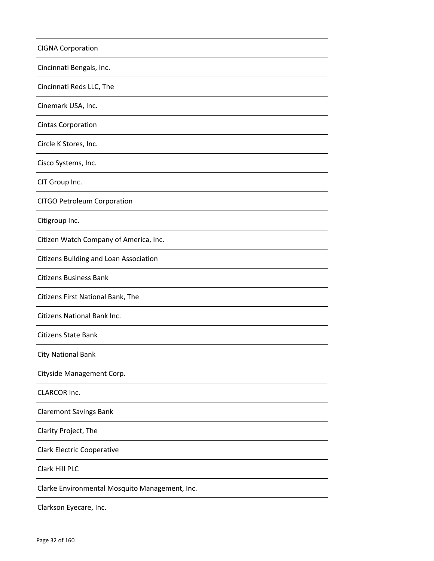| <b>CIGNA Corporation</b>                       |
|------------------------------------------------|
| Cincinnati Bengals, Inc.                       |
| Cincinnati Reds LLC, The                       |
| Cinemark USA, Inc.                             |
| <b>Cintas Corporation</b>                      |
| Circle K Stores, Inc.                          |
| Cisco Systems, Inc.                            |
| CIT Group Inc.                                 |
| CITGO Petroleum Corporation                    |
| Citigroup Inc.                                 |
| Citizen Watch Company of America, Inc.         |
| Citizens Building and Loan Association         |
| <b>Citizens Business Bank</b>                  |
| Citizens First National Bank, The              |
| Citizens National Bank Inc.                    |
| Citizens State Bank                            |
| <b>City National Bank</b>                      |
| Cityside Management Corp.                      |
| <b>CLARCOR Inc.</b>                            |
| <b>Claremont Savings Bank</b>                  |
| Clarity Project, The                           |
| <b>Clark Electric Cooperative</b>              |
| Clark Hill PLC                                 |
| Clarke Environmental Mosquito Management, Inc. |
| Clarkson Eyecare, Inc.                         |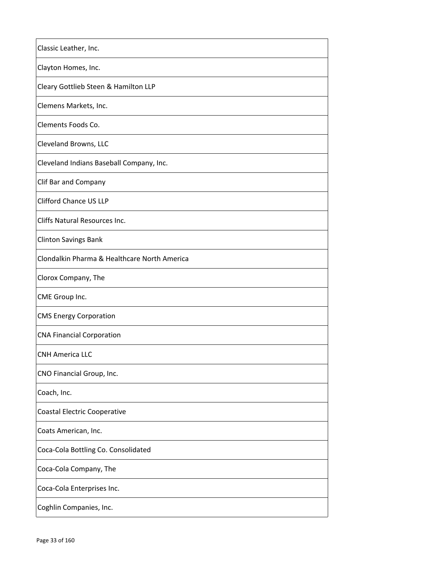| Classic Leather, Inc.                        |
|----------------------------------------------|
| Clayton Homes, Inc.                          |
| Cleary Gottlieb Steen & Hamilton LLP         |
| Clemens Markets, Inc.                        |
| Clements Foods Co.                           |
| Cleveland Browns, LLC                        |
| Cleveland Indians Baseball Company, Inc.     |
| Clif Bar and Company                         |
| <b>Clifford Chance US LLP</b>                |
| Cliffs Natural Resources Inc.                |
| <b>Clinton Savings Bank</b>                  |
| Clondalkin Pharma & Healthcare North America |
| Clorox Company, The                          |
| CME Group Inc.                               |
| <b>CMS Energy Corporation</b>                |
| <b>CNA Financial Corporation</b>             |
| CNH America LLC                              |
| CNO Financial Group, Inc.                    |
| Coach, Inc.                                  |
| <b>Coastal Electric Cooperative</b>          |
| Coats American, Inc.                         |
| Coca-Cola Bottling Co. Consolidated          |
| Coca-Cola Company, The                       |
| Coca-Cola Enterprises Inc.                   |
| Coghlin Companies, Inc.                      |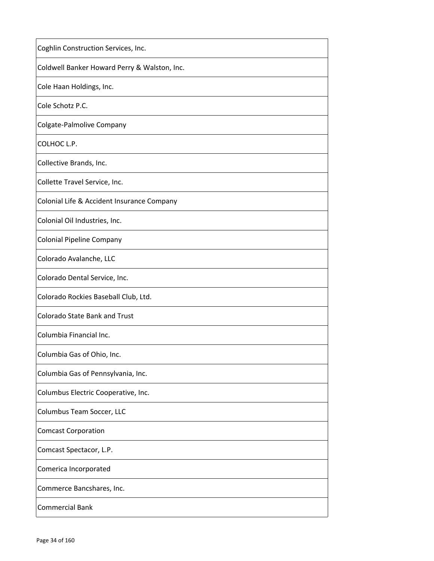| Coghlin Construction Services, Inc.          |
|----------------------------------------------|
| Coldwell Banker Howard Perry & Walston, Inc. |
| Cole Haan Holdings, Inc.                     |
| Cole Schotz P.C.                             |
| Colgate-Palmolive Company                    |
| COLHOC L.P.                                  |
| Collective Brands, Inc.                      |
| Collette Travel Service, Inc.                |
| Colonial Life & Accident Insurance Company   |
| Colonial Oil Industries, Inc.                |
| <b>Colonial Pipeline Company</b>             |
| Colorado Avalanche, LLC                      |
| Colorado Dental Service, Inc.                |
| Colorado Rockies Baseball Club, Ltd.         |
| <b>Colorado State Bank and Trust</b>         |
| Columbia Financial Inc.                      |
| Columbia Gas of Ohio, Inc.                   |
| Columbia Gas of Pennsylvania, Inc.           |
| Columbus Electric Cooperative, Inc.          |
| Columbus Team Soccer, LLC                    |
| <b>Comcast Corporation</b>                   |
| Comcast Spectacor, L.P.                      |
| Comerica Incorporated                        |
| Commerce Bancshares, Inc.                    |
| <b>Commercial Bank</b>                       |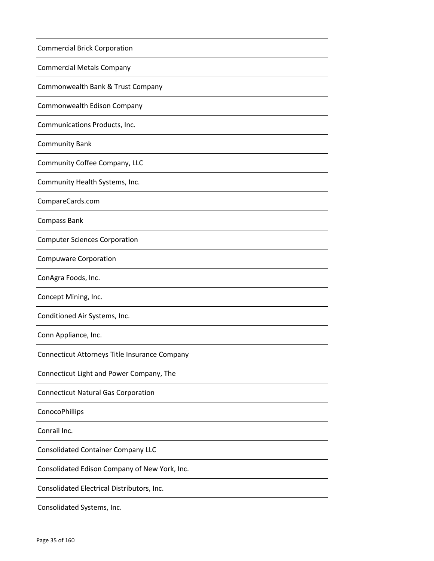| <b>Commercial Brick Corporation</b>           |
|-----------------------------------------------|
| <b>Commercial Metals Company</b>              |
| Commonwealth Bank & Trust Company             |
| Commonwealth Edison Company                   |
| Communications Products, Inc.                 |
| <b>Community Bank</b>                         |
| Community Coffee Company, LLC                 |
| Community Health Systems, Inc.                |
| CompareCards.com                              |
| Compass Bank                                  |
| <b>Computer Sciences Corporation</b>          |
| <b>Compuware Corporation</b>                  |
| ConAgra Foods, Inc.                           |
| Concept Mining, Inc.                          |
| Conditioned Air Systems, Inc.                 |
| Conn Appliance, Inc.                          |
| Connecticut Attorneys Title Insurance Company |
| Connecticut Light and Power Company, The      |
| <b>Connecticut Natural Gas Corporation</b>    |
| ConocoPhillips                                |
| Conrail Inc.                                  |
| <b>Consolidated Container Company LLC</b>     |
| Consolidated Edison Company of New York, Inc. |
| Consolidated Electrical Distributors, Inc.    |
| Consolidated Systems, Inc.                    |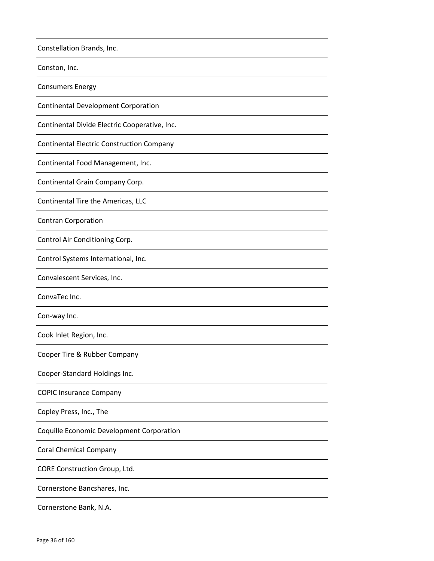| Constellation Brands, Inc.                       |
|--------------------------------------------------|
| Conston, Inc.                                    |
| <b>Consumers Energy</b>                          |
| <b>Continental Development Corporation</b>       |
| Continental Divide Electric Cooperative, Inc.    |
| <b>Continental Electric Construction Company</b> |
| Continental Food Management, Inc.                |
| Continental Grain Company Corp.                  |
| Continental Tire the Americas, LLC               |
| <b>Contran Corporation</b>                       |
| Control Air Conditioning Corp.                   |
| Control Systems International, Inc.              |
| Convalescent Services, Inc.                      |
| ConvaTec Inc.                                    |
| Con-way Inc.                                     |
| Cook Inlet Region, Inc.                          |
| Cooper Tire & Rubber Company                     |
| Cooper-Standard Holdings Inc.                    |
| <b>COPIC Insurance Company</b>                   |
| Copley Press, Inc., The                          |
| Coquille Economic Development Corporation        |
| <b>Coral Chemical Company</b>                    |
| CORE Construction Group, Ltd.                    |
| Cornerstone Bancshares, Inc.                     |
| Cornerstone Bank, N.A.                           |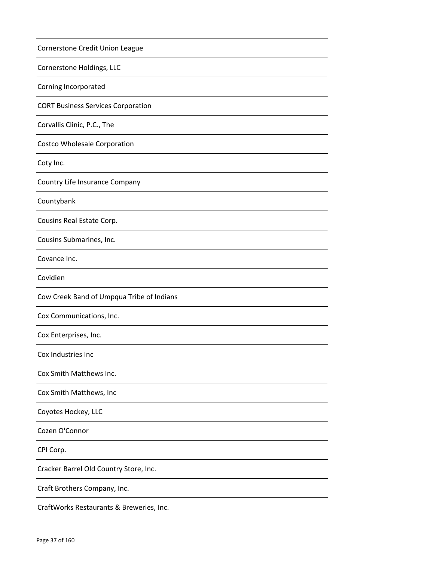| Cornerstone Credit Union League           |
|-------------------------------------------|
| Cornerstone Holdings, LLC                 |
| Corning Incorporated                      |
| <b>CORT Business Services Corporation</b> |
| Corvallis Clinic, P.C., The               |
| <b>Costco Wholesale Corporation</b>       |
| Coty Inc.                                 |
| Country Life Insurance Company            |
| Countybank                                |
| Cousins Real Estate Corp.                 |
| Cousins Submarines, Inc.                  |
| Covance Inc.                              |
| Covidien                                  |
| Cow Creek Band of Umpqua Tribe of Indians |
| Cox Communications, Inc.                  |
| Cox Enterprises, Inc.                     |
| Cox Industries Inc                        |
| Cox Smith Matthews Inc.                   |
| Cox Smith Matthews, Inc                   |
| Coyotes Hockey, LLC                       |
| Cozen O'Connor                            |
| CPI Corp.                                 |
| Cracker Barrel Old Country Store, Inc.    |
| Craft Brothers Company, Inc.              |
| CraftWorks Restaurants & Breweries, Inc.  |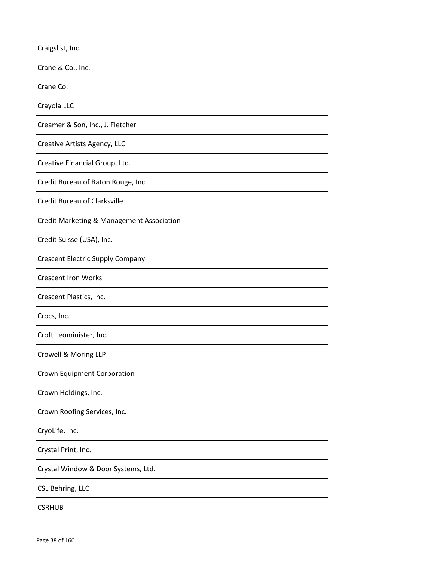| Craigslist, Inc.                          |
|-------------------------------------------|
| Crane & Co., Inc.                         |
| Crane Co.                                 |
| Crayola LLC                               |
| Creamer & Son, Inc., J. Fletcher          |
| Creative Artists Agency, LLC              |
| Creative Financial Group, Ltd.            |
| Credit Bureau of Baton Rouge, Inc.        |
| Credit Bureau of Clarksville              |
| Credit Marketing & Management Association |
| Credit Suisse (USA), Inc.                 |
| <b>Crescent Electric Supply Company</b>   |
| <b>Crescent Iron Works</b>                |
| Crescent Plastics, Inc.                   |
| Crocs, Inc.                               |
| Croft Leominister, Inc.                   |
| Crowell & Moring LLP                      |
| Crown Equipment Corporation               |
| Crown Holdings, Inc.                      |
| Crown Roofing Services, Inc.              |
| CryoLife, Inc.                            |
| Crystal Print, Inc.                       |
| Crystal Window & Door Systems, Ltd.       |
| CSL Behring, LLC                          |
| <b>CSRHUB</b>                             |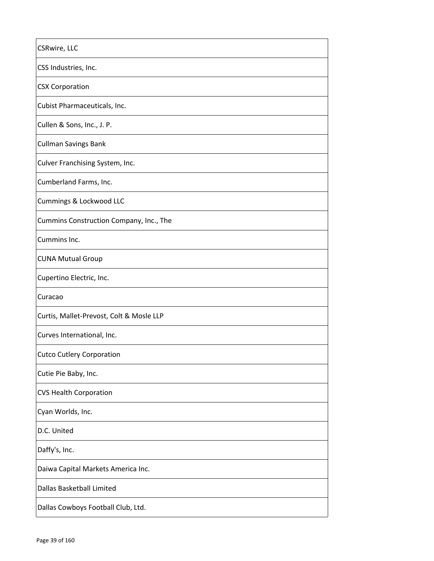| CSRwire, LLC                             |
|------------------------------------------|
| CSS Industries, Inc.                     |
| <b>CSX Corporation</b>                   |
| Cubist Pharmaceuticals, Inc.             |
| Cullen & Sons, Inc., J. P.               |
| <b>Cullman Savings Bank</b>              |
| Culver Franchising System, Inc.          |
| Cumberland Farms, Inc.                   |
| Cummings & Lockwood LLC                  |
| Cummins Construction Company, Inc., The  |
| Cummins Inc.                             |
| <b>CUNA Mutual Group</b>                 |
| Cupertino Electric, Inc.                 |
| Curacao                                  |
| Curtis, Mallet-Prevost, Colt & Mosle LLP |
| Curves International, Inc.               |
| <b>Cutco Cutlery Corporation</b>         |
| Cutie Pie Baby, Inc.                     |
| <b>CVS Health Corporation</b>            |
| Cyan Worlds, Inc.                        |
| D.C. United                              |
| Daffy's, Inc.                            |
| Daiwa Capital Markets America Inc.       |
| Dallas Basketball Limited                |
| Dallas Cowboys Football Club, Ltd.       |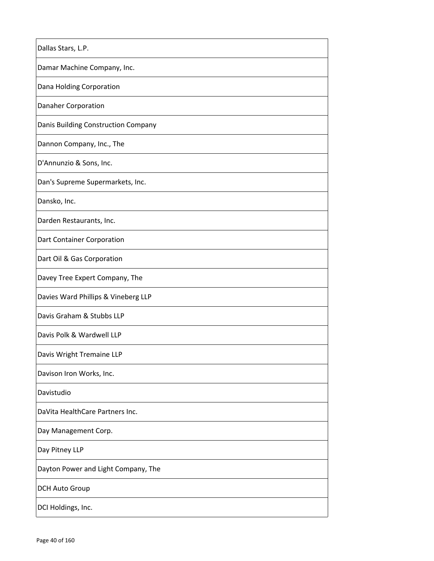| Dallas Stars, L.P.                  |
|-------------------------------------|
| Damar Machine Company, Inc.         |
| Dana Holding Corporation            |
| <b>Danaher Corporation</b>          |
| Danis Building Construction Company |
| Dannon Company, Inc., The           |
| D'Annunzio & Sons, Inc.             |
| Dan's Supreme Supermarkets, Inc.    |
| Dansko, Inc.                        |
| Darden Restaurants, Inc.            |
| Dart Container Corporation          |
| Dart Oil & Gas Corporation          |
| Davey Tree Expert Company, The      |
| Davies Ward Phillips & Vineberg LLP |
| Davis Graham & Stubbs LLP           |
| Davis Polk & Wardwell LLP           |
| Davis Wright Tremaine LLP           |
| Davison Iron Works, Inc.            |
| Davistudio                          |
| DaVita HealthCare Partners Inc.     |
| Day Management Corp.                |
| Day Pitney LLP                      |
| Dayton Power and Light Company, The |
| <b>DCH Auto Group</b>               |
| DCI Holdings, Inc.                  |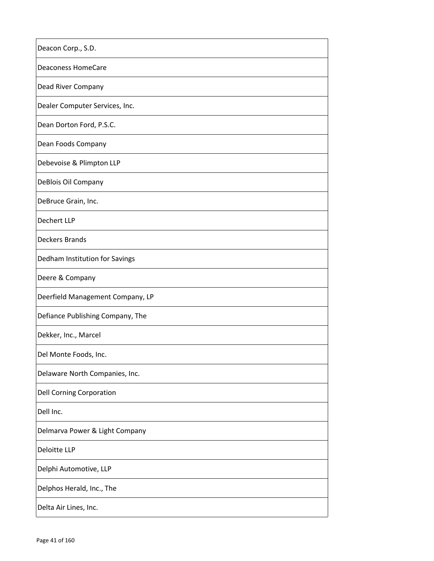| Deacon Corp., S.D.               |
|----------------------------------|
| <b>Deaconess HomeCare</b>        |
| Dead River Company               |
| Dealer Computer Services, Inc.   |
| Dean Dorton Ford, P.S.C.         |
| Dean Foods Company               |
| Debevoise & Plimpton LLP         |
| DeBlois Oil Company              |
| DeBruce Grain, Inc.              |
| Dechert LLP                      |
| <b>Deckers Brands</b>            |
| Dedham Institution for Savings   |
| Deere & Company                  |
| Deerfield Management Company, LP |
| Defiance Publishing Company, The |
| Dekker, Inc., Marcel             |
| Del Monte Foods, Inc.            |
| Delaware North Companies, Inc.   |
| <b>Dell Corning Corporation</b>  |
| Dell Inc.                        |
| Delmarva Power & Light Company   |
| Deloitte LLP                     |
| Delphi Automotive, LLP           |
| Delphos Herald, Inc., The        |
| Delta Air Lines, Inc.            |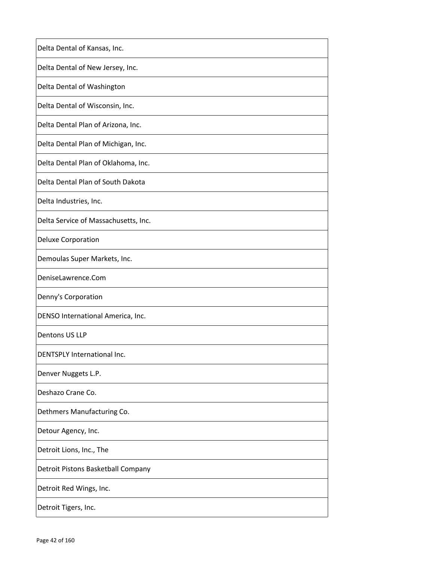| Delta Dental of Kansas, Inc.         |
|--------------------------------------|
| Delta Dental of New Jersey, Inc.     |
| Delta Dental of Washington           |
| Delta Dental of Wisconsin, Inc.      |
| Delta Dental Plan of Arizona, Inc.   |
| Delta Dental Plan of Michigan, Inc.  |
| Delta Dental Plan of Oklahoma, Inc.  |
| Delta Dental Plan of South Dakota    |
| Delta Industries, Inc.               |
| Delta Service of Massachusetts, Inc. |
| <b>Deluxe Corporation</b>            |
| Demoulas Super Markets, Inc.         |
| DeniseLawrence.Com                   |
| Denny's Corporation                  |
| DENSO International America, Inc.    |
| Dentons US LLP                       |
| DENTSPLY International Inc.          |
| Denver Nuggets L.P.                  |
| Deshazo Crane Co.                    |
| Dethmers Manufacturing Co.           |
| Detour Agency, Inc.                  |
| Detroit Lions, Inc., The             |
| Detroit Pistons Basketball Company   |
| Detroit Red Wings, Inc.              |
| Detroit Tigers, Inc.                 |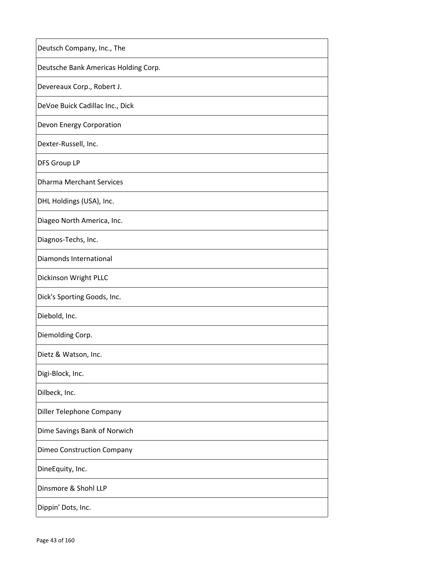| Deutsch Company, Inc., The           |
|--------------------------------------|
| Deutsche Bank Americas Holding Corp. |
| Devereaux Corp., Robert J.           |
| DeVoe Buick Cadillac Inc., Dick      |
| Devon Energy Corporation             |
| Dexter-Russell, Inc.                 |
| <b>DFS Group LP</b>                  |
| <b>Dharma Merchant Services</b>      |
| DHL Holdings (USA), Inc.             |
| Diageo North America, Inc.           |
| Diagnos-Techs, Inc.                  |
| Diamonds International               |
| Dickinson Wright PLLC                |
| Dick's Sporting Goods, Inc.          |
| Diebold, Inc.                        |
| Diemolding Corp.                     |
| Dietz & Watson, Inc.                 |
| Digi-Block, Inc.                     |
| Dilbeck, Inc.                        |
| Diller Telephone Company             |
| Dime Savings Bank of Norwich         |
| <b>Dimeo Construction Company</b>    |
| DineEquity, Inc.                     |
| Dinsmore & Shohl LLP                 |
| Dippin' Dots, Inc.                   |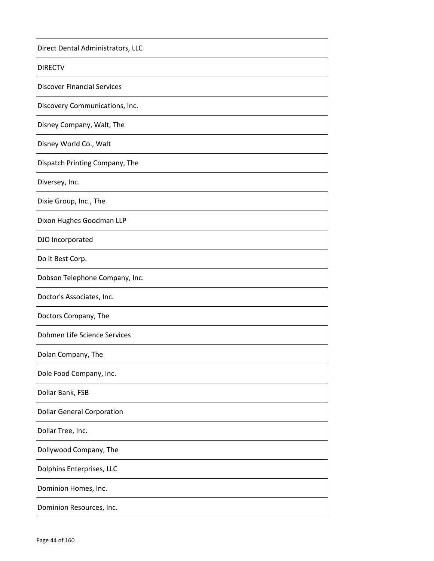| Direct Dental Administrators, LLC  |
|------------------------------------|
| <b>DIRECTV</b>                     |
| <b>Discover Financial Services</b> |
| Discovery Communications, Inc.     |
| Disney Company, Walt, The          |
| Disney World Co., Walt             |
| Dispatch Printing Company, The     |
| Diversey, Inc.                     |
| Dixie Group, Inc., The             |
| Dixon Hughes Goodman LLP           |
| DJO Incorporated                   |
| Do it Best Corp.                   |
| Dobson Telephone Company, Inc.     |
| Doctor's Associates, Inc.          |
| Doctors Company, The               |
| Dohmen Life Science Services       |
| Dolan Company, The                 |
| Dole Food Company, Inc.            |
| Dollar Bank, FSB                   |
| <b>Dollar General Corporation</b>  |
| Dollar Tree, Inc.                  |
| Dollywood Company, The             |
| Dolphins Enterprises, LLC          |
| Dominion Homes, Inc.               |
| Dominion Resources, Inc.           |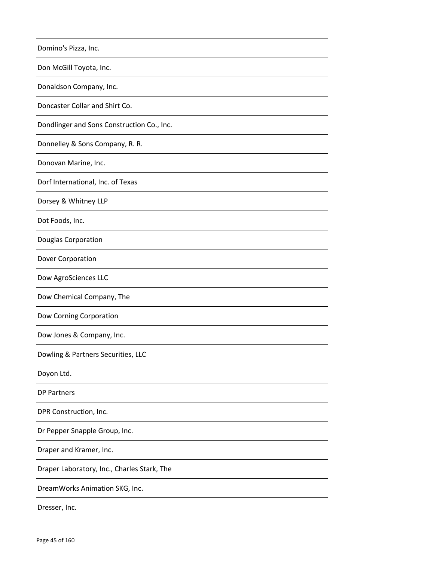| Domino's Pizza, Inc.                        |
|---------------------------------------------|
| Don McGill Toyota, Inc.                     |
| Donaldson Company, Inc.                     |
| Doncaster Collar and Shirt Co.              |
| Dondlinger and Sons Construction Co., Inc.  |
| Donnelley & Sons Company, R. R.             |
| Donovan Marine, Inc.                        |
| Dorf International, Inc. of Texas           |
| Dorsey & Whitney LLP                        |
| Dot Foods, Inc.                             |
| Douglas Corporation                         |
| Dover Corporation                           |
| Dow AgroSciences LLC                        |
| Dow Chemical Company, The                   |
| Dow Corning Corporation                     |
| Dow Jones & Company, Inc.                   |
| Dowling & Partners Securities, LLC          |
| Doyon Ltd.                                  |
| <b>DP Partners</b>                          |
| DPR Construction, Inc.                      |
| Dr Pepper Snapple Group, Inc.               |
| Draper and Kramer, Inc.                     |
| Draper Laboratory, Inc., Charles Stark, The |
| DreamWorks Animation SKG, Inc.              |
| Dresser, Inc.                               |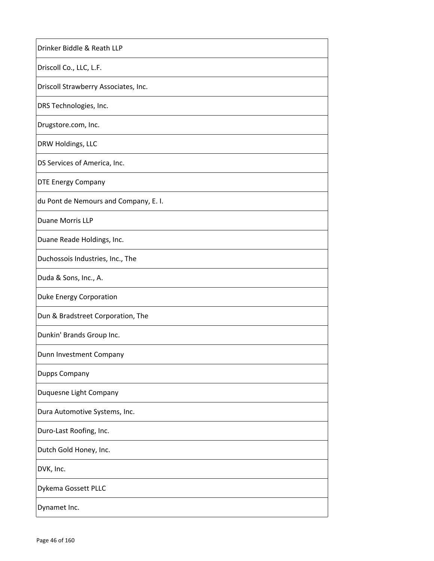| Drinker Biddle & Reath LLP            |
|---------------------------------------|
| Driscoll Co., LLC, L.F.               |
| Driscoll Strawberry Associates, Inc.  |
| DRS Technologies, Inc.                |
| Drugstore.com, Inc.                   |
| DRW Holdings, LLC                     |
| DS Services of America, Inc.          |
| <b>DTE Energy Company</b>             |
| du Pont de Nemours and Company, E. I. |
| Duane Morris LLP                      |
| Duane Reade Holdings, Inc.            |
| Duchossois Industries, Inc., The      |
| Duda & Sons, Inc., A.                 |
| <b>Duke Energy Corporation</b>        |
| Dun & Bradstreet Corporation, The     |
| Dunkin' Brands Group Inc.             |
| Dunn Investment Company               |
| Dupps Company                         |
| Duquesne Light Company                |
| Dura Automotive Systems, Inc.         |
| Duro-Last Roofing, Inc.               |
| Dutch Gold Honey, Inc.                |
| DVK, Inc.                             |
| Dykema Gossett PLLC                   |
| Dynamet Inc.                          |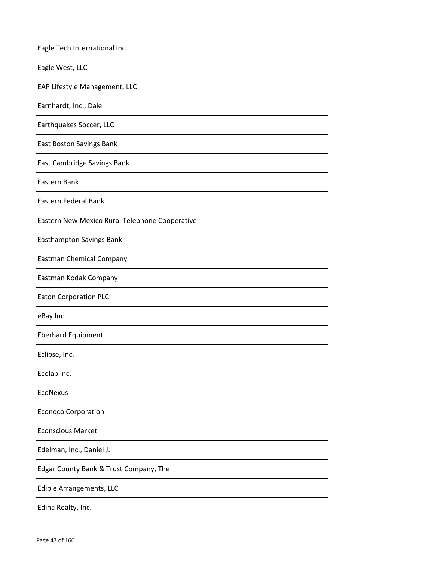| Eagle Tech International Inc.                  |
|------------------------------------------------|
| Eagle West, LLC                                |
| EAP Lifestyle Management, LLC                  |
| Earnhardt, Inc., Dale                          |
| Earthquakes Soccer, LLC                        |
| East Boston Savings Bank                       |
| East Cambridge Savings Bank                    |
| Eastern Bank                                   |
| <b>Eastern Federal Bank</b>                    |
| Eastern New Mexico Rural Telephone Cooperative |
| Easthampton Savings Bank                       |
| <b>Eastman Chemical Company</b>                |
| Eastman Kodak Company                          |
| <b>Eaton Corporation PLC</b>                   |
| eBay Inc.                                      |
| <b>Eberhard Equipment</b>                      |
| Eclipse, Inc.                                  |
| Ecolab Inc.                                    |
| <b>EcoNexus</b>                                |
| <b>Econoco Corporation</b>                     |
| <b>Econscious Market</b>                       |
| Edelman, Inc., Daniel J.                       |
| Edgar County Bank & Trust Company, The         |
| Edible Arrangements, LLC                       |
| Edina Realty, Inc.                             |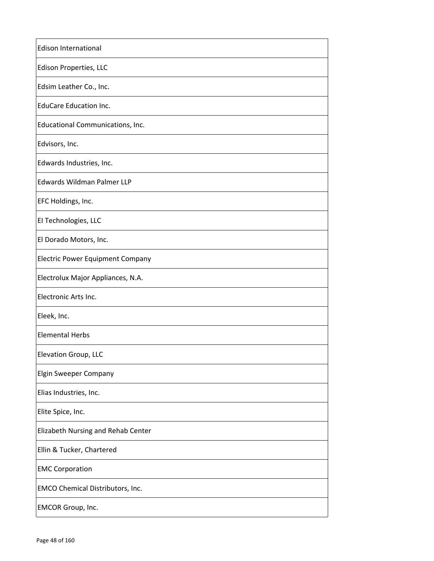| <b>Edison International</b>             |
|-----------------------------------------|
| Edison Properties, LLC                  |
| Edsim Leather Co., Inc.                 |
| <b>EduCare Education Inc.</b>           |
| Educational Communications, Inc.        |
| Edvisors, Inc.                          |
| Edwards Industries, Inc.                |
| Edwards Wildman Palmer LLP              |
| EFC Holdings, Inc.                      |
| El Technologies, LLC                    |
| El Dorado Motors, Inc.                  |
| <b>Electric Power Equipment Company</b> |
| Electrolux Major Appliances, N.A.       |
| Electronic Arts Inc.                    |
| Eleek, Inc.                             |
| <b>Elemental Herbs</b>                  |
| Elevation Group, LLC                    |
| <b>Elgin Sweeper Company</b>            |
| Elias Industries, Inc.                  |
| Elite Spice, Inc.                       |
| Elizabeth Nursing and Rehab Center      |
| Ellin & Tucker, Chartered               |
| <b>EMC Corporation</b>                  |
| EMCO Chemical Distributors, Inc.        |
| <b>EMCOR Group, Inc.</b>                |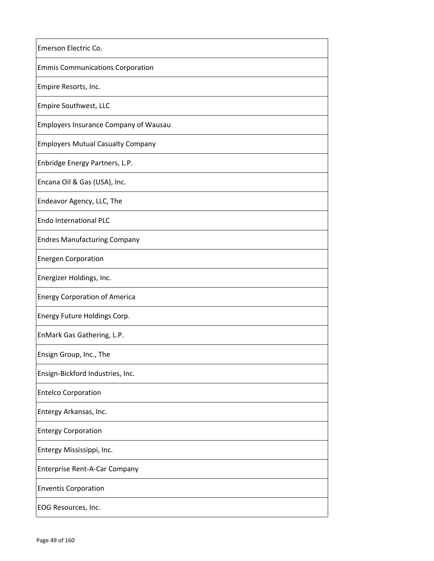| Emerson Electric Co.                         |
|----------------------------------------------|
| <b>Emmis Communications Corporation</b>      |
| Empire Resorts, Inc.                         |
| Empire Southwest, LLC                        |
| <b>Employers Insurance Company of Wausau</b> |
| <b>Employers Mutual Casualty Company</b>     |
| Enbridge Energy Partners, L.P.               |
| Encana Oil & Gas (USA), Inc.                 |
| Endeavor Agency, LLC, The                    |
| <b>Endo International PLC</b>                |
| <b>Endres Manufacturing Company</b>          |
| <b>Energen Corporation</b>                   |
| Energizer Holdings, Inc.                     |
| <b>Energy Corporation of America</b>         |
| Energy Future Holdings Corp.                 |
| EnMark Gas Gathering, L.P.                   |
| Ensign Group, Inc., The                      |
| Ensign-Bickford Industries, Inc.             |
| <b>Entelco Corporation</b>                   |
| Entergy Arkansas, Inc.                       |
| <b>Entergy Corporation</b>                   |
| Entergy Mississippi, Inc.                    |
| Enterprise Rent-A-Car Company                |
| <b>Enventis Corporation</b>                  |
| EOG Resources, Inc.                          |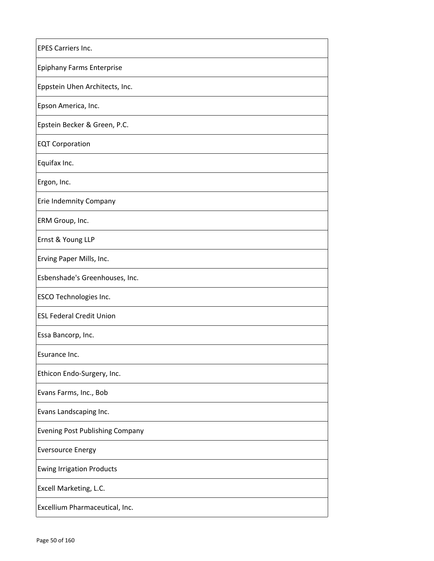| <b>EPES Carriers Inc.</b>              |
|----------------------------------------|
| <b>Epiphany Farms Enterprise</b>       |
| Eppstein Uhen Architects, Inc.         |
| Epson America, Inc.                    |
| Epstein Becker & Green, P.C.           |
| <b>EQT Corporation</b>                 |
| Equifax Inc.                           |
| Ergon, Inc.                            |
| Erie Indemnity Company                 |
| ERM Group, Inc.                        |
| Ernst & Young LLP                      |
| Erving Paper Mills, Inc.               |
| Esbenshade's Greenhouses, Inc.         |
| <b>ESCO Technologies Inc.</b>          |
| <b>ESL Federal Credit Union</b>        |
| Essa Bancorp, Inc.                     |
| Esurance Inc.                          |
| Ethicon Endo-Surgery, Inc.             |
| Evans Farms, Inc., Bob                 |
| Evans Landscaping Inc.                 |
| <b>Evening Post Publishing Company</b> |
| <b>Eversource Energy</b>               |
| <b>Ewing Irrigation Products</b>       |
| Excell Marketing, L.C.                 |
| Excellium Pharmaceutical, Inc.         |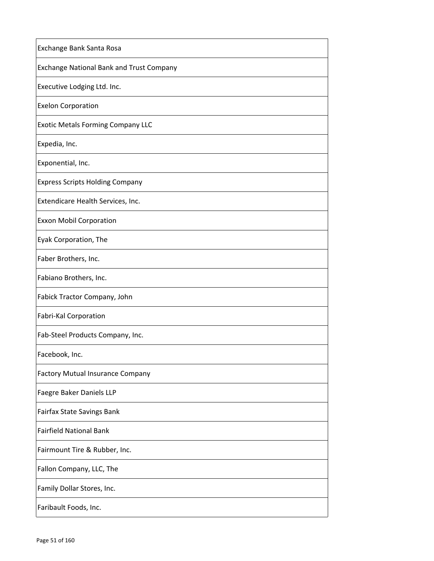| Exchange Bank Santa Rosa                 |
|------------------------------------------|
| Exchange National Bank and Trust Company |
| Executive Lodging Ltd. Inc.              |
| <b>Exelon Corporation</b>                |
| <b>Exotic Metals Forming Company LLC</b> |
| Expedia, Inc.                            |
| Exponential, Inc.                        |
| <b>Express Scripts Holding Company</b>   |
| Extendicare Health Services, Inc.        |
| <b>Exxon Mobil Corporation</b>           |
| Eyak Corporation, The                    |
| Faber Brothers, Inc.                     |
| Fabiano Brothers, Inc.                   |
| Fabick Tractor Company, John             |
| Fabri-Kal Corporation                    |
| Fab-Steel Products Company, Inc.         |
| Facebook, Inc.                           |
| <b>Factory Mutual Insurance Company</b>  |
| Faegre Baker Daniels LLP                 |
| Fairfax State Savings Bank               |
| <b>Fairfield National Bank</b>           |
| Fairmount Tire & Rubber, Inc.            |
| Fallon Company, LLC, The                 |
| Family Dollar Stores, Inc.               |
| Faribault Foods, Inc.                    |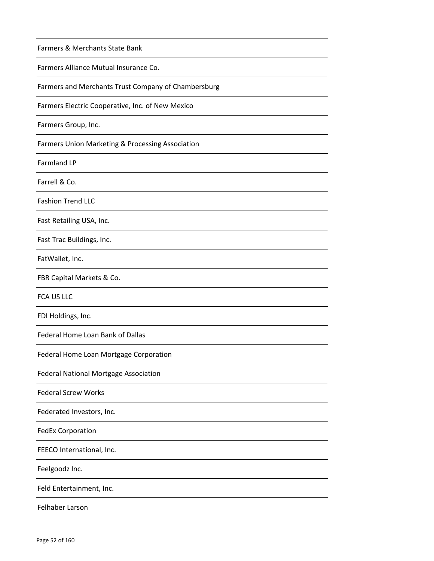| <b>Farmers &amp; Merchants State Bank</b>                   |
|-------------------------------------------------------------|
| Farmers Alliance Mutual Insurance Co.                       |
| Farmers and Merchants Trust Company of Chambersburg         |
| Farmers Electric Cooperative, Inc. of New Mexico            |
| Farmers Group, Inc.                                         |
| <b>Farmers Union Marketing &amp; Processing Association</b> |
| Farmland LP                                                 |
| Farrell & Co.                                               |
| <b>Fashion Trend LLC</b>                                    |
| Fast Retailing USA, Inc.                                    |
| Fast Trac Buildings, Inc.                                   |
| FatWallet, Inc.                                             |
| FBR Capital Markets & Co.                                   |
| <b>FCA US LLC</b>                                           |
| FDI Holdings, Inc.                                          |
| Federal Home Loan Bank of Dallas                            |
| Federal Home Loan Mortgage Corporation                      |
| Federal National Mortgage Association                       |
| <b>Federal Screw Works</b>                                  |
| Federated Investors, Inc.                                   |
| <b>FedEx Corporation</b>                                    |
| FEECO International, Inc.                                   |
| Feelgoodz Inc.                                              |
| Feld Entertainment, Inc.                                    |
| Felhaber Larson                                             |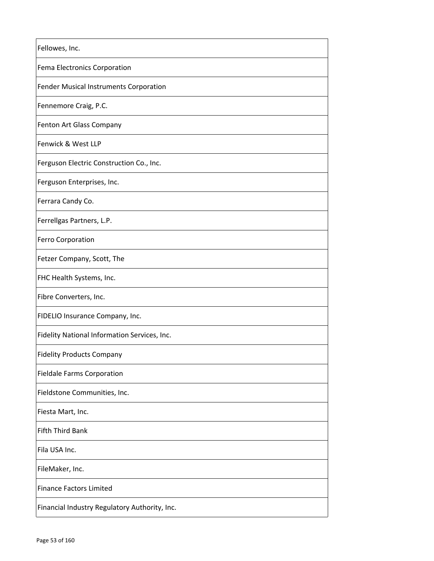| Fellowes, Inc.                                |
|-----------------------------------------------|
| Fema Electronics Corporation                  |
| Fender Musical Instruments Corporation        |
| Fennemore Craig, P.C.                         |
| Fenton Art Glass Company                      |
| Fenwick & West LLP                            |
| Ferguson Electric Construction Co., Inc.      |
| Ferguson Enterprises, Inc.                    |
| Ferrara Candy Co.                             |
| Ferrellgas Partners, L.P.                     |
| <b>Ferro Corporation</b>                      |
| Fetzer Company, Scott, The                    |
| FHC Health Systems, Inc.                      |
| Fibre Converters, Inc.                        |
| FIDELIO Insurance Company, Inc.               |
| Fidelity National Information Services, Inc.  |
| <b>Fidelity Products Company</b>              |
| <b>Fieldale Farms Corporation</b>             |
| Fieldstone Communities, Inc.                  |
| Fiesta Mart, Inc.                             |
| <b>Fifth Third Bank</b>                       |
| Fila USA Inc.                                 |
| FileMaker, Inc.                               |
| <b>Finance Factors Limited</b>                |
| Financial Industry Regulatory Authority, Inc. |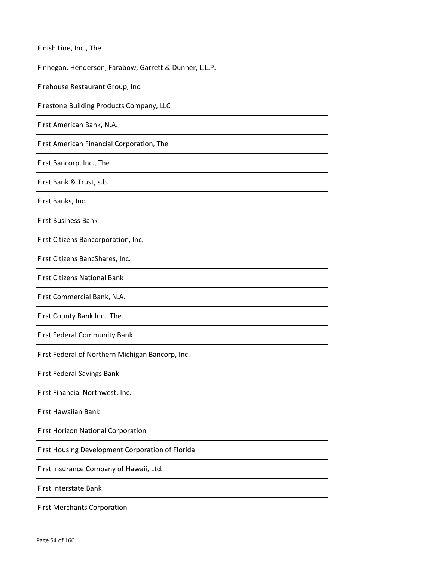| Finish Line, Inc., The                                 |
|--------------------------------------------------------|
| Finnegan, Henderson, Farabow, Garrett & Dunner, L.L.P. |
| Firehouse Restaurant Group, Inc.                       |
| Firestone Building Products Company, LLC               |
| First American Bank, N.A.                              |
| First American Financial Corporation, The              |
| First Bancorp, Inc., The                               |
| First Bank & Trust, s.b.                               |
| First Banks, Inc.                                      |
| <b>First Business Bank</b>                             |
| First Citizens Bancorporation, Inc.                    |
| First Citizens BancShares, Inc.                        |
| <b>First Citizens National Bank</b>                    |
| First Commercial Bank, N.A.                            |
| First County Bank Inc., The                            |
| First Federal Community Bank                           |
| First Federal of Northern Michigan Bancorp, Inc.       |
| First Federal Savings Bank                             |
| First Financial Northwest, Inc.                        |
| <b>First Hawaiian Bank</b>                             |
| <b>First Horizon National Corporation</b>              |
| First Housing Development Corporation of Florida       |
| First Insurance Company of Hawaii, Ltd.                |
| First Interstate Bank                                  |
| <b>First Merchants Corporation</b>                     |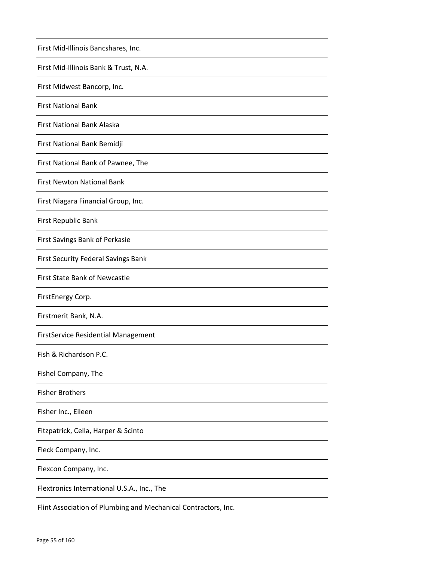| First Mid-Illinois Bancshares, Inc.                            |
|----------------------------------------------------------------|
| First Mid-Illinois Bank & Trust, N.A.                          |
| First Midwest Bancorp, Inc.                                    |
| <b>First National Bank</b>                                     |
| First National Bank Alaska                                     |
| First National Bank Bemidji                                    |
| First National Bank of Pawnee, The                             |
| First Newton National Bank                                     |
| First Niagara Financial Group, Inc.                            |
| First Republic Bank                                            |
| First Savings Bank of Perkasie                                 |
| <b>First Security Federal Savings Bank</b>                     |
| <b>First State Bank of Newcastle</b>                           |
| FirstEnergy Corp.                                              |
| Firstmerit Bank, N.A.                                          |
| <b>FirstService Residential Management</b>                     |
| Fish & Richardson P.C.                                         |
| Fishel Company, The                                            |
| <b>Fisher Brothers</b>                                         |
| Fisher Inc., Eileen                                            |
| Fitzpatrick, Cella, Harper & Scinto                            |
| Fleck Company, Inc.                                            |
| Flexcon Company, Inc.                                          |
| Flextronics International U.S.A., Inc., The                    |
| Flint Association of Plumbing and Mechanical Contractors, Inc. |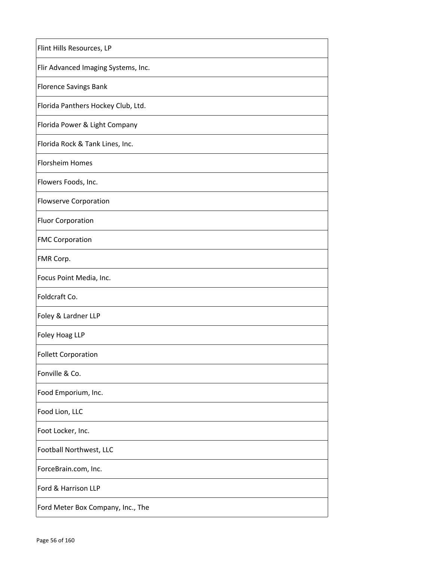| Flint Hills Resources, LP           |
|-------------------------------------|
| Flir Advanced Imaging Systems, Inc. |
| <b>Florence Savings Bank</b>        |
| Florida Panthers Hockey Club, Ltd.  |
| Florida Power & Light Company       |
| Florida Rock & Tank Lines, Inc.     |
| <b>Florsheim Homes</b>              |
| Flowers Foods, Inc.                 |
| <b>Flowserve Corporation</b>        |
| <b>Fluor Corporation</b>            |
| <b>FMC Corporation</b>              |
| FMR Corp.                           |
| Focus Point Media, Inc.             |
| Foldcraft Co.                       |
| Foley & Lardner LLP                 |
| Foley Hoag LLP                      |
| <b>Follett Corporation</b>          |
| Fonville & Co.                      |
| Food Emporium, Inc.                 |
| Food Lion, LLC                      |
| Foot Locker, Inc.                   |
| Football Northwest, LLC             |
| ForceBrain.com, Inc.                |
| Ford & Harrison LLP                 |
| Ford Meter Box Company, Inc., The   |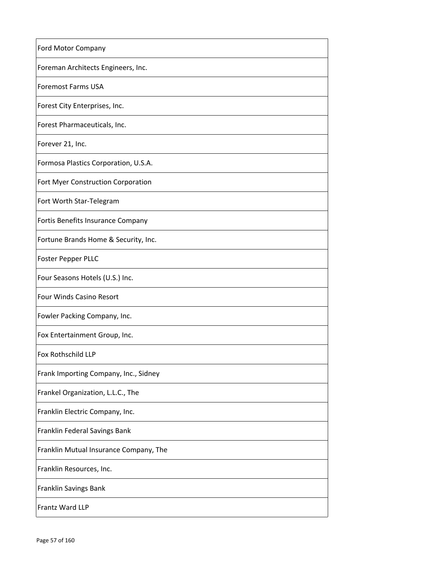| Ford Motor Company                     |
|----------------------------------------|
| Foreman Architects Engineers, Inc.     |
| <b>Foremost Farms USA</b>              |
| Forest City Enterprises, Inc.          |
| Forest Pharmaceuticals, Inc.           |
| Forever 21, Inc.                       |
| Formosa Plastics Corporation, U.S.A.   |
| Fort Myer Construction Corporation     |
| Fort Worth Star-Telegram               |
| Fortis Benefits Insurance Company      |
| Fortune Brands Home & Security, Inc.   |
| <b>Foster Pepper PLLC</b>              |
| Four Seasons Hotels (U.S.) Inc.        |
| Four Winds Casino Resort               |
| Fowler Packing Company, Inc.           |
| Fox Entertainment Group, Inc.          |
| <b>Fox Rothschild LLP</b>              |
| Frank Importing Company, Inc., Sidney  |
| Frankel Organization, L.L.C., The      |
| Franklin Electric Company, Inc.        |
| Franklin Federal Savings Bank          |
| Franklin Mutual Insurance Company, The |
| Franklin Resources, Inc.               |
| Franklin Savings Bank                  |
| Frantz Ward LLP                        |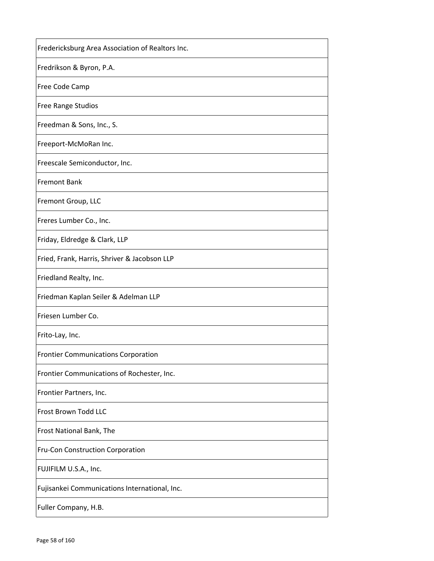| Fredericksburg Area Association of Realtors Inc. |
|--------------------------------------------------|
| Fredrikson & Byron, P.A.                         |
| Free Code Camp                                   |
| <b>Free Range Studios</b>                        |
| Freedman & Sons, Inc., S.                        |
| Freeport-McMoRan Inc.                            |
| Freescale Semiconductor, Inc.                    |
| <b>Fremont Bank</b>                              |
| Fremont Group, LLC                               |
| Freres Lumber Co., Inc.                          |
| Friday, Eldredge & Clark, LLP                    |
| Fried, Frank, Harris, Shriver & Jacobson LLP     |
| Friedland Realty, Inc.                           |
| Friedman Kaplan Seiler & Adelman LLP             |
| Friesen Lumber Co.                               |
| Frito-Lay, Inc.                                  |
| <b>Frontier Communications Corporation</b>       |
| Frontier Communications of Rochester, Inc.       |
| Frontier Partners, Inc.                          |
| Frost Brown Todd LLC                             |
| Frost National Bank, The                         |
| Fru-Con Construction Corporation                 |
| FUJIFILM U.S.A., Inc.                            |
| Fujisankei Communications International, Inc.    |
| Fuller Company, H.B.                             |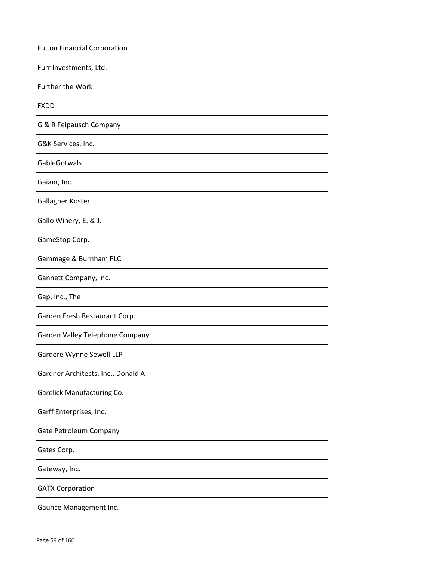| <b>Fulton Financial Corporation</b> |
|-------------------------------------|
| Furr Investments, Ltd.              |
| Further the Work                    |
| <b>FXDD</b>                         |
| G & R Felpausch Company             |
| G&K Services, Inc.                  |
| GableGotwals                        |
| Gaiam, Inc.                         |
| Gallagher Koster                    |
| Gallo Winery, E. & J.               |
| GameStop Corp.                      |
| Gammage & Burnham PLC               |
| Gannett Company, Inc.               |
| Gap, Inc., The                      |
| Garden Fresh Restaurant Corp.       |
| Garden Valley Telephone Company     |
| Gardere Wynne Sewell LLP            |
| Gardner Architects, Inc., Donald A. |
| Garelick Manufacturing Co.          |
| Garff Enterprises, Inc.             |
| Gate Petroleum Company              |
| Gates Corp.                         |
| Gateway, Inc.                       |
| <b>GATX Corporation</b>             |
| Gaunce Management Inc.              |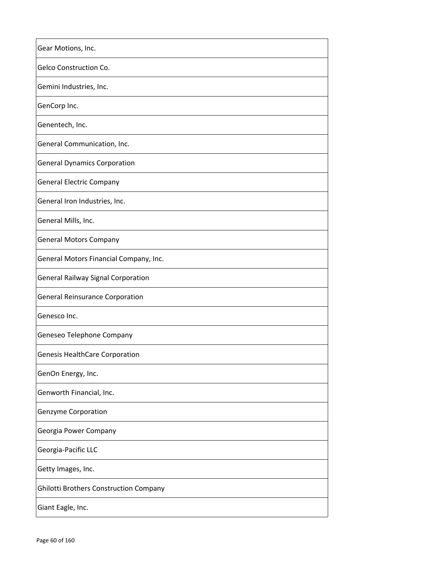| Gear Motions, Inc.                            |
|-----------------------------------------------|
| Gelco Construction Co.                        |
| Gemini Industries, Inc.                       |
| GenCorp Inc.                                  |
| Genentech, Inc.                               |
| General Communication, Inc.                   |
| <b>General Dynamics Corporation</b>           |
| <b>General Electric Company</b>               |
| General Iron Industries, Inc.                 |
| General Mills, Inc.                           |
| <b>General Motors Company</b>                 |
| General Motors Financial Company, Inc.        |
| <b>General Railway Signal Corporation</b>     |
| <b>General Reinsurance Corporation</b>        |
| Genesco Inc.                                  |
| Geneseo Telephone Company                     |
| <b>Genesis HealthCare Corporation</b>         |
| GenOn Energy, Inc.                            |
| Genworth Financial, Inc.                      |
| Genzyme Corporation                           |
| Georgia Power Company                         |
| Georgia-Pacific LLC                           |
| Getty Images, Inc.                            |
| <b>Ghilotti Brothers Construction Company</b> |
| Giant Eagle, Inc.                             |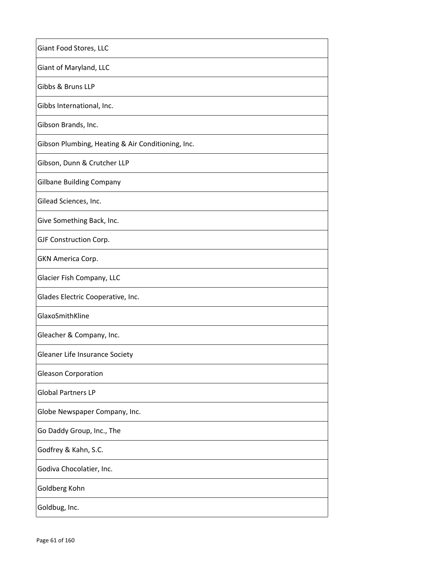| Giant Food Stores, LLC                            |
|---------------------------------------------------|
| Giant of Maryland, LLC                            |
| Gibbs & Bruns LLP                                 |
| Gibbs International, Inc.                         |
| Gibson Brands, Inc.                               |
| Gibson Plumbing, Heating & Air Conditioning, Inc. |
| Gibson, Dunn & Crutcher LLP                       |
| <b>Gilbane Building Company</b>                   |
| Gilead Sciences, Inc.                             |
| Give Something Back, Inc.                         |
| GJF Construction Corp.                            |
| GKN America Corp.                                 |
| Glacier Fish Company, LLC                         |
| Glades Electric Cooperative, Inc.                 |
| GlaxoSmithKline                                   |
| Gleacher & Company, Inc.                          |
| Gleaner Life Insurance Society                    |
| <b>Gleason Corporation</b>                        |
| <b>Global Partners LP</b>                         |
| Globe Newspaper Company, Inc.                     |
| Go Daddy Group, Inc., The                         |
| Godfrey & Kahn, S.C.                              |
| Godiva Chocolatier, Inc.                          |
| Goldberg Kohn                                     |
| Goldbug, Inc.                                     |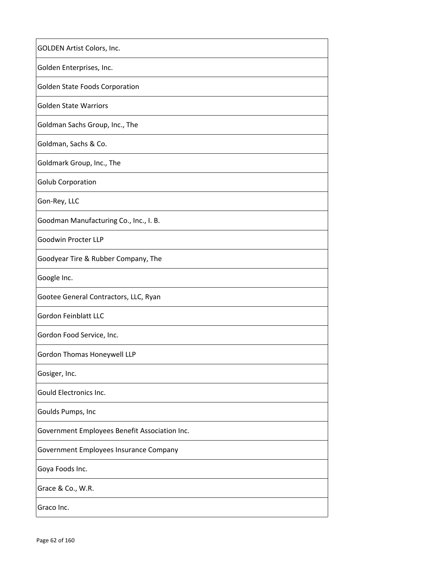| GOLDEN Artist Colors, Inc.                    |
|-----------------------------------------------|
| Golden Enterprises, Inc.                      |
| Golden State Foods Corporation                |
| <b>Golden State Warriors</b>                  |
| Goldman Sachs Group, Inc., The                |
| Goldman, Sachs & Co.                          |
| Goldmark Group, Inc., The                     |
| <b>Golub Corporation</b>                      |
| Gon-Rey, LLC                                  |
| Goodman Manufacturing Co., Inc., I. B.        |
| Goodwin Procter LLP                           |
| Goodyear Tire & Rubber Company, The           |
| Google Inc.                                   |
| Gootee General Contractors, LLC, Ryan         |
| <b>Gordon Feinblatt LLC</b>                   |
| Gordon Food Service, Inc.                     |
| Gordon Thomas Honeywell LLP                   |
| Gosiger, Inc.                                 |
| Gould Electronics Inc.                        |
| Goulds Pumps, Inc                             |
| Government Employees Benefit Association Inc. |
| Government Employees Insurance Company        |
| Goya Foods Inc.                               |
| Grace & Co., W.R.                             |
| Graco Inc.                                    |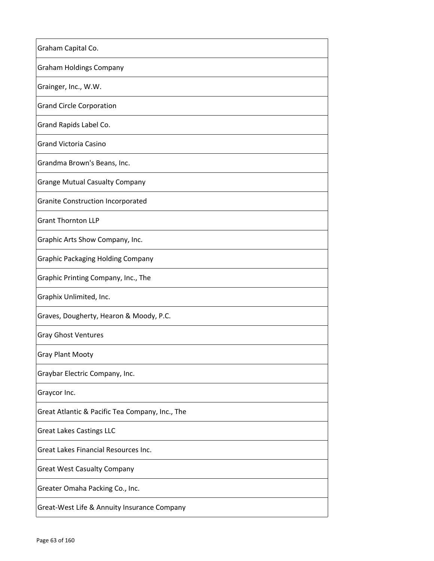| Graham Capital Co.                              |
|-------------------------------------------------|
| <b>Graham Holdings Company</b>                  |
| Grainger, Inc., W.W.                            |
| <b>Grand Circle Corporation</b>                 |
| Grand Rapids Label Co.                          |
| <b>Grand Victoria Casino</b>                    |
| Grandma Brown's Beans, Inc.                     |
| <b>Grange Mutual Casualty Company</b>           |
| <b>Granite Construction Incorporated</b>        |
| <b>Grant Thornton LLP</b>                       |
| Graphic Arts Show Company, Inc.                 |
| <b>Graphic Packaging Holding Company</b>        |
| Graphic Printing Company, Inc., The             |
| Graphix Unlimited, Inc.                         |
| Graves, Dougherty, Hearon & Moody, P.C.         |
| <b>Gray Ghost Ventures</b>                      |
| <b>Gray Plant Mooty</b>                         |
| Graybar Electric Company, Inc.                  |
| Graycor Inc.                                    |
| Great Atlantic & Pacific Tea Company, Inc., The |
| <b>Great Lakes Castings LLC</b>                 |
| Great Lakes Financial Resources Inc.            |
| <b>Great West Casualty Company</b>              |
| Greater Omaha Packing Co., Inc.                 |
| Great-West Life & Annuity Insurance Company     |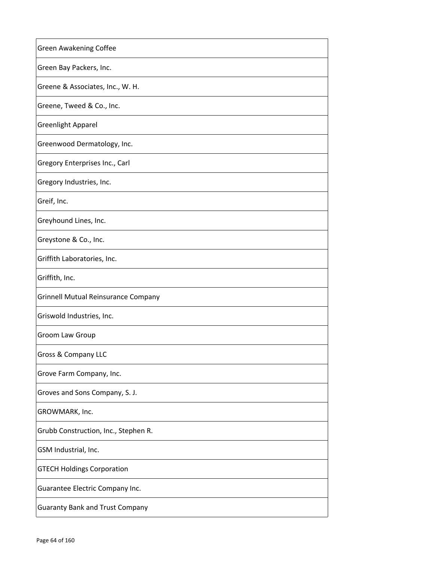| Green Awakening Coffee                     |
|--------------------------------------------|
| Green Bay Packers, Inc.                    |
| Greene & Associates, Inc., W. H.           |
| Greene, Tweed & Co., Inc.                  |
| <b>Greenlight Apparel</b>                  |
| Greenwood Dermatology, Inc.                |
| Gregory Enterprises Inc., Carl             |
| Gregory Industries, Inc.                   |
| Greif, Inc.                                |
| Greyhound Lines, Inc.                      |
| Greystone & Co., Inc.                      |
| Griffith Laboratories, Inc.                |
| Griffith, Inc.                             |
| <b>Grinnell Mutual Reinsurance Company</b> |
| Griswold Industries, Inc.                  |
| Groom Law Group                            |
| Gross & Company LLC                        |
| Grove Farm Company, Inc.                   |
| Groves and Sons Company, S. J.             |
| GROWMARK, Inc.                             |
| Grubb Construction, Inc., Stephen R.       |
| GSM Industrial, Inc.                       |
| <b>GTECH Holdings Corporation</b>          |
| Guarantee Electric Company Inc.            |
| <b>Guaranty Bank and Trust Company</b>     |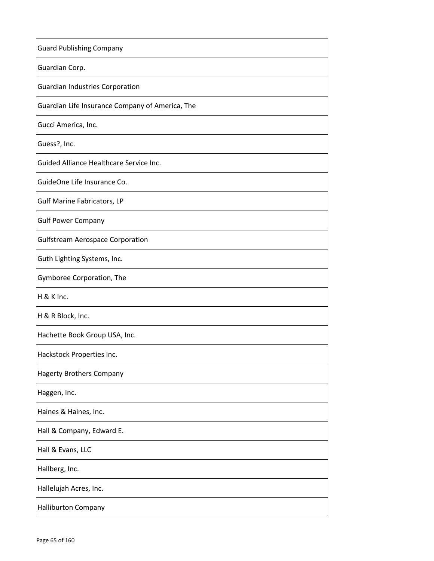| <b>Guard Publishing Company</b>                 |
|-------------------------------------------------|
| Guardian Corp.                                  |
| <b>Guardian Industries Corporation</b>          |
| Guardian Life Insurance Company of America, The |
| Gucci America, Inc.                             |
| Guess?, Inc.                                    |
| Guided Alliance Healthcare Service Inc.         |
| GuideOne Life Insurance Co.                     |
| <b>Gulf Marine Fabricators, LP</b>              |
| <b>Gulf Power Company</b>                       |
| <b>Gulfstream Aerospace Corporation</b>         |
| Guth Lighting Systems, Inc.                     |
| Gymboree Corporation, The                       |
| H & K Inc.                                      |
| H & R Block, Inc.                               |
| Hachette Book Group USA, Inc.                   |
| Hackstock Properties Inc.                       |
| <b>Hagerty Brothers Company</b>                 |
| Haggen, Inc.                                    |
| Haines & Haines, Inc.                           |
| Hall & Company, Edward E.                       |
| Hall & Evans, LLC                               |
| Hallberg, Inc.                                  |
| Hallelujah Acres, Inc.                          |
| Halliburton Company                             |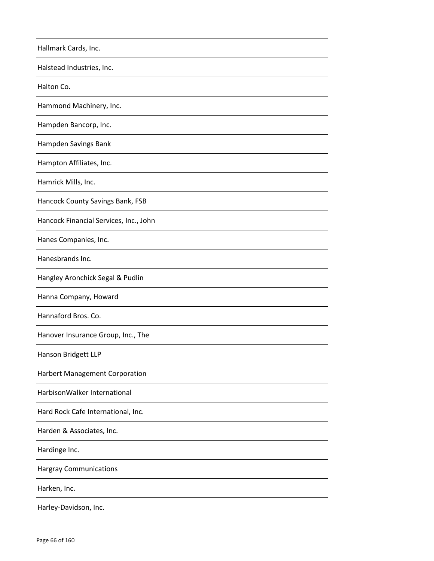| Hallmark Cards, Inc.                   |
|----------------------------------------|
| Halstead Industries, Inc.              |
| Halton Co.                             |
| Hammond Machinery, Inc.                |
| Hampden Bancorp, Inc.                  |
| Hampden Savings Bank                   |
| Hampton Affiliates, Inc.               |
| Hamrick Mills, Inc.                    |
| Hancock County Savings Bank, FSB       |
| Hancock Financial Services, Inc., John |
| Hanes Companies, Inc.                  |
| Hanesbrands Inc.                       |
| Hangley Aronchick Segal & Pudlin       |
| Hanna Company, Howard                  |
| Hannaford Bros. Co.                    |
| Hanover Insurance Group, Inc., The     |
| Hanson Bridgett LLP                    |
| Harbert Management Corporation         |
| HarbisonWalker International           |
| Hard Rock Cafe International, Inc.     |
| Harden & Associates, Inc.              |
| Hardinge Inc.                          |
| <b>Hargray Communications</b>          |
| Harken, Inc.                           |
| Harley-Davidson, Inc.                  |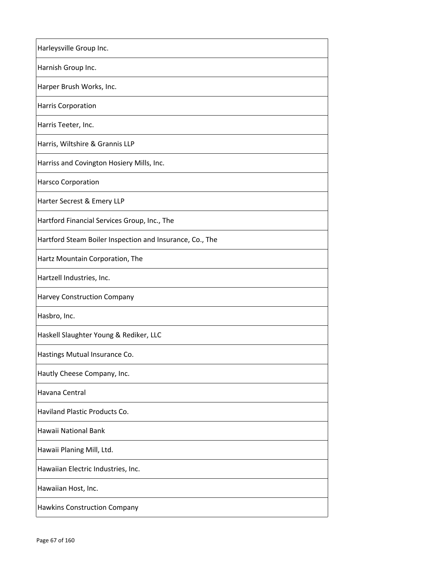| Harleysville Group Inc.                                  |
|----------------------------------------------------------|
| Harnish Group Inc.                                       |
| Harper Brush Works, Inc.                                 |
| <b>Harris Corporation</b>                                |
| Harris Teeter, Inc.                                      |
| Harris, Wiltshire & Grannis LLP                          |
| Harriss and Covington Hosiery Mills, Inc.                |
| Harsco Corporation                                       |
| Harter Secrest & Emery LLP                               |
| Hartford Financial Services Group, Inc., The             |
| Hartford Steam Boiler Inspection and Insurance, Co., The |
| Hartz Mountain Corporation, The                          |
| Hartzell Industries, Inc.                                |
| Harvey Construction Company                              |
| Hasbro, Inc.                                             |
| Haskell Slaughter Young & Rediker, LLC                   |
| Hastings Mutual Insurance Co                             |
| Hautly Cheese Company, Inc.                              |
| Havana Central                                           |
| Haviland Plastic Products Co.                            |
| Hawaii National Bank                                     |
| Hawaii Planing Mill, Ltd.                                |
| Hawaiian Electric Industries, Inc.                       |
| Hawaiian Host, Inc.                                      |
| Hawkins Construction Company                             |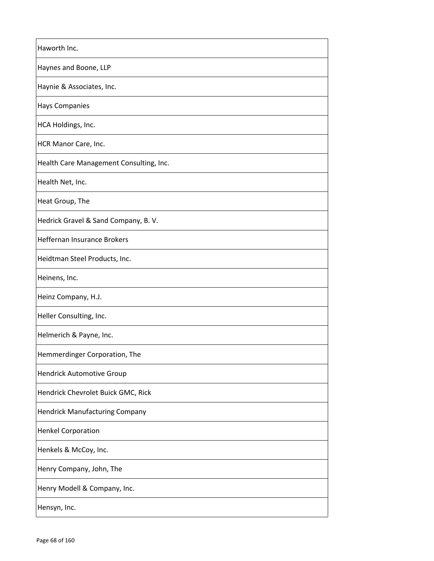| Haworth Inc.                            |
|-----------------------------------------|
| Haynes and Boone, LLP                   |
| Haynie & Associates, Inc.               |
| <b>Hays Companies</b>                   |
| HCA Holdings, Inc.                      |
| HCR Manor Care, Inc.                    |
| Health Care Management Consulting, Inc. |
| Health Net, Inc.                        |
| Heat Group, The                         |
| Hedrick Gravel & Sand Company, B.V.     |
| Heffernan Insurance Brokers             |
| Heidtman Steel Products, Inc.           |
| Heinens, Inc.                           |
| Heinz Company, H.J.                     |
| Heller Consulting, Inc.                 |
| Helmerich & Payne, Inc.                 |
| Hemmerdinger Corporation, The           |
| <b>Hendrick Automotive Group</b>        |
| Hendrick Chevrolet Buick GMC, Rick      |
| <b>Hendrick Manufacturing Company</b>   |
| <b>Henkel Corporation</b>               |
| Henkels & McCoy, Inc.                   |
| Henry Company, John, The                |
| Henry Modell & Company, Inc.            |
| Hensyn, Inc.                            |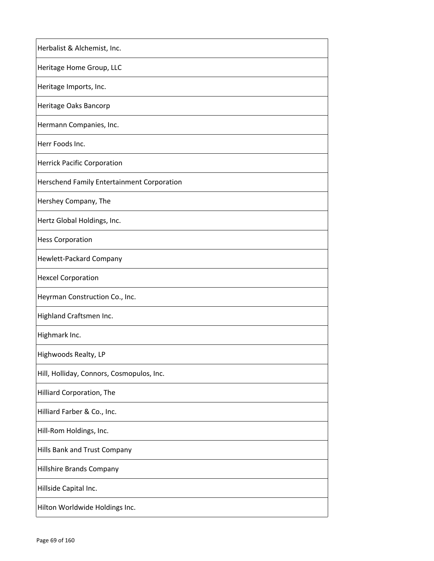| Herbalist & Alchemist, Inc.                       |
|---------------------------------------------------|
| Heritage Home Group, LLC                          |
| Heritage Imports, Inc.                            |
| Heritage Oaks Bancorp                             |
| Hermann Companies, Inc.                           |
| Herr Foods Inc.                                   |
| <b>Herrick Pacific Corporation</b>                |
| <b>Herschend Family Entertainment Corporation</b> |
| Hershey Company, The                              |
| Hertz Global Holdings, Inc.                       |
| <b>Hess Corporation</b>                           |
| Hewlett-Packard Company                           |
| <b>Hexcel Corporation</b>                         |
| Heyrman Construction Co., Inc.                    |
| Highland Craftsmen Inc.                           |
| Highmark Inc.                                     |
| Highwoods Realty, LP                              |
| Hill, Holliday, Connors, Cosmopulos, Inc.         |
| Hilliard Corporation, The                         |
| Hilliard Farber & Co., Inc.                       |
| Hill-Rom Holdings, Inc.                           |
| Hills Bank and Trust Company                      |
| Hillshire Brands Company                          |
| Hillside Capital Inc.                             |
| Hilton Worldwide Holdings Inc.                    |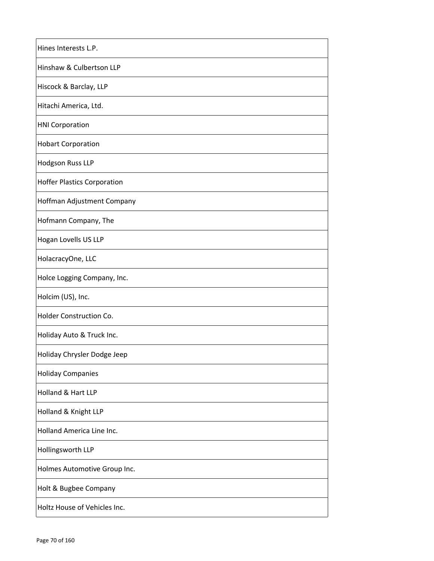| Hines Interests L.P.               |
|------------------------------------|
| Hinshaw & Culbertson LLP           |
| Hiscock & Barclay, LLP             |
| Hitachi America, Ltd.              |
| <b>HNI Corporation</b>             |
| <b>Hobart Corporation</b>          |
| Hodgson Russ LLP                   |
| <b>Hoffer Plastics Corporation</b> |
| Hoffman Adjustment Company         |
| Hofmann Company, The               |
| Hogan Lovells US LLP               |
| HolacracyOne, LLC                  |
| Holce Logging Company, Inc.        |
| Holcim (US), Inc.                  |
| Holder Construction Co.            |
| Holiday Auto & Truck Inc.          |
| Holiday Chrysler Dodge Jeep        |
| <b>Holiday Companies</b>           |
| Holland & Hart LLP                 |
| Holland & Knight LLP               |
| Holland America Line Inc.          |
| Hollingsworth LLP                  |
| Holmes Automotive Group Inc.       |
| Holt & Bugbee Company              |
| Holtz House of Vehicles Inc.       |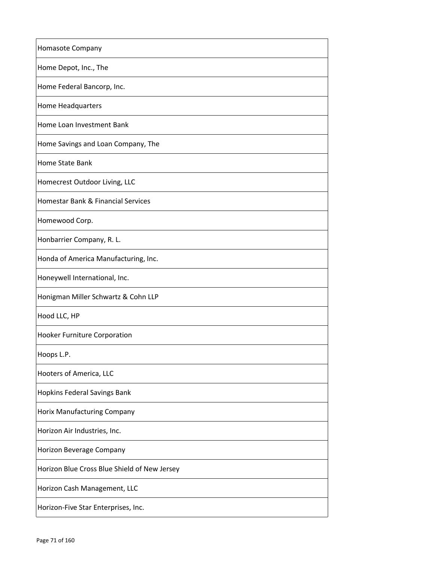| Homasote Company                             |
|----------------------------------------------|
| Home Depot, Inc., The                        |
| Home Federal Bancorp, Inc.                   |
| Home Headquarters                            |
| Home Loan Investment Bank                    |
| Home Savings and Loan Company, The           |
| Home State Bank                              |
| Homecrest Outdoor Living, LLC                |
| Homestar Bank & Financial Services           |
| Homewood Corp.                               |
| Honbarrier Company, R. L.                    |
| Honda of America Manufacturing, Inc.         |
| Honeywell International, Inc.                |
| Honigman Miller Schwartz & Cohn LLP          |
| Hood LLC, HP                                 |
| Hooker Furniture Corporation                 |
| Hoops L.P.                                   |
| Hooters of America, LLC                      |
| Hopkins Federal Savings Bank                 |
| Horix Manufacturing Company                  |
| Horizon Air Industries, Inc.                 |
| Horizon Beverage Company                     |
| Horizon Blue Cross Blue Shield of New Jersey |
| Horizon Cash Management, LLC                 |
| Horizon-Five Star Enterprises, Inc.          |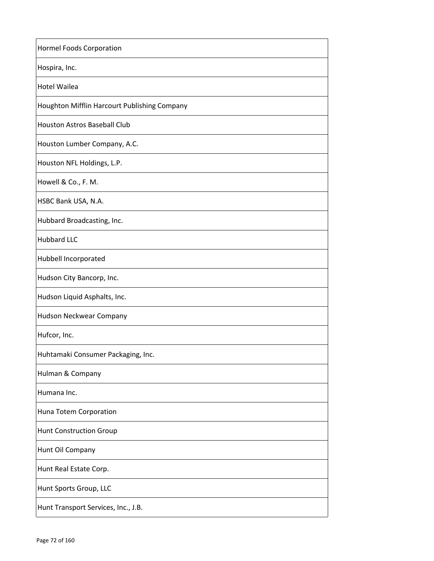| <b>Hormel Foods Corporation</b>              |
|----------------------------------------------|
| Hospira, Inc.                                |
| <b>Hotel Wailea</b>                          |
| Houghton Mifflin Harcourt Publishing Company |
| <b>Houston Astros Baseball Club</b>          |
| Houston Lumber Company, A.C.                 |
| Houston NFL Holdings, L.P.                   |
| Howell & Co., F. M.                          |
| HSBC Bank USA, N.A.                          |
| Hubbard Broadcasting, Inc.                   |
| <b>Hubbard LLC</b>                           |
| Hubbell Incorporated                         |
| Hudson City Bancorp, Inc.                    |
| Hudson Liquid Asphalts, Inc.                 |
| Hudson Neckwear Company                      |
| Hufcor, Inc.                                 |
| Huhtamaki Consumer Packaging, Inc.           |
| Hulman & Company                             |
| Humana Inc.                                  |
| Huna Totem Corporation                       |
| <b>Hunt Construction Group</b>               |
| Hunt Oil Company                             |
| Hunt Real Estate Corp.                       |
| Hunt Sports Group, LLC                       |
| Hunt Transport Services, Inc., J.B.          |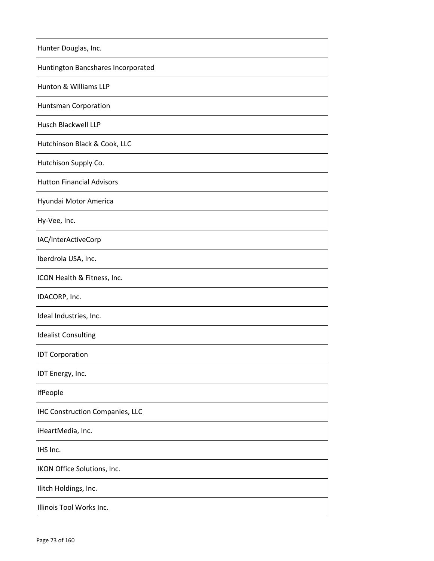| Hunter Douglas, Inc.                   |
|----------------------------------------|
| Huntington Bancshares Incorporated     |
| Hunton & Williams LLP                  |
| Huntsman Corporation                   |
| Husch Blackwell LLP                    |
| Hutchinson Black & Cook, LLC           |
| Hutchison Supply Co.                   |
| <b>Hutton Financial Advisors</b>       |
| Hyundai Motor America                  |
| Hy-Vee, Inc.                           |
| IAC/InterActiveCorp                    |
| Iberdrola USA, Inc.                    |
| ICON Health & Fitness, Inc.            |
| IDACORP, Inc.                          |
| Ideal Industries, Inc.                 |
| <b>Idealist Consulting</b>             |
| <b>IDT Corporation</b>                 |
| IDT Energy, Inc.                       |
| ifPeople                               |
| <b>IHC Construction Companies, LLC</b> |
| iHeartMedia, Inc.                      |
| IHS Inc.                               |
| IKON Office Solutions, Inc.            |
| Ilitch Holdings, Inc.                  |
| Illinois Tool Works Inc.               |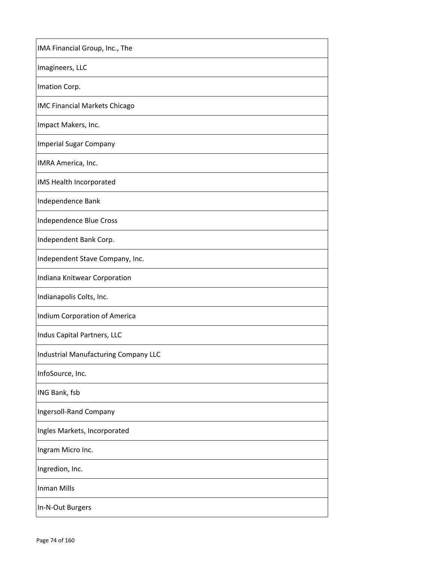| IMA Financial Group, Inc., The              |
|---------------------------------------------|
| Imagineers, LLC                             |
| Imation Corp.                               |
| <b>IMC Financial Markets Chicago</b>        |
| Impact Makers, Inc.                         |
| <b>Imperial Sugar Company</b>               |
| IMRA America, Inc.                          |
| IMS Health Incorporated                     |
| Independence Bank                           |
| Independence Blue Cross                     |
| Independent Bank Corp.                      |
| Independent Stave Company, Inc.             |
| Indiana Knitwear Corporation                |
| Indianapolis Colts, Inc.                    |
| Indium Corporation of America               |
| Indus Capital Partners, LLC                 |
| <b>Industrial Manufacturing Company LLC</b> |
| InfoSource, Inc.                            |
| ING Bank, fsb                               |
| Ingersoll-Rand Company                      |
| Ingles Markets, Incorporated                |
| Ingram Micro Inc.                           |
| Ingredion, Inc.                             |
| <b>Inman Mills</b>                          |
| In-N-Out Burgers                            |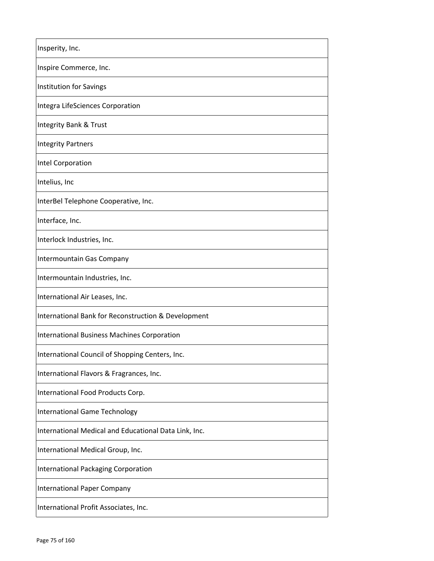| Insperity, Inc.                                       |
|-------------------------------------------------------|
| Inspire Commerce, Inc.                                |
| Institution for Savings                               |
| Integra LifeSciences Corporation                      |
| Integrity Bank & Trust                                |
| <b>Integrity Partners</b>                             |
| Intel Corporation                                     |
| Intelius, Inc                                         |
| InterBel Telephone Cooperative, Inc.                  |
| Interface, Inc.                                       |
| Interlock Industries, Inc.                            |
| Intermountain Gas Company                             |
| Intermountain Industries, Inc.                        |
| International Air Leases, Inc.                        |
| International Bank for Reconstruction & Development   |
| <b>International Business Machines Corporation</b>    |
| International Council of Shopping Centers, Inc.       |
| International Flavors & Fragrances, Inc.              |
| International Food Products Corp.                     |
| <b>International Game Technology</b>                  |
| International Medical and Educational Data Link, Inc. |
| International Medical Group, Inc.                     |
| International Packaging Corporation                   |
| International Paper Company                           |
| International Profit Associates, Inc.                 |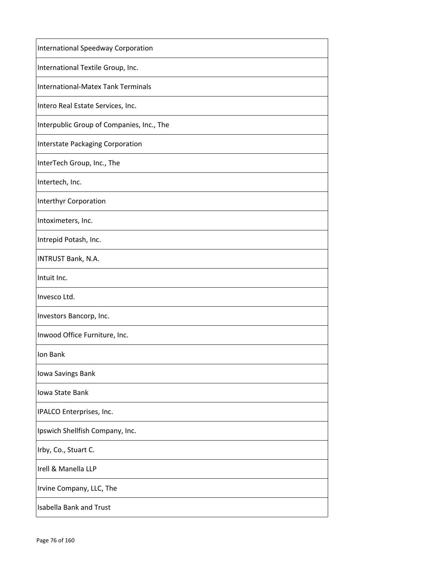| <b>International Speedway Corporation</b> |
|-------------------------------------------|
| International Textile Group, Inc.         |
| International-Matex Tank Terminals        |
| Intero Real Estate Services, Inc.         |
| Interpublic Group of Companies, Inc., The |
| Interstate Packaging Corporation          |
| InterTech Group, Inc., The                |
| Intertech, Inc.                           |
| Interthyr Corporation                     |
| Intoximeters, Inc.                        |
| Intrepid Potash, Inc.                     |
| INTRUST Bank, N.A.                        |
| Intuit Inc.                               |
| Invesco Ltd.                              |
| Investors Bancorp, Inc.                   |
| Inwood Office Furniture, Inc.             |
| Ion Bank                                  |
| Iowa Savings Bank                         |
| Iowa State Bank                           |
| IPALCO Enterprises, Inc.                  |
| Ipswich Shellfish Company, Inc.           |
| Irby, Co., Stuart C.                      |
| Irell & Manella LLP                       |
| Irvine Company, LLC, The                  |
| <b>Isabella Bank and Trust</b>            |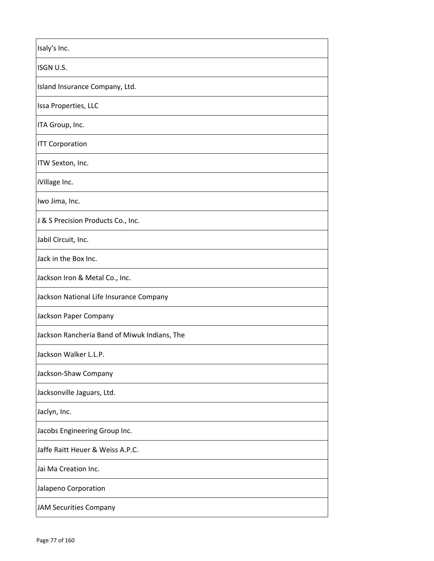| Isaly's Inc.                                 |
|----------------------------------------------|
| ISGN U.S.                                    |
| Island Insurance Company, Ltd.               |
| Issa Properties, LLC                         |
| ITA Group, Inc.                              |
| <b>ITT Corporation</b>                       |
| ITW Sexton, Inc.                             |
| iVillage Inc.                                |
| Iwo Jima, Inc.                               |
| J & S Precision Products Co., Inc.           |
| Jabil Circuit, Inc.                          |
| Jack in the Box Inc.                         |
| Jackson Iron & Metal Co., Inc.               |
| Jackson National Life Insurance Company      |
| Jackson Paper Company                        |
| Jackson Rancheria Band of Miwuk Indians, The |
| Jackson Walker L.L.P.                        |
| Jackson-Shaw Company                         |
| Jacksonville Jaguars, Ltd.                   |
| Jaclyn, Inc.                                 |
| Jacobs Engineering Group Inc.                |
| Jaffe Raitt Heuer & Weiss A.P.C.             |
| Jai Ma Creation Inc.                         |
| Jalapeno Corporation                         |
| <b>JAM Securities Company</b>                |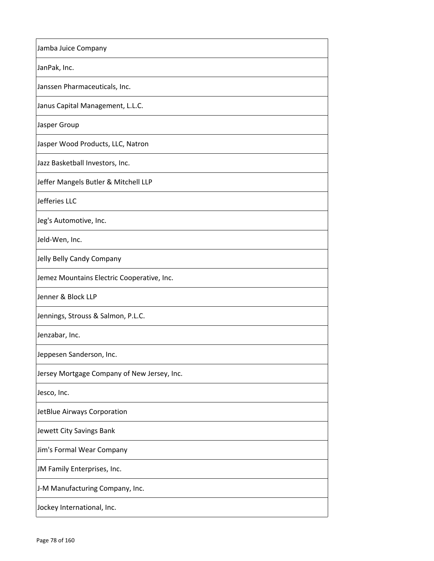| Jamba Juice Company                         |
|---------------------------------------------|
| JanPak, Inc.                                |
| Janssen Pharmaceuticals, Inc.               |
| Janus Capital Management, L.L.C.            |
| Jasper Group                                |
| Jasper Wood Products, LLC, Natron           |
| Jazz Basketball Investors, Inc.             |
| Jeffer Mangels Butler & Mitchell LLP        |
| Jefferies LLC                               |
| Jeg's Automotive, Inc.                      |
| Jeld-Wen, Inc.                              |
| Jelly Belly Candy Company                   |
| Jemez Mountains Electric Cooperative, Inc.  |
| Jenner & Block LLP                          |
| Jennings, Strouss & Salmon, P.L.C.          |
| Jenzabar, Inc.                              |
| Jeppesen Sanderson, Inc.                    |
| Jersey Mortgage Company of New Jersey, Inc. |
| Jesco, Inc.                                 |
| JetBlue Airways Corporation                 |
| Jewett City Savings Bank                    |
| Jim's Formal Wear Company                   |
| JM Family Enterprises, Inc.                 |
| J-M Manufacturing Company, Inc.             |
| Jockey International, Inc.                  |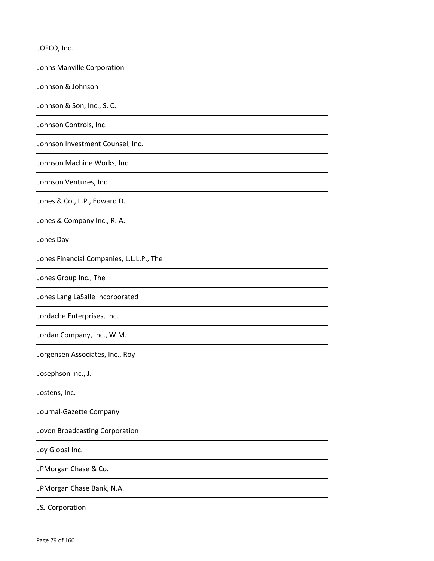| JOFCO, Inc.                              |
|------------------------------------------|
| Johns Manville Corporation               |
| Johnson & Johnson                        |
| Johnson & Son, Inc., S. C.               |
| Johnson Controls, Inc.                   |
| Johnson Investment Counsel, Inc.         |
| Johnson Machine Works, Inc.              |
| Johnson Ventures, Inc.                   |
| Jones & Co., L.P., Edward D.             |
| Jones & Company Inc., R. A.              |
| Jones Day                                |
| Jones Financial Companies, L.L.L.P., The |
| Jones Group Inc., The                    |
| Jones Lang LaSalle Incorporated          |
| Jordache Enterprises, Inc.               |
| Jordan Company, Inc., W.M.               |
| Jorgensen Associates, Inc., Roy          |
| Josephson Inc., J.                       |
| Jostens, Inc.                            |
| Journal-Gazette Company                  |
| Jovon Broadcasting Corporation           |
| Joy Global Inc.                          |
| JPMorgan Chase & Co.                     |
| JPMorgan Chase Bank, N.A.                |
| JSJ Corporation                          |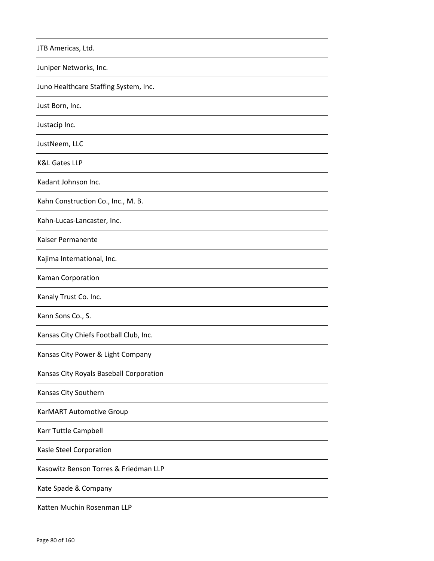| JTB Americas, Ltd.                      |
|-----------------------------------------|
| Juniper Networks, Inc.                  |
| Juno Healthcare Staffing System, Inc.   |
| Just Born, Inc.                         |
| Justacip Inc.                           |
| JustNeem, LLC                           |
| <b>K&amp;L Gates LLP</b>                |
| Kadant Johnson Inc.                     |
| Kahn Construction Co., Inc., M. B.      |
| Kahn-Lucas-Lancaster, Inc.              |
| Kaiser Permanente                       |
| Kajima International, Inc.              |
| Kaman Corporation                       |
| Kanaly Trust Co. Inc.                   |
| Kann Sons Co., S.                       |
| Kansas City Chiefs Football Club, Inc.  |
| Kansas City Power & Light Company       |
| Kansas City Royals Baseball Corporation |
| Kansas City Southern                    |
| KarMART Automotive Group                |
| Karr Tuttle Campbell                    |
| Kasle Steel Corporation                 |
| Kasowitz Benson Torres & Friedman LLP   |
| Kate Spade & Company                    |
| Katten Muchin Rosenman LLP              |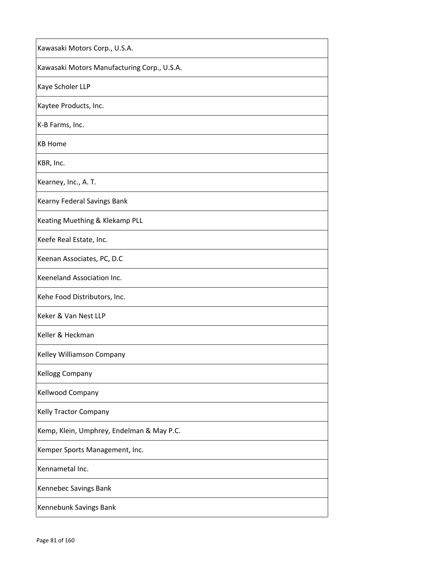| Kawasaki Motors Corp., U.S.A.               |
|---------------------------------------------|
| Kawasaki Motors Manufacturing Corp., U.S.A. |
| Kaye Scholer LLP                            |
| Kaytee Products, Inc.                       |
| K-B Farms, Inc.                             |
| <b>KB Home</b>                              |
| KBR, Inc.                                   |
| Kearney, Inc., A. T.                        |
| Kearny Federal Savings Bank                 |
| Keating Muething & Klekamp PLL              |
| Keefe Real Estate, Inc.                     |
| Keenan Associates, PC, D.C                  |
| Keeneland Association Inc.                  |
| Kehe Food Distributors, Inc.                |
| Keker & Van Nest LLP                        |
| Keller & Heckman                            |
| Kelley Williamson Company                   |
| <b>Kellogg Company</b>                      |
| Kellwood Company                            |
| Kelly Tractor Company                       |
| Kemp, Klein, Umphrey, Endelman & May P.C.   |
| Kemper Sports Management, Inc.              |
| Kennametal Inc.                             |
| Kennebec Savings Bank                       |
| Kennebunk Savings Bank                      |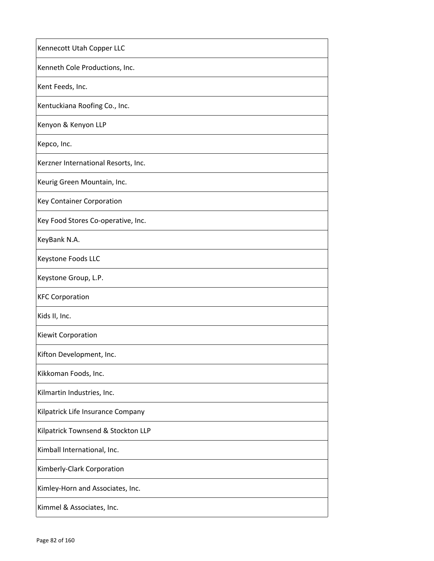| Kennecott Utah Copper LLC           |
|-------------------------------------|
| Kenneth Cole Productions, Inc.      |
| Kent Feeds, Inc.                    |
| Kentuckiana Roofing Co., Inc.       |
| Kenyon & Kenyon LLP                 |
| Kepco, Inc.                         |
| Kerzner International Resorts, Inc. |
| Keurig Green Mountain, Inc.         |
| Key Container Corporation           |
| Key Food Stores Co-operative, Inc.  |
| KeyBank N.A.                        |
| Keystone Foods LLC                  |
| Keystone Group, L.P.                |
| <b>KFC Corporation</b>              |
| Kids II, Inc.                       |
| Kiewit Corporation                  |
| Kifton Development, Inc.            |
| Kikkoman Foods, Inc.                |
| Kilmartin Industries, Inc.          |
| Kilpatrick Life Insurance Company   |
| Kilpatrick Townsend & Stockton LLP  |
| Kimball International, Inc.         |
| Kimberly-Clark Corporation          |
| Kimley-Horn and Associates, Inc.    |
| Kimmel & Associates, Inc.           |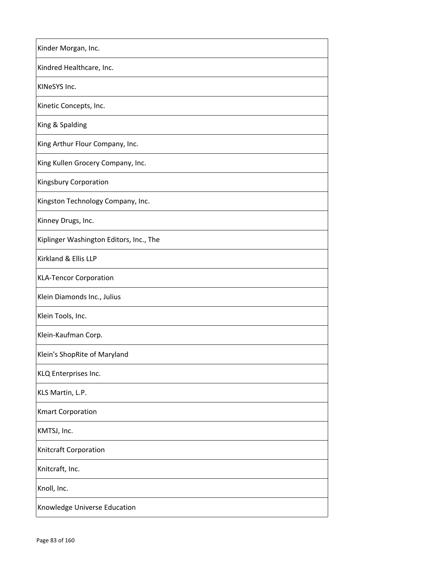| Kinder Morgan, Inc.                     |
|-----------------------------------------|
| Kindred Healthcare, Inc.                |
| KINeSYS Inc.                            |
| Kinetic Concepts, Inc.                  |
| King & Spalding                         |
| King Arthur Flour Company, Inc.         |
| King Kullen Grocery Company, Inc.       |
| Kingsbury Corporation                   |
| Kingston Technology Company, Inc.       |
| Kinney Drugs, Inc.                      |
| Kiplinger Washington Editors, Inc., The |
| Kirkland & Ellis LLP                    |
| <b>KLA-Tencor Corporation</b>           |
| Klein Diamonds Inc., Julius             |
| Klein Tools, Inc.                       |
| Klein-Kaufman Corp.                     |
| Klein's ShopRite of Maryland            |
| KLQ Enterprises Inc.                    |
| KLS Martin, L.P.                        |
| <b>Kmart Corporation</b>                |
| KMTSJ, Inc.                             |
| Knitcraft Corporation                   |
| Knitcraft, Inc.                         |
| Knoll, Inc.                             |
| Knowledge Universe Education            |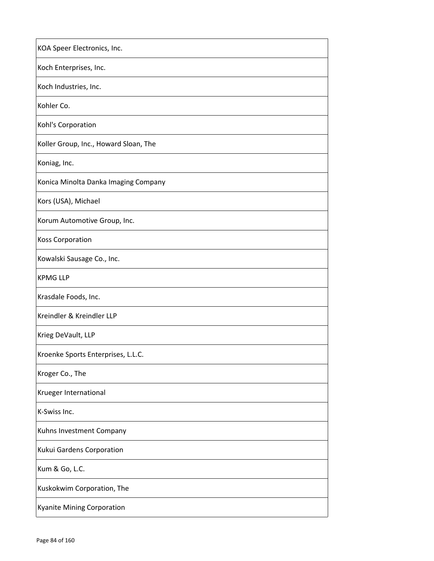| KOA Speer Electronics, Inc.           |
|---------------------------------------|
| Koch Enterprises, Inc.                |
| Koch Industries, Inc.                 |
| Kohler Co.                            |
| Kohl's Corporation                    |
| Koller Group, Inc., Howard Sloan, The |
| Koniag, Inc.                          |
| Konica Minolta Danka Imaging Company  |
| Kors (USA), Michael                   |
| Korum Automotive Group, Inc.          |
| <b>Koss Corporation</b>               |
| Kowalski Sausage Co., Inc.            |
| <b>KPMG LLP</b>                       |
| Krasdale Foods, Inc.                  |
| Kreindler & Kreindler LLP             |
| Krieg DeVault, LLP                    |
| Kroenke Sports Enterprises, L.L.C.    |
| Kroger Co., The                       |
| Krueger International                 |
| K-Swiss Inc.                          |
| Kuhns Investment Company              |
| Kukui Gardens Corporation             |
| Kum & Go, L.C.                        |
| Kuskokwim Corporation, The            |
| <b>Kyanite Mining Corporation</b>     |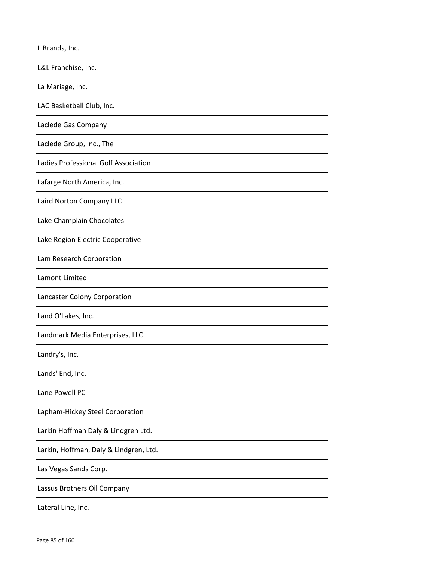| L Brands, Inc.                         |
|----------------------------------------|
| L&L Franchise, Inc.                    |
| La Mariage, Inc.                       |
| LAC Basketball Club, Inc.              |
| Laclede Gas Company                    |
| Laclede Group, Inc., The               |
| Ladies Professional Golf Association   |
| Lafarge North America, Inc.            |
| Laird Norton Company LLC               |
| Lake Champlain Chocolates              |
| Lake Region Electric Cooperative       |
| Lam Research Corporation               |
| Lamont Limited                         |
| Lancaster Colony Corporation           |
| Land O'Lakes, Inc.                     |
| Landmark Media Enterprises, LLC        |
| Landry's, Inc.                         |
| Lands' End, Inc.                       |
| Lane Powell PC                         |
| Lapham-Hickey Steel Corporation        |
| Larkin Hoffman Daly & Lindgren Ltd.    |
| Larkin, Hoffman, Daly & Lindgren, Ltd. |
| Las Vegas Sands Corp.                  |
| Lassus Brothers Oil Company            |
| Lateral Line, Inc.                     |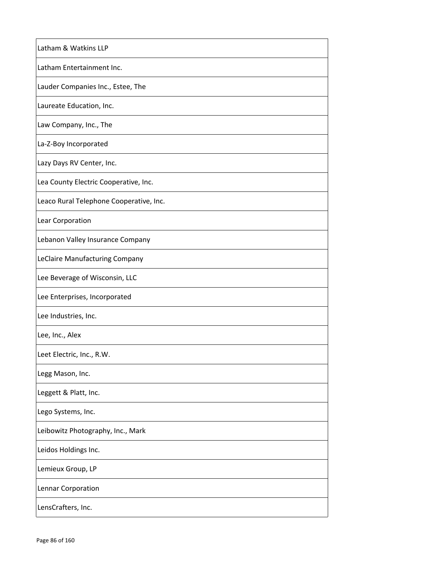| Latham & Watkins LLP                    |
|-----------------------------------------|
| Latham Entertainment Inc.               |
| Lauder Companies Inc., Estee, The       |
| Laureate Education, Inc.                |
| Law Company, Inc., The                  |
| La-Z-Boy Incorporated                   |
| Lazy Days RV Center, Inc.               |
| Lea County Electric Cooperative, Inc.   |
| Leaco Rural Telephone Cooperative, Inc. |
| Lear Corporation                        |
| Lebanon Valley Insurance Company        |
| LeClaire Manufacturing Company          |
| Lee Beverage of Wisconsin, LLC          |
| Lee Enterprises, Incorporated           |
| Lee Industries, Inc.                    |
| Lee, Inc., Alex                         |
| Leet Electric, Inc., R.W.               |
| Legg Mason, Inc.                        |
| Leggett & Platt, Inc.                   |
| Lego Systems, Inc.                      |
| Leibowitz Photography, Inc., Mark       |
| Leidos Holdings Inc.                    |
| Lemieux Group, LP                       |
| Lennar Corporation                      |
| LensCrafters, Inc.                      |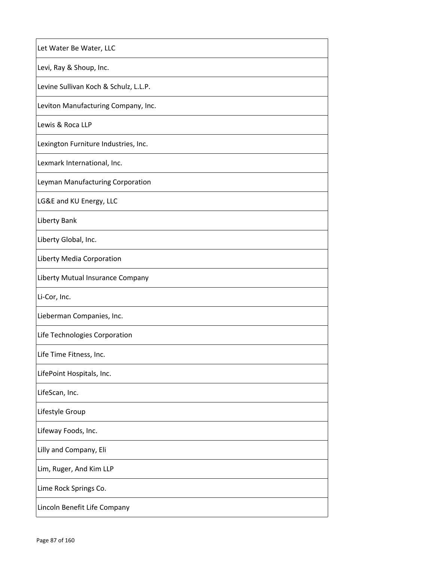| Let Water Be Water, LLC               |
|---------------------------------------|
| Levi, Ray & Shoup, Inc.               |
| Levine Sullivan Koch & Schulz, L.L.P. |
| Leviton Manufacturing Company, Inc.   |
| Lewis & Roca LLP                      |
| Lexington Furniture Industries, Inc.  |
| Lexmark International, Inc.           |
| Leyman Manufacturing Corporation      |
| LG&E and KU Energy, LLC               |
| Liberty Bank                          |
| Liberty Global, Inc.                  |
| Liberty Media Corporation             |
| Liberty Mutual Insurance Company      |
| Li-Cor, Inc.                          |
| Lieberman Companies, Inc.             |
| Life Technologies Corporation         |
| Life Time Fitness, Inc.               |
| LifePoint Hospitals, Inc.             |
| LifeScan, Inc.                        |
| Lifestyle Group                       |
| Lifeway Foods, Inc.                   |
| Lilly and Company, Eli                |
| Lim, Ruger, And Kim LLP               |
| Lime Rock Springs Co.                 |
| Lincoln Benefit Life Company          |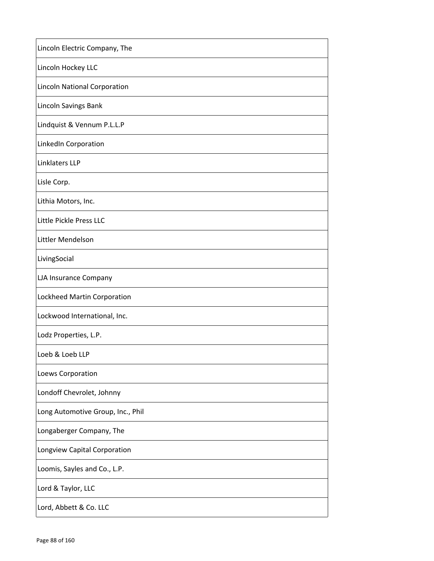| Lincoln Electric Company, The       |
|-------------------------------------|
| Lincoln Hockey LLC                  |
| <b>Lincoln National Corporation</b> |
| Lincoln Savings Bank                |
| Lindquist & Vennum P.L.L.P          |
| LinkedIn Corporation                |
| Linklaters LLP                      |
| Lisle Corp.                         |
| Lithia Motors, Inc.                 |
| Little Pickle Press LLC             |
| Littler Mendelson                   |
| LivingSocial                        |
| LJA Insurance Company               |
| Lockheed Martin Corporation         |
| Lockwood International, Inc.        |
| Lodz Properties, L.P.               |
| Loeb & Loeb LLP                     |
| Loews Corporation                   |
| Londoff Chevrolet, Johnny           |
| Long Automotive Group, Inc., Phil   |
| Longaberger Company, The            |
| Longview Capital Corporation        |
| Loomis, Sayles and Co., L.P.        |
| Lord & Taylor, LLC                  |
| Lord, Abbett & Co. LLC              |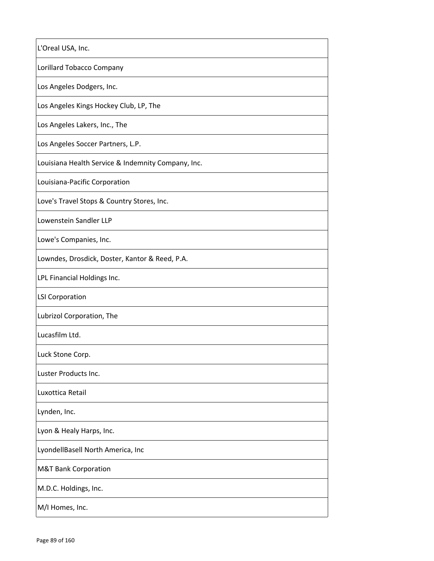| L'Oreal USA, Inc.                                  |
|----------------------------------------------------|
| Lorillard Tobacco Company                          |
| Los Angeles Dodgers, Inc.                          |
| Los Angeles Kings Hockey Club, LP, The             |
| Los Angeles Lakers, Inc., The                      |
| Los Angeles Soccer Partners, L.P.                  |
| Louisiana Health Service & Indemnity Company, Inc. |
| Louisiana-Pacific Corporation                      |
| Love's Travel Stops & Country Stores, Inc.         |
| Lowenstein Sandler LLP                             |
| Lowe's Companies, Inc.                             |
| Lowndes, Drosdick, Doster, Kantor & Reed, P.A.     |
| LPL Financial Holdings Inc.                        |
| <b>LSI Corporation</b>                             |
| Lubrizol Corporation, The                          |
| Lucasfilm Ltd.                                     |
| Luck Stone Corp.                                   |
| Luster Products Inc.                               |
| Luxottica Retail                                   |
| Lynden, Inc.                                       |
| Lyon & Healy Harps, Inc.                           |
| LyondellBasell North America, Inc                  |
| <b>M&amp;T Bank Corporation</b>                    |
| M.D.C. Holdings, Inc.                              |
| M/I Homes, Inc.                                    |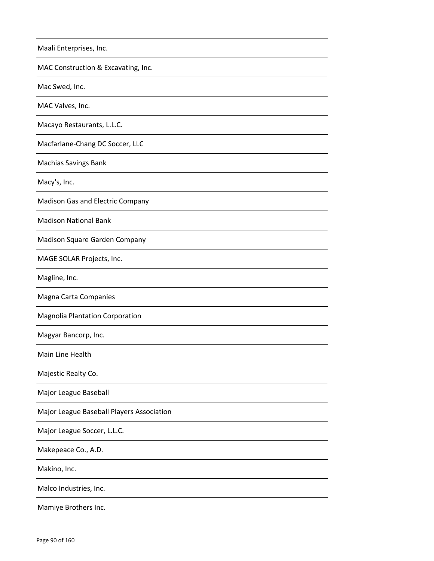| Maali Enterprises, Inc.                   |
|-------------------------------------------|
| MAC Construction & Excavating, Inc.       |
| Mac Swed, Inc.                            |
| MAC Valves, Inc.                          |
| Macayo Restaurants, L.L.C.                |
| Macfarlane-Chang DC Soccer, LLC           |
| <b>Machias Savings Bank</b>               |
| Macy's, Inc.                              |
| Madison Gas and Electric Company          |
| <b>Madison National Bank</b>              |
| Madison Square Garden Company             |
| MAGE SOLAR Projects, Inc.                 |
| Magline, Inc.                             |
| Magna Carta Companies                     |
| <b>Magnolia Plantation Corporation</b>    |
| Magyar Bancorp, Inc.                      |
| Main Line Health                          |
| Majestic Realty Co.                       |
| Major League Baseball                     |
| Major League Baseball Players Association |
| Major League Soccer, L.L.C.               |
| Makepeace Co., A.D.                       |
| Makino, Inc.                              |
| Malco Industries, Inc.                    |
| Mamiye Brothers Inc.                      |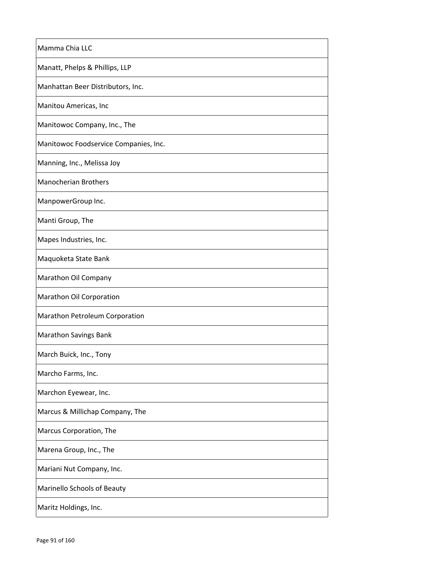| Mamma Chia LLC                        |
|---------------------------------------|
| Manatt, Phelps & Phillips, LLP        |
| Manhattan Beer Distributors, Inc.     |
| Manitou Americas, Inc                 |
| Manitowoc Company, Inc., The          |
| Manitowoc Foodservice Companies, Inc. |
| Manning, Inc., Melissa Joy            |
| <b>Manocherian Brothers</b>           |
| ManpowerGroup Inc.                    |
| Manti Group, The                      |
| Mapes Industries, Inc.                |
| Maquoketa State Bank                  |
| Marathon Oil Company                  |
| Marathon Oil Corporation              |
| Marathon Petroleum Corporation        |
| <b>Marathon Savings Bank</b>          |
| March Buick, Inc., Tony               |
| Marcho Farms, Inc.                    |
| Marchon Eyewear, Inc.                 |
| Marcus & Millichap Company, The       |
| Marcus Corporation, The               |
| Marena Group, Inc., The               |
| Mariani Nut Company, Inc.             |
| Marinello Schools of Beauty           |
| Maritz Holdings, Inc.                 |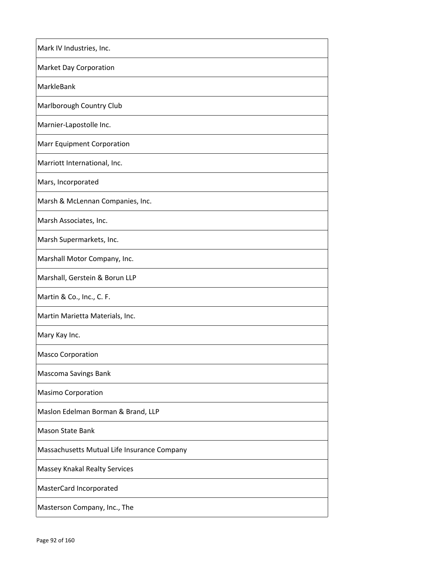| Mark IV Industries, Inc.                    |
|---------------------------------------------|
| <b>Market Day Corporation</b>               |
| MarkleBank                                  |
| Marlborough Country Club                    |
| Marnier-Lapostolle Inc.                     |
| <b>Marr Equipment Corporation</b>           |
| Marriott International, Inc.                |
| Mars, Incorporated                          |
| Marsh & McLennan Companies, Inc.            |
| Marsh Associates, Inc.                      |
| Marsh Supermarkets, Inc.                    |
| Marshall Motor Company, Inc.                |
| Marshall, Gerstein & Borun LLP              |
| Martin & Co., Inc., C. F.                   |
| Martin Marietta Materials, Inc.             |
| Mary Kay Inc.                               |
| <b>Masco Corporation</b>                    |
| Mascoma Savings Bank                        |
| <b>Masimo Corporation</b>                   |
| Maslon Edelman Borman & Brand, LLP          |
| <b>Mason State Bank</b>                     |
| Massachusetts Mutual Life Insurance Company |
| Massey Knakal Realty Services               |
| MasterCard Incorporated                     |
| Masterson Company, Inc., The                |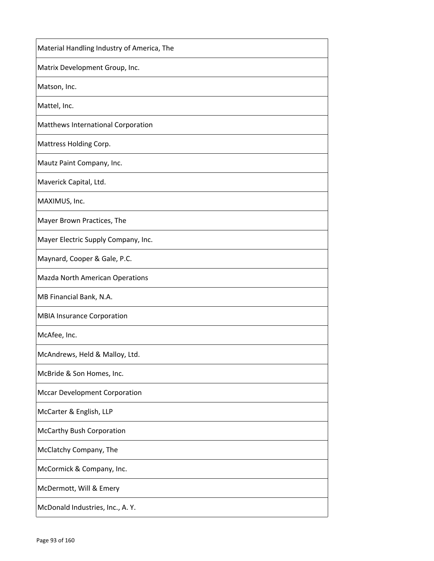| Material Handling Industry of America, The |
|--------------------------------------------|
| Matrix Development Group, Inc.             |
| Matson, Inc.                               |
| Mattel, Inc.                               |
| Matthews International Corporation         |
| Mattress Holding Corp.                     |
| Mautz Paint Company, Inc.                  |
| Maverick Capital, Ltd.                     |
| MAXIMUS, Inc.                              |
| Mayer Brown Practices, The                 |
| Mayer Electric Supply Company, Inc.        |
| Maynard, Cooper & Gale, P.C.               |
| Mazda North American Operations            |
| MB Financial Bank, N.A.                    |
| <b>MBIA Insurance Corporation</b>          |
| McAfee, Inc.                               |
| McAndrews, Held & Malloy, Ltd.             |
| McBride & Son Homes, Inc.                  |
| <b>Mccar Development Corporation</b>       |
| McCarter & English, LLP                    |
| <b>McCarthy Bush Corporation</b>           |
| McClatchy Company, The                     |
| McCormick & Company, Inc.                  |
| McDermott, Will & Emery                    |
| McDonald Industries, Inc., A.Y.            |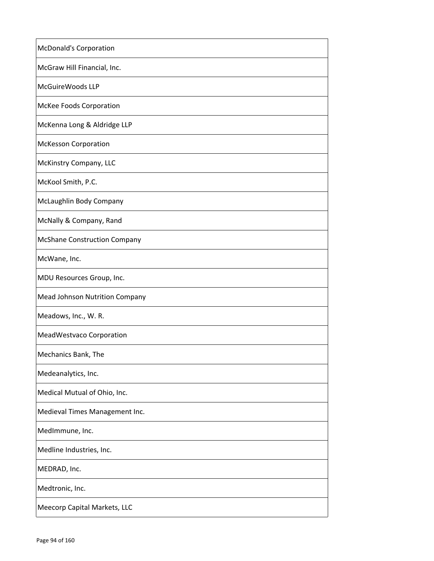| <b>McDonald's Corporation</b>       |
|-------------------------------------|
| McGraw Hill Financial, Inc.         |
| McGuireWoods LLP                    |
| <b>McKee Foods Corporation</b>      |
| McKenna Long & Aldridge LLP         |
| <b>McKesson Corporation</b>         |
| McKinstry Company, LLC              |
| McKool Smith, P.C.                  |
| McLaughlin Body Company             |
| McNally & Company, Rand             |
| <b>McShane Construction Company</b> |
| McWane, Inc.                        |
| MDU Resources Group, Inc.           |
| Mead Johnson Nutrition Company      |
| Meadows, Inc., W. R.                |
| MeadWestvaco Corporation            |
| Mechanics Bank, The                 |
| Medeanalytics, Inc.                 |
| Medical Mutual of Ohio, Inc.        |
| Medieval Times Management Inc.      |
| MedImmune, Inc.                     |
| Medline Industries, Inc.            |
| MEDRAD, Inc.                        |
| Medtronic, Inc.                     |
| Meecorp Capital Markets, LLC        |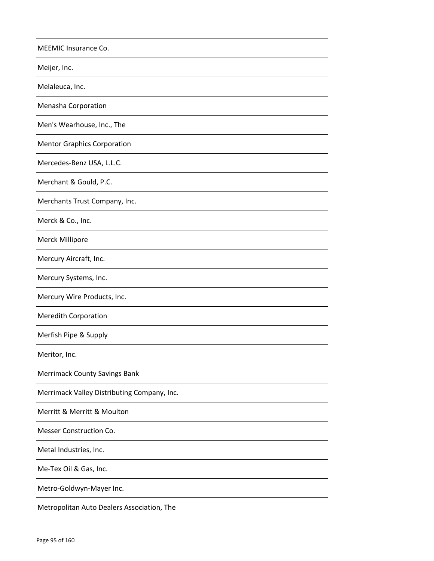| MEEMIC Insurance Co.                        |
|---------------------------------------------|
| Meijer, Inc.                                |
| Melaleuca, Inc.                             |
| Menasha Corporation                         |
| Men's Wearhouse, Inc., The                  |
| <b>Mentor Graphics Corporation</b>          |
| Mercedes-Benz USA, L.L.C.                   |
| Merchant & Gould, P.C.                      |
| Merchants Trust Company, Inc.               |
| Merck & Co., Inc.                           |
| Merck Millipore                             |
| Mercury Aircraft, Inc.                      |
| Mercury Systems, Inc.                       |
| Mercury Wire Products, Inc.                 |
| <b>Meredith Corporation</b>                 |
| Merfish Pipe & Supply                       |
| Meritor, Inc.                               |
| <b>Merrimack County Savings Bank</b>        |
| Merrimack Valley Distributing Company, Inc. |
| Merritt & Merritt & Moulton                 |
| Messer Construction Co.                     |
| Metal Industries, Inc.                      |
| Me-Tex Oil & Gas, Inc.                      |
| Metro-Goldwyn-Mayer Inc.                    |
| Metropolitan Auto Dealers Association, The  |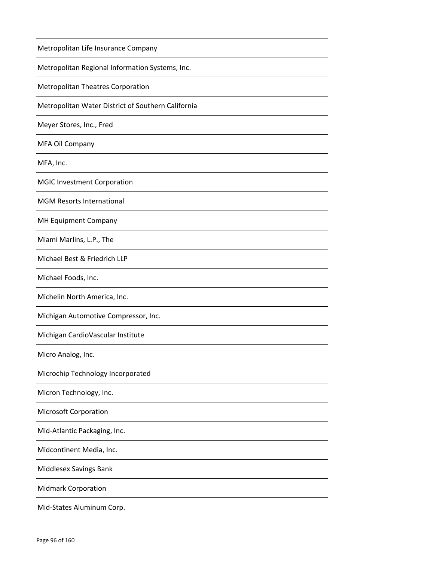| Metropolitan Life Insurance Company                |
|----------------------------------------------------|
| Metropolitan Regional Information Systems, Inc.    |
| <b>Metropolitan Theatres Corporation</b>           |
| Metropolitan Water District of Southern California |
| Meyer Stores, Inc., Fred                           |
| MFA Oil Company                                    |
| MFA, Inc.                                          |
| <b>MGIC Investment Corporation</b>                 |
| <b>MGM Resorts International</b>                   |
| MH Equipment Company                               |
| Miami Marlins, L.P., The                           |
| Michael Best & Friedrich LLP                       |
| Michael Foods, Inc.                                |
| Michelin North America, Inc.                       |
| Michigan Automotive Compressor, Inc.               |
| Michigan CardioVascular Institute                  |
| Micro Analog, Inc.                                 |
| Microchip Technology Incorporated                  |
| Micron Technology, Inc.                            |
| <b>Microsoft Corporation</b>                       |
| Mid-Atlantic Packaging, Inc.                       |
| Midcontinent Media, Inc.                           |
| Middlesex Savings Bank                             |
| <b>Midmark Corporation</b>                         |
| Mid-States Aluminum Corp.                          |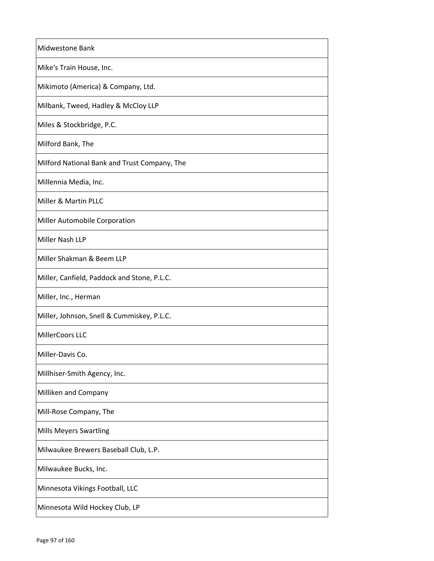| Midwestone Bank                              |
|----------------------------------------------|
| Mike's Train House, Inc.                     |
| Mikimoto (America) & Company, Ltd.           |
| Milbank, Tweed, Hadley & McCloy LLP          |
| Miles & Stockbridge, P.C.                    |
| Milford Bank, The                            |
| Milford National Bank and Trust Company, The |
| Millennia Media, Inc.                        |
| Miller & Martin PLLC                         |
| Miller Automobile Corporation                |
| Miller Nash LLP                              |
| Miller Shakman & Beem LLP                    |
| Miller, Canfield, Paddock and Stone, P.L.C.  |
| Miller, Inc., Herman                         |
| Miller, Johnson, Snell & Cummiskey, P.L.C.   |
| MillerCoors LLC                              |
| Miller-Davis Co                              |
| Millhiser-Smith Agency, Inc.                 |
| Milliken and Company                         |
| Mill-Rose Company, The                       |
| <b>Mills Meyers Swartling</b>                |
| Milwaukee Brewers Baseball Club, L.P.        |
| Milwaukee Bucks, Inc.                        |
| Minnesota Vikings Football, LLC              |
| Minnesota Wild Hockey Club, LP               |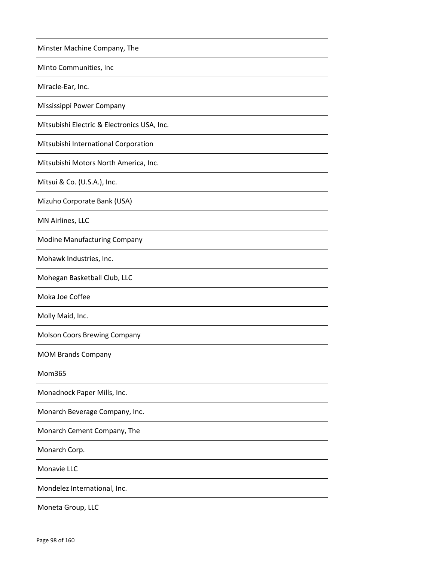| Minster Machine Company, The                |
|---------------------------------------------|
| Minto Communities, Inc                      |
| Miracle-Ear, Inc.                           |
| Mississippi Power Company                   |
| Mitsubishi Electric & Electronics USA, Inc. |
| Mitsubishi International Corporation        |
| Mitsubishi Motors North America, Inc.       |
| Mitsui & Co. (U.S.A.), Inc.                 |
| Mizuho Corporate Bank (USA)                 |
| MN Airlines, LLC                            |
| <b>Modine Manufacturing Company</b>         |
| Mohawk Industries, Inc.                     |
| Mohegan Basketball Club, LLC                |
| Moka Joe Coffee                             |
| Molly Maid, Inc.                            |
| <b>Molson Coors Brewing Company</b>         |
| <b>MOM Brands Company</b>                   |
| Mom365                                      |
| Monadnock Paper Mills, Inc.                 |
| Monarch Beverage Company, Inc.              |
| Monarch Cement Company, The                 |
| Monarch Corp.                               |
| Monavie LLC                                 |
| Mondelez International, Inc.                |
| Moneta Group, LLC                           |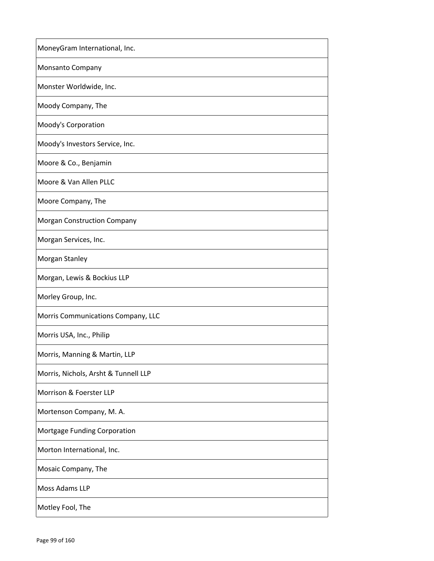| MoneyGram International, Inc.        |
|--------------------------------------|
| Monsanto Company                     |
| Monster Worldwide, Inc.              |
| Moody Company, The                   |
| Moody's Corporation                  |
| Moody's Investors Service, Inc.      |
| Moore & Co., Benjamin                |
| Moore & Van Allen PLLC               |
| Moore Company, The                   |
| <b>Morgan Construction Company</b>   |
| Morgan Services, Inc.                |
| Morgan Stanley                       |
| Morgan, Lewis & Bockius LLP          |
| Morley Group, Inc.                   |
| Morris Communications Company, LLC   |
| Morris USA, Inc., Philip             |
| Morris, Manning & Martin, LLP        |
| Morris, Nichols, Arsht & Tunnell LLP |
| Morrison & Foerster LLP              |
| Mortenson Company, M. A.             |
| Mortgage Funding Corporation         |
| Morton International, Inc.           |
| Mosaic Company, The                  |
| Moss Adams LLP                       |
| Motley Fool, The                     |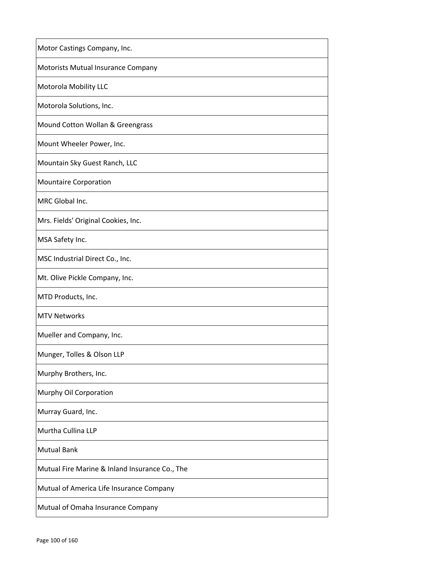| Motor Castings Company, Inc.                   |
|------------------------------------------------|
| Motorists Mutual Insurance Company             |
| <b>Motorola Mobility LLC</b>                   |
| Motorola Solutions, Inc.                       |
| Mound Cotton Wollan & Greengrass               |
| Mount Wheeler Power, Inc.                      |
| Mountain Sky Guest Ranch, LLC                  |
| <b>Mountaire Corporation</b>                   |
| MRC Global Inc.                                |
| Mrs. Fields' Original Cookies, Inc.            |
| MSA Safety Inc.                                |
| MSC Industrial Direct Co., Inc.                |
| Mt. Olive Pickle Company, Inc.                 |
| MTD Products, Inc.                             |
| <b>MTV Networks</b>                            |
| Mueller and Company, Inc.                      |
| Munger, Tolles & Olson LLP                     |
| Murphy Brothers, Inc.                          |
| Murphy Oil Corporation                         |
| Murray Guard, Inc.                             |
| Murtha Cullina LLP                             |
| <b>Mutual Bank</b>                             |
| Mutual Fire Marine & Inland Insurance Co., The |
| Mutual of America Life Insurance Company       |
| Mutual of Omaha Insurance Company              |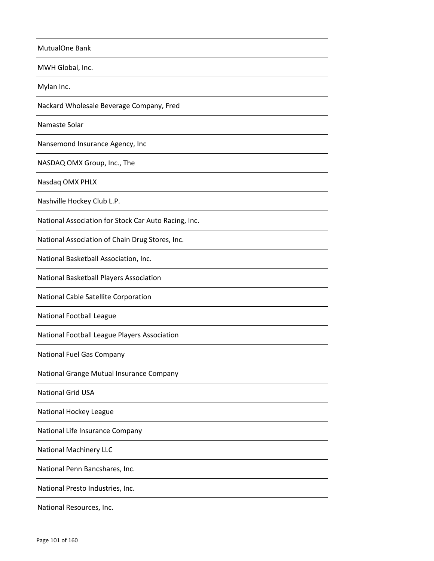| MutualOne Bank                                       |
|------------------------------------------------------|
| MWH Global, Inc.                                     |
| Mylan Inc.                                           |
| Nackard Wholesale Beverage Company, Fred             |
| Namaste Solar                                        |
| Nansemond Insurance Agency, Inc                      |
| NASDAQ OMX Group, Inc., The                          |
| Nasdaq OMX PHLX                                      |
| Nashville Hockey Club L.P.                           |
| National Association for Stock Car Auto Racing, Inc. |
| National Association of Chain Drug Stores, Inc.      |
| National Basketball Association, Inc.                |
| National Basketball Players Association              |
| National Cable Satellite Corporation                 |
| National Football League                             |
| National Football League Players Association         |
| National Fuel Gas Company                            |
| National Grange Mutual Insurance Company             |
| <b>National Grid USA</b>                             |
| National Hockey League                               |
| National Life Insurance Company                      |
| <b>National Machinery LLC</b>                        |
| National Penn Bancshares, Inc.                       |
| National Presto Industries, Inc.                     |
| National Resources, Inc.                             |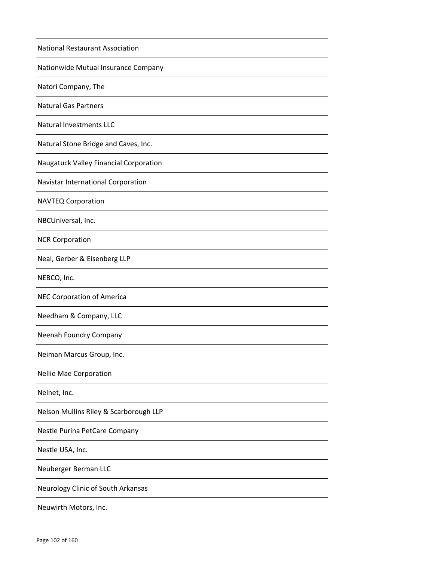| <b>National Restaurant Association</b> |
|----------------------------------------|
| Nationwide Mutual Insurance Company    |
| Natori Company, The                    |
| <b>Natural Gas Partners</b>            |
| <b>Natural Investments LLC</b>         |
| Natural Stone Bridge and Caves, Inc.   |
| Naugatuck Valley Financial Corporation |
| Navistar International Corporation     |
| <b>NAVTEQ Corporation</b>              |
| NBCUniversal, Inc.                     |
| <b>NCR Corporation</b>                 |
| Neal, Gerber & Eisenberg LLP           |
| NEBCO, Inc.                            |
| <b>NEC Corporation of America</b>      |
| Needham & Company, LLC                 |
| Neenah Foundry Company                 |
| Neiman Marcus Group, Inc.              |
| Nellie Mae Corporation                 |
| Nelnet, Inc.                           |
| Nelson Mullins Riley & Scarborough LLP |
| Nestle Purina PetCare Company          |
| Nestle USA, Inc.                       |
| Neuberger Berman LLC                   |
| Neurology Clinic of South Arkansas     |
| Neuwirth Motors, Inc.                  |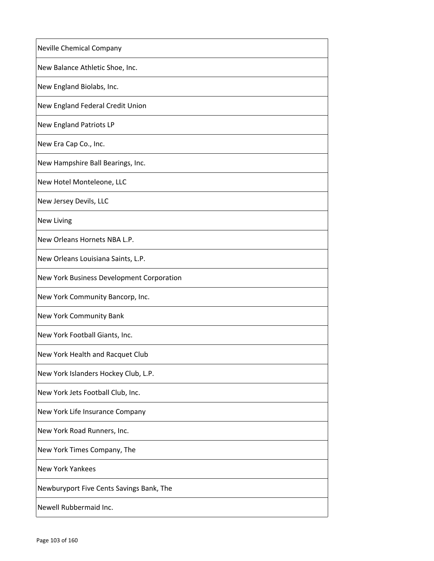| Neville Chemical Company                  |
|-------------------------------------------|
| New Balance Athletic Shoe, Inc.           |
| New England Biolabs, Inc.                 |
| New England Federal Credit Union          |
| <b>New England Patriots LP</b>            |
| New Era Cap Co., Inc.                     |
| New Hampshire Ball Bearings, Inc.         |
| New Hotel Monteleone, LLC                 |
| New Jersey Devils, LLC                    |
| <b>New Living</b>                         |
| New Orleans Hornets NBA L.P.              |
| New Orleans Louisiana Saints, L.P.        |
| New York Business Development Corporation |
| New York Community Bancorp, Inc.          |
| New York Community Bank                   |
| New York Football Giants, Inc.            |
| New York Health and Racquet Club          |
| New York Islanders Hockey Club, L.P.      |
| New York Jets Football Club, Inc.         |
| New York Life Insurance Company           |
| New York Road Runners, Inc.               |
| New York Times Company, The               |
| New York Yankees                          |
| Newburyport Five Cents Savings Bank, The  |
| Newell Rubbermaid Inc.                    |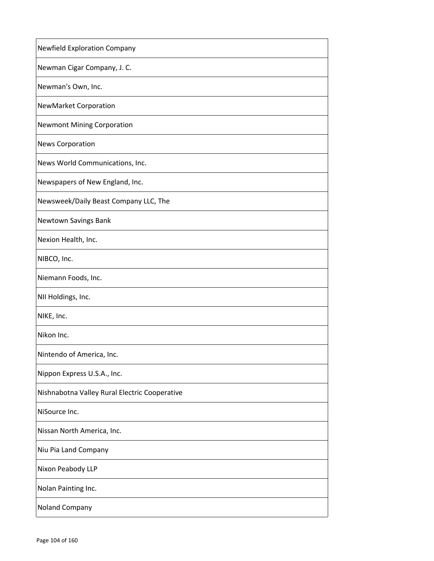| <b>Newfield Exploration Company</b>           |
|-----------------------------------------------|
| Newman Cigar Company, J. C.                   |
| Newman's Own, Inc.                            |
| <b>NewMarket Corporation</b>                  |
| <b>Newmont Mining Corporation</b>             |
| <b>News Corporation</b>                       |
| News World Communications, Inc.               |
| Newspapers of New England, Inc.               |
| Newsweek/Daily Beast Company LLC, The         |
| Newtown Savings Bank                          |
| Nexion Health, Inc.                           |
| NIBCO, Inc.                                   |
| Niemann Foods, Inc.                           |
| NII Holdings, Inc.                            |
| NIKE, Inc.                                    |
| Nikon Inc.                                    |
| Nintendo of America, Inc.                     |
| Nippon Express U.S.A., Inc.                   |
| Nishnabotna Valley Rural Electric Cooperative |
| NiSource Inc.                                 |
| Nissan North America, Inc.                    |
| Niu Pia Land Company                          |
| Nixon Peabody LLP                             |
| Nolan Painting Inc.                           |
| <b>Noland Company</b>                         |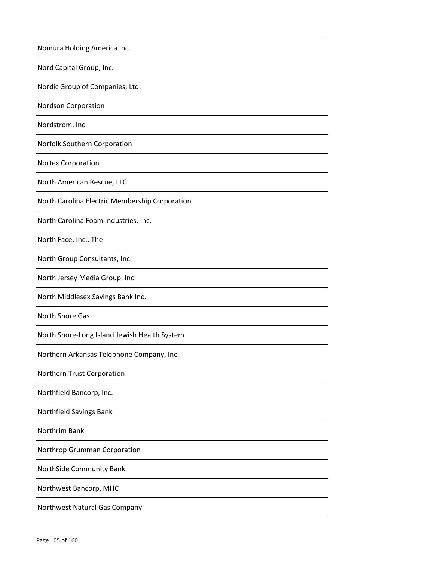| Nomura Holding America Inc.                    |
|------------------------------------------------|
| Nord Capital Group, Inc.                       |
| Nordic Group of Companies, Ltd.                |
| <b>Nordson Corporation</b>                     |
| Nordstrom, Inc.                                |
| Norfolk Southern Corporation                   |
| Nortex Corporation                             |
| North American Rescue, LLC                     |
| North Carolina Electric Membership Corporation |
| North Carolina Foam Industries, Inc.           |
| North Face, Inc., The                          |
| North Group Consultants, Inc.                  |
| North Jersey Media Group, Inc.                 |
| North Middlesex Savings Bank Inc.              |
| <b>North Shore Gas</b>                         |
| North Shore-Long Island Jewish Health System   |
| Northern Arkansas Telephone Company, Inc.      |
| Northern Trust Corporation                     |
| Northfield Bancorp, Inc.                       |
| Northfield Savings Bank                        |
| Northrim Bank                                  |
| Northrop Grumman Corporation                   |
| NorthSide Community Bank                       |
| Northwest Bancorp, MHC                         |
| Northwest Natural Gas Company                  |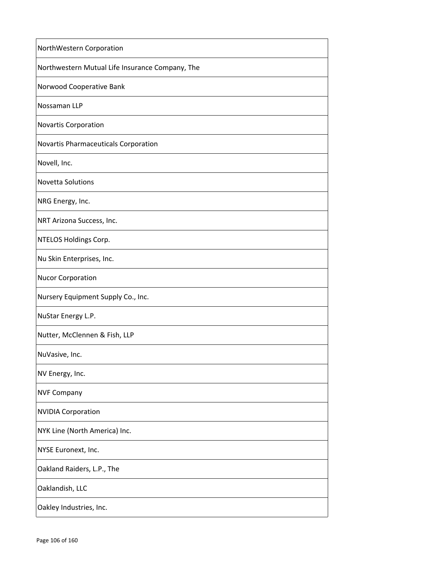| NorthWestern Corporation                        |
|-------------------------------------------------|
| Northwestern Mutual Life Insurance Company, The |
| Norwood Cooperative Bank                        |
| Nossaman LLP                                    |
| <b>Novartis Corporation</b>                     |
| Novartis Pharmaceuticals Corporation            |
| Novell, Inc.                                    |
| <b>Novetta Solutions</b>                        |
| NRG Energy, Inc.                                |
| NRT Arizona Success, Inc.                       |
| NTELOS Holdings Corp.                           |
| Nu Skin Enterprises, Inc.                       |
| <b>Nucor Corporation</b>                        |
| Nursery Equipment Supply Co., Inc.              |
| NuStar Energy L.P.                              |
| Nutter, McClennen & Fish, LLP                   |
| NuVasive, Inc.                                  |
| NV Energy, Inc.                                 |
| <b>NVF Company</b>                              |
| <b>NVIDIA Corporation</b>                       |
| NYK Line (North America) Inc.                   |
| NYSE Euronext, Inc.                             |
| Oakland Raiders, L.P., The                      |
| Oaklandish, LLC                                 |
| Oakley Industries, Inc.                         |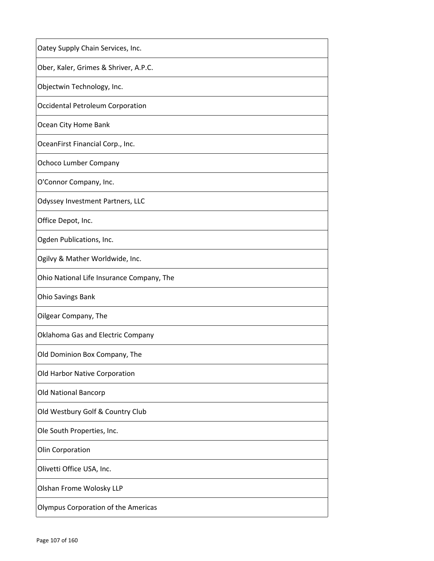| Oatey Supply Chain Services, Inc.          |
|--------------------------------------------|
| Ober, Kaler, Grimes & Shriver, A.P.C.      |
| Objectwin Technology, Inc.                 |
| Occidental Petroleum Corporation           |
| Ocean City Home Bank                       |
| OceanFirst Financial Corp., Inc.           |
| <b>Ochoco Lumber Company</b>               |
| O'Connor Company, Inc.                     |
| Odyssey Investment Partners, LLC           |
| Office Depot, Inc.                         |
| Ogden Publications, Inc.                   |
| Ogilvy & Mather Worldwide, Inc.            |
| Ohio National Life Insurance Company, The  |
| <b>Ohio Savings Bank</b>                   |
| Oilgear Company, The                       |
| Oklahoma Gas and Electric Company          |
| Old Dominion Box Company, The              |
| Old Harbor Native Corporation              |
| <b>Old National Bancorp</b>                |
| Old Westbury Golf & Country Club           |
| Ole South Properties, Inc.                 |
| Olin Corporation                           |
| Olivetti Office USA, Inc.                  |
| Olshan Frome Wolosky LLP                   |
| <b>Olympus Corporation of the Americas</b> |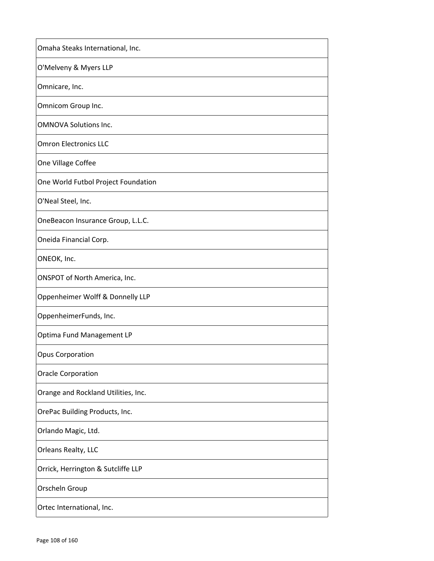| Omaha Steaks International, Inc.    |
|-------------------------------------|
| O'Melveny & Myers LLP               |
| Omnicare, Inc.                      |
| Omnicom Group Inc.                  |
| <b>OMNOVA Solutions Inc.</b>        |
| <b>Omron Electronics LLC</b>        |
| One Village Coffee                  |
| One World Futbol Project Foundation |
| O'Neal Steel, Inc.                  |
| OneBeacon Insurance Group, L.L.C.   |
| Oneida Financial Corp.              |
| ONEOK, Inc.                         |
| ONSPOT of North America, Inc.       |
| Oppenheimer Wolff & Donnelly LLP    |
| OppenheimerFunds, Inc.              |
| Optima Fund Management LP           |
| Opus Corporation                    |
| <b>Oracle Corporation</b>           |
| Orange and Rockland Utilities, Inc. |
| OrePac Building Products, Inc.      |
| Orlando Magic, Ltd.                 |
| Orleans Realty, LLC                 |
| Orrick, Herrington & Sutcliffe LLP  |
| Orscheln Group                      |
| Ortec International, Inc.           |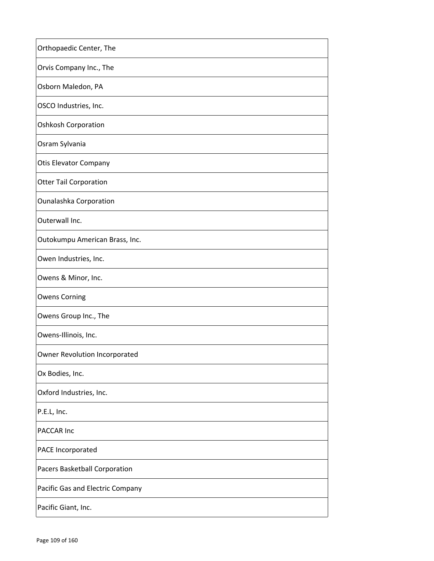| Orthopaedic Center, The          |
|----------------------------------|
| Orvis Company Inc., The          |
| Osborn Maledon, PA               |
| OSCO Industries, Inc.            |
| <b>Oshkosh Corporation</b>       |
| Osram Sylvania                   |
| <b>Otis Elevator Company</b>     |
| <b>Otter Tail Corporation</b>    |
| <b>Ounalashka Corporation</b>    |
| Outerwall Inc.                   |
| Outokumpu American Brass, Inc.   |
| Owen Industries, Inc.            |
| Owens & Minor, Inc.              |
| <b>Owens Corning</b>             |
| Owens Group Inc., The            |
| Owens-Illinois, Inc.             |
| Owner Revolution Incorporated    |
| Ox Bodies, Inc.                  |
| Oxford Industries, Inc.          |
| P.E.L, Inc.                      |
| PACCAR Inc                       |
| PACE Incorporated                |
| Pacers Basketball Corporation    |
| Pacific Gas and Electric Company |
| Pacific Giant, Inc.              |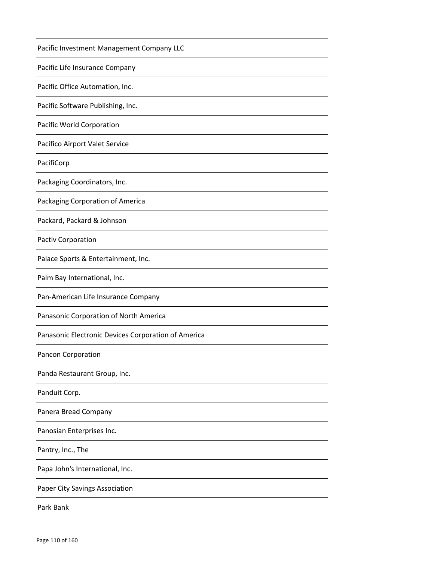| Pacific Investment Management Company LLC           |
|-----------------------------------------------------|
| Pacific Life Insurance Company                      |
| Pacific Office Automation, Inc.                     |
| Pacific Software Publishing, Inc.                   |
| Pacific World Corporation                           |
| Pacifico Airport Valet Service                      |
| PacifiCorp                                          |
| Packaging Coordinators, Inc.                        |
| Packaging Corporation of America                    |
| Packard, Packard & Johnson                          |
| <b>Pactiv Corporation</b>                           |
| Palace Sports & Entertainment, Inc.                 |
| Palm Bay International, Inc.                        |
| Pan-American Life Insurance Company                 |
| Panasonic Corporation of North America              |
| Panasonic Electronic Devices Corporation of America |
| Pancon Corporation                                  |
| Panda Restaurant Group, Inc.                        |
| Panduit Corp.                                       |
| Panera Bread Company                                |
| Panosian Enterprises Inc.                           |
| Pantry, Inc., The                                   |
| Papa John's International, Inc.                     |
| Paper City Savings Association                      |
| Park Bank                                           |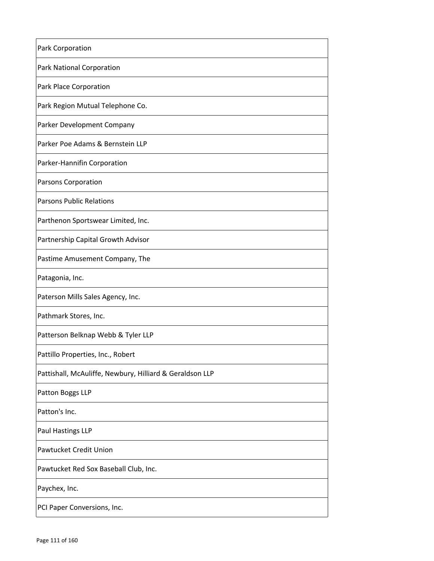| Park Corporation                                         |
|----------------------------------------------------------|
| <b>Park National Corporation</b>                         |
| Park Place Corporation                                   |
| Park Region Mutual Telephone Co.                         |
| <b>Parker Development Company</b>                        |
| Parker Poe Adams & Bernstein LLP                         |
| Parker-Hannifin Corporation                              |
| Parsons Corporation                                      |
| <b>Parsons Public Relations</b>                          |
| Parthenon Sportswear Limited, Inc.                       |
| Partnership Capital Growth Advisor                       |
| Pastime Amusement Company, The                           |
| Patagonia, Inc.                                          |
| Paterson Mills Sales Agency, Inc.                        |
| Pathmark Stores, Inc.                                    |
| Patterson Belknap Webb & Tyler LLP                       |
| Pattillo Properties, Inc., Robert                        |
| Pattishall, McAuliffe, Newbury, Hilliard & Geraldson LLP |
| Patton Boggs LLP                                         |
| Patton's Inc.                                            |
| Paul Hastings LLP                                        |
| <b>Pawtucket Credit Union</b>                            |
| Pawtucket Red Sox Baseball Club, Inc.                    |
| Paychex, Inc.                                            |
| PCI Paper Conversions, Inc.                              |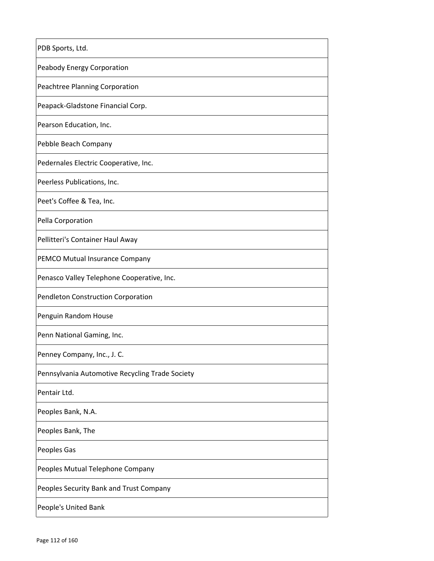| PDB Sports, Ltd.                                |
|-------------------------------------------------|
| Peabody Energy Corporation                      |
| Peachtree Planning Corporation                  |
| Peapack-Gladstone Financial Corp.               |
| Pearson Education, Inc.                         |
| Pebble Beach Company                            |
| Pedernales Electric Cooperative, Inc.           |
| Peerless Publications, Inc.                     |
| Peet's Coffee & Tea, Inc.                       |
| Pella Corporation                               |
| Pellitteri's Container Haul Away                |
| PEMCO Mutual Insurance Company                  |
| Penasco Valley Telephone Cooperative, Inc.      |
| Pendleton Construction Corporation              |
| Penguin Random House                            |
| Penn National Gaming, Inc.                      |
| Penney Company, Inc., J. C.                     |
| Pennsylvania Automotive Recycling Trade Society |
| Pentair Ltd.                                    |
| Peoples Bank, N.A.                              |
| Peoples Bank, The                               |
| Peoples Gas                                     |
| Peoples Mutual Telephone Company                |
| Peoples Security Bank and Trust Company         |
| People's United Bank                            |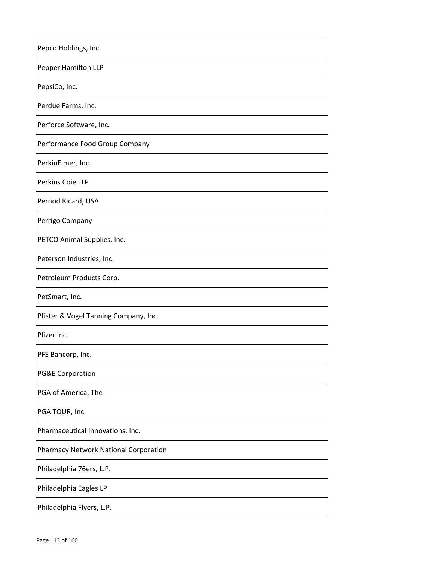| Pepco Holdings, Inc.                  |
|---------------------------------------|
| Pepper Hamilton LLP                   |
| PepsiCo, Inc.                         |
| Perdue Farms, Inc.                    |
| Perforce Software, Inc.               |
| Performance Food Group Company        |
| PerkinElmer, Inc.                     |
| Perkins Coie LLP                      |
| Pernod Ricard, USA                    |
| Perrigo Company                       |
| PETCO Animal Supplies, Inc.           |
| Peterson Industries, Inc.             |
| Petroleum Products Corp.              |
| PetSmart, Inc.                        |
| Pfister & Vogel Tanning Company, Inc. |
| Pfizer Inc.                           |
| PFS Bancorp, Inc.                     |
| <b>PG&amp;E Corporation</b>           |
| PGA of America, The                   |
| PGA TOUR, Inc.                        |
| Pharmaceutical Innovations, Inc.      |
| Pharmacy Network National Corporation |
| Philadelphia 76ers, L.P.              |
| Philadelphia Eagles LP                |
| Philadelphia Flyers, L.P.             |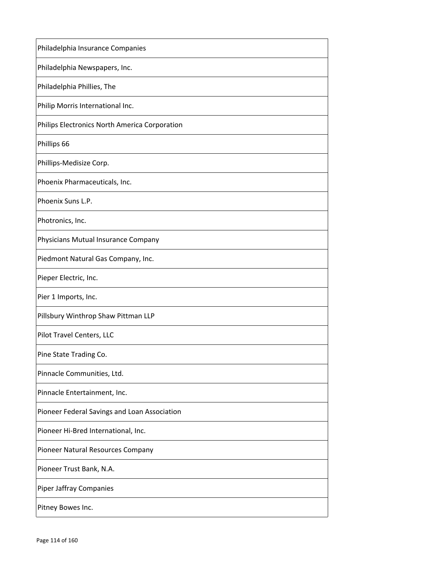| Philadelphia Insurance Companies              |
|-----------------------------------------------|
| Philadelphia Newspapers, Inc.                 |
| Philadelphia Phillies, The                    |
| Philip Morris International Inc.              |
| Philips Electronics North America Corporation |
| Phillips 66                                   |
| Phillips-Medisize Corp.                       |
| Phoenix Pharmaceuticals, Inc.                 |
| Phoenix Suns L.P.                             |
| Photronics, Inc.                              |
| Physicians Mutual Insurance Company           |
| Piedmont Natural Gas Company, Inc.            |
| Pieper Electric, Inc.                         |
| Pier 1 Imports, Inc.                          |
| Pillsbury Winthrop Shaw Pittman LLP           |
| Pilot Travel Centers, LLC                     |
| Pine State Trading Co.                        |
| Pinnacle Communities, Ltd.                    |
| Pinnacle Entertainment, Inc.                  |
| Pioneer Federal Savings and Loan Association  |
| Pioneer Hi-Bred International, Inc.           |
| Pioneer Natural Resources Company             |
| Pioneer Trust Bank, N.A.                      |
| <b>Piper Jaffray Companies</b>                |
| Pitney Bowes Inc.                             |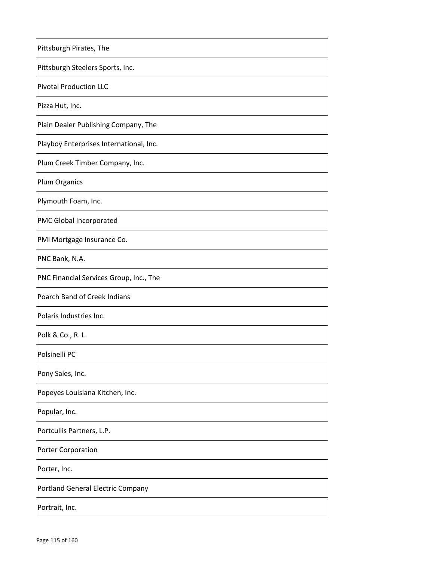| Pittsburgh Pirates, The                 |
|-----------------------------------------|
| Pittsburgh Steelers Sports, Inc.        |
| <b>Pivotal Production LLC</b>           |
| Pizza Hut, Inc.                         |
| Plain Dealer Publishing Company, The    |
| Playboy Enterprises International, Inc. |
| Plum Creek Timber Company, Inc.         |
| <b>Plum Organics</b>                    |
| Plymouth Foam, Inc.                     |
| PMC Global Incorporated                 |
| PMI Mortgage Insurance Co.              |
| PNC Bank, N.A.                          |
| PNC Financial Services Group, Inc., The |
| Poarch Band of Creek Indians            |
| Polaris Industries Inc.                 |
| Polk & Co., R. L.                       |
| Polsinelli PC                           |
| Pony Sales, Inc.                        |
| Popeyes Louisiana Kitchen, Inc.         |
| Popular, Inc.                           |
| Portcullis Partners, L.P.               |
| Porter Corporation                      |
| Porter, Inc.                            |
| Portland General Electric Company       |
| Portrait, Inc.                          |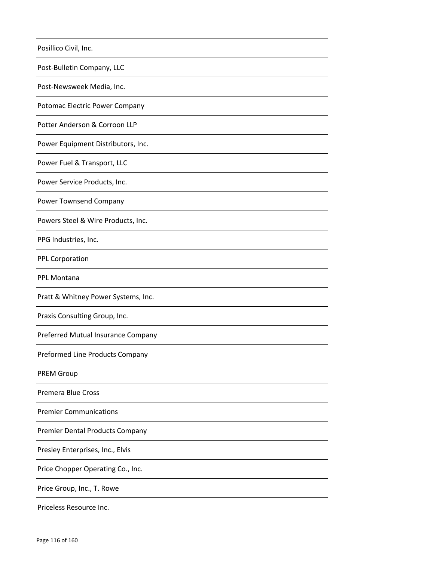| Posillico Civil, Inc.                  |
|----------------------------------------|
| Post-Bulletin Company, LLC             |
| Post-Newsweek Media, Inc.              |
| Potomac Electric Power Company         |
| Potter Anderson & Corroon LLP          |
| Power Equipment Distributors, Inc.     |
| Power Fuel & Transport, LLC            |
| Power Service Products, Inc.           |
| <b>Power Townsend Company</b>          |
| Powers Steel & Wire Products, Inc.     |
| PPG Industries, Inc.                   |
| <b>PPL Corporation</b>                 |
| PPL Montana                            |
| Pratt & Whitney Power Systems, Inc.    |
| Praxis Consulting Group, Inc.          |
| Preferred Mutual Insurance Company     |
| Preformed Line Products Company        |
| <b>PREM Group</b>                      |
| <b>Premera Blue Cross</b>              |
| <b>Premier Communications</b>          |
| <b>Premier Dental Products Company</b> |
| Presley Enterprises, Inc., Elvis       |
| Price Chopper Operating Co., Inc.      |
| Price Group, Inc., T. Rowe             |
| Priceless Resource Inc.                |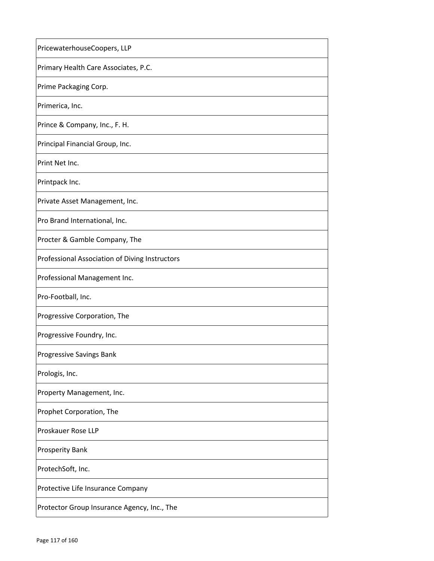| PricewaterhouseCoopers, LLP                    |
|------------------------------------------------|
| Primary Health Care Associates, P.C.           |
| Prime Packaging Corp.                          |
| Primerica, Inc.                                |
| Prince & Company, Inc., F. H.                  |
| Principal Financial Group, Inc.                |
| Print Net Inc.                                 |
| Printpack Inc.                                 |
| Private Asset Management, Inc.                 |
| Pro Brand International, Inc.                  |
| Procter & Gamble Company, The                  |
| Professional Association of Diving Instructors |
| Professional Management Inc.                   |
| Pro-Football, Inc.                             |
| Progressive Corporation, The                   |
| Progressive Foundry, Inc.                      |
| Progressive Savings Bank                       |
| Prologis, Inc.                                 |
| Property Management, Inc.                      |
| Prophet Corporation, The                       |
| Proskauer Rose LLP                             |
| <b>Prosperity Bank</b>                         |
| ProtechSoft, Inc.                              |
| Protective Life Insurance Company              |
| Protector Group Insurance Agency, Inc., The    |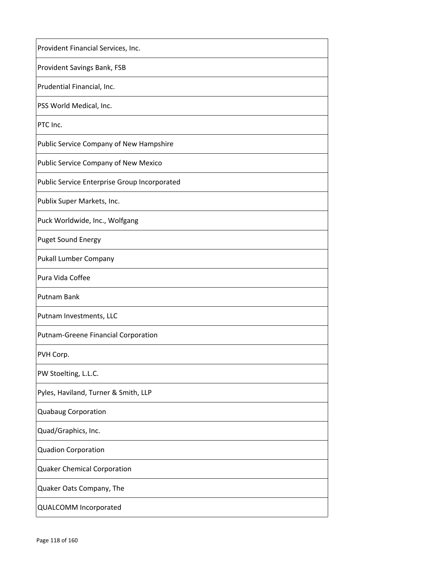| Provident Financial Services, Inc.           |
|----------------------------------------------|
| <b>Provident Savings Bank, FSB</b>           |
| Prudential Financial, Inc.                   |
| PSS World Medical, Inc.                      |
| PTC Inc.                                     |
| Public Service Company of New Hampshire      |
| Public Service Company of New Mexico         |
| Public Service Enterprise Group Incorporated |
| Publix Super Markets, Inc.                   |
| Puck Worldwide, Inc., Wolfgang               |
| <b>Puget Sound Energy</b>                    |
| Pukall Lumber Company                        |
| Pura Vida Coffee                             |
| Putnam Bank                                  |
| Putnam Investments, LLC                      |
| Putnam-Greene Financial Corporation          |
| PVH Corp.                                    |
| PW Stoelting, L.L.C.                         |
| Pyles, Haviland, Turner & Smith, LLP         |
| <b>Quabaug Corporation</b>                   |
| Quad/Graphics, Inc.                          |
| <b>Quadion Corporation</b>                   |
| <b>Quaker Chemical Corporation</b>           |
| Quaker Oats Company, The                     |
| QUALCOMM Incorporated                        |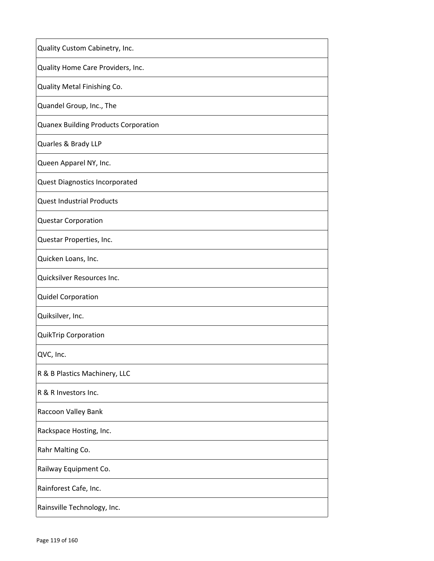| Quality Custom Cabinetry, Inc.              |
|---------------------------------------------|
| Quality Home Care Providers, Inc.           |
| Quality Metal Finishing Co.                 |
| Quandel Group, Inc., The                    |
| <b>Quanex Building Products Corporation</b> |
| Quarles & Brady LLP                         |
| Queen Apparel NY, Inc.                      |
| <b>Quest Diagnostics Incorporated</b>       |
| <b>Quest Industrial Products</b>            |
| <b>Questar Corporation</b>                  |
| Questar Properties, Inc.                    |
| Quicken Loans, Inc.                         |
| Quicksilver Resources Inc.                  |
| <b>Quidel Corporation</b>                   |
| Quiksilver, Inc.                            |
| <b>QuikTrip Corporation</b>                 |
| QVC, Inc.                                   |
| R & B Plastics Machinery, LLC               |
| R & R Investors Inc.                        |
| Raccoon Valley Bank                         |
| Rackspace Hosting, Inc.                     |
| Rahr Malting Co.                            |
| Railway Equipment Co.                       |
| Rainforest Cafe, Inc.                       |
| Rainsville Technology, Inc.                 |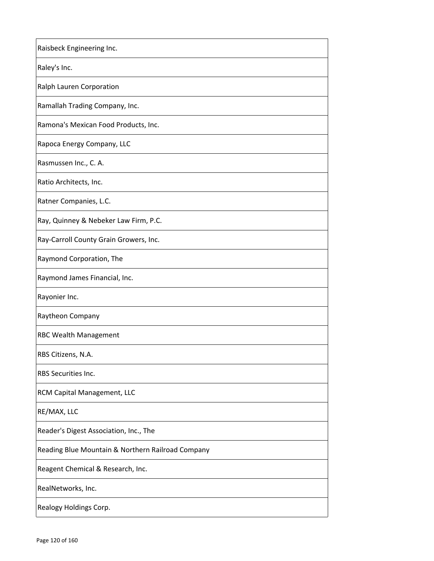| Raisbeck Engineering Inc.                         |
|---------------------------------------------------|
| Raley's Inc.                                      |
| Ralph Lauren Corporation                          |
| Ramallah Trading Company, Inc.                    |
| Ramona's Mexican Food Products, Inc.              |
| Rapoca Energy Company, LLC                        |
| Rasmussen Inc., C. A.                             |
| Ratio Architects, Inc.                            |
| Ratner Companies, L.C.                            |
| Ray, Quinney & Nebeker Law Firm, P.C.             |
| Ray-Carroll County Grain Growers, Inc.            |
| Raymond Corporation, The                          |
| Raymond James Financial, Inc.                     |
| Rayonier Inc.                                     |
| Raytheon Company                                  |
| <b>RBC Wealth Management</b>                      |
| RBS Citizens, N.A.                                |
| RBS Securities Inc.                               |
| RCM Capital Management, LLC                       |
| RE/MAX, LLC                                       |
| Reader's Digest Association, Inc., The            |
| Reading Blue Mountain & Northern Railroad Company |
| Reagent Chemical & Research, Inc.                 |
| RealNetworks, Inc.                                |
| Realogy Holdings Corp.                            |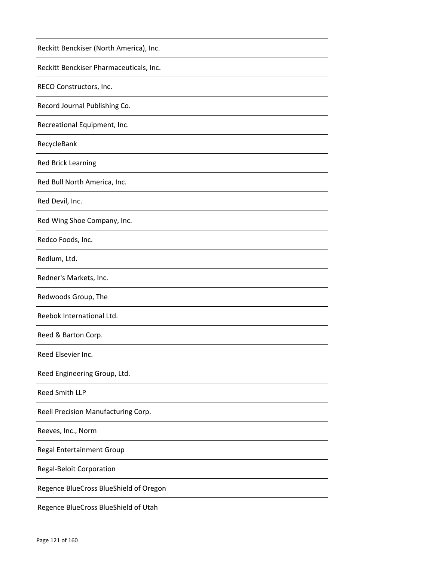| Reckitt Benckiser (North America), Inc. |
|-----------------------------------------|
| Reckitt Benckiser Pharmaceuticals, Inc. |
| RECO Constructors, Inc.                 |
| Record Journal Publishing Co.           |
| Recreational Equipment, Inc.            |
| RecycleBank                             |
| <b>Red Brick Learning</b>               |
| Red Bull North America, Inc.            |
| Red Devil, Inc.                         |
| Red Wing Shoe Company, Inc.             |
| Redco Foods, Inc.                       |
| Redlum, Ltd.                            |
| Redner's Markets, Inc.                  |
| Redwoods Group, The                     |
| Reebok International Ltd.               |
| Reed & Barton Corp.                     |
| Reed Elsevier Inc.                      |
| Reed Engineering Group, Ltd.            |
| <b>Reed Smith LLP</b>                   |
| Reell Precision Manufacturing Corp.     |
| Reeves, Inc., Norm                      |
| <b>Regal Entertainment Group</b>        |
| <b>Regal-Beloit Corporation</b>         |
| Regence BlueCross BlueShield of Oregon  |
| Regence BlueCross BlueShield of Utah    |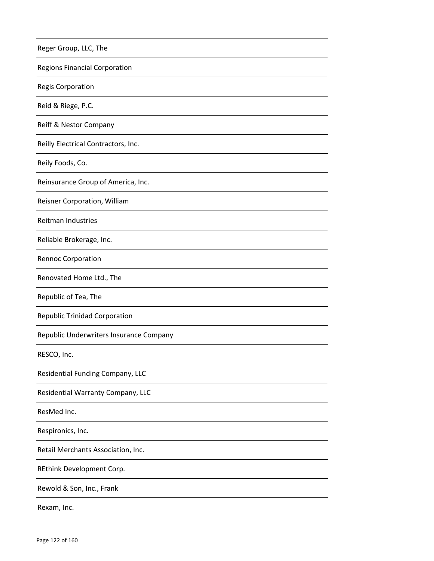| Reger Group, LLC, The                   |
|-----------------------------------------|
| <b>Regions Financial Corporation</b>    |
| <b>Regis Corporation</b>                |
| Reid & Riege, P.C.                      |
| <b>Reiff &amp; Nestor Company</b>       |
| Reilly Electrical Contractors, Inc.     |
| Reily Foods, Co.                        |
| Reinsurance Group of America, Inc.      |
| Reisner Corporation, William            |
| Reitman Industries                      |
| Reliable Brokerage, Inc.                |
| <b>Rennoc Corporation</b>               |
| Renovated Home Ltd., The                |
| Republic of Tea, The                    |
| <b>Republic Trinidad Corporation</b>    |
| Republic Underwriters Insurance Company |
| RESCO, Inc.                             |
| Residential Funding Company, LLC        |
| Residential Warranty Company, LLC       |
| ResMed Inc.                             |
| Respironics, Inc.                       |
| Retail Merchants Association, Inc.      |
| REthink Development Corp.               |
| Rewold & Son, Inc., Frank               |
| Rexam, Inc.                             |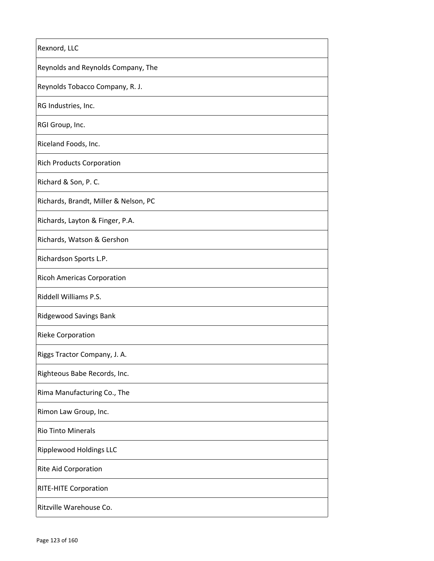| Rexnord, LLC                          |
|---------------------------------------|
| Reynolds and Reynolds Company, The    |
| Reynolds Tobacco Company, R. J.       |
| RG Industries, Inc.                   |
| RGI Group, Inc.                       |
| Riceland Foods, Inc.                  |
| <b>Rich Products Corporation</b>      |
| Richard & Son, P. C.                  |
| Richards, Brandt, Miller & Nelson, PC |
| Richards, Layton & Finger, P.A.       |
| Richards, Watson & Gershon            |
| Richardson Sports L.P.                |
| <b>Ricoh Americas Corporation</b>     |
| Riddell Williams P.S.                 |
| Ridgewood Savings Bank                |
| <b>Rieke Corporation</b>              |
| Riggs Tractor Company, J. A.          |
| Righteous Babe Records, Inc.          |
| Rima Manufacturing Co., The           |
| Rimon Law Group, Inc.                 |
| <b>Rio Tinto Minerals</b>             |
| <b>Ripplewood Holdings LLC</b>        |
| <b>Rite Aid Corporation</b>           |
| <b>RITE-HITE Corporation</b>          |
| Ritzville Warehouse Co.               |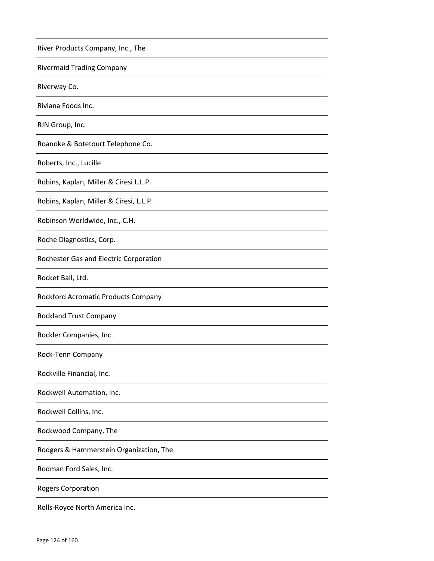| River Products Company, Inc., The       |
|-----------------------------------------|
| <b>Rivermaid Trading Company</b>        |
| Riverway Co.                            |
| Riviana Foods Inc.                      |
| RJN Group, Inc.                         |
| Roanoke & Botetourt Telephone Co.       |
| Roberts, Inc., Lucille                  |
| Robins, Kaplan, Miller & Ciresi L.L.P.  |
| Robins, Kaplan, Miller & Ciresi, L.L.P. |
| Robinson Worldwide, Inc., C.H.          |
| Roche Diagnostics, Corp.                |
| Rochester Gas and Electric Corporation  |
| Rocket Ball, Ltd.                       |
| Rockford Acromatic Products Company     |
| <b>Rockland Trust Company</b>           |
| Rockler Companies, Inc.                 |
| Rock-Tenn Company                       |
| Rockville Financial, Inc.               |
| Rockwell Automation, Inc.               |
| Rockwell Collins, Inc.                  |
| Rockwood Company, The                   |
| Rodgers & Hammerstein Organization, The |
| Rodman Ford Sales, Inc.                 |
| <b>Rogers Corporation</b>               |
| Rolls-Royce North America Inc.          |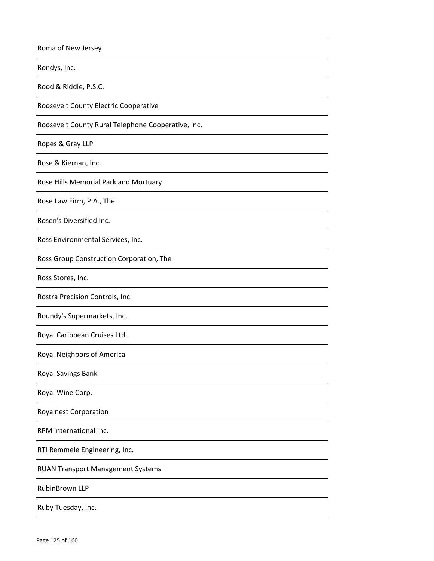| Roma of New Jersey                                 |
|----------------------------------------------------|
| Rondys, Inc.                                       |
| Rood & Riddle, P.S.C.                              |
| Roosevelt County Electric Cooperative              |
| Roosevelt County Rural Telephone Cooperative, Inc. |
| Ropes & Gray LLP                                   |
| Rose & Kiernan, Inc.                               |
| Rose Hills Memorial Park and Mortuary              |
| Rose Law Firm, P.A., The                           |
| Rosen's Diversified Inc.                           |
| Ross Environmental Services, Inc.                  |
| Ross Group Construction Corporation, The           |
| Ross Stores, Inc.                                  |
| Rostra Precision Controls, Inc.                    |
| Roundy's Supermarkets, Inc.                        |
| Royal Caribbean Cruises Ltd.                       |
| Royal Neighbors of America                         |
| Royal Savings Bank                                 |
| Royal Wine Corp.                                   |
| <b>Royalnest Corporation</b>                       |
| RPM International Inc.                             |
| RTI Remmele Engineering, Inc.                      |
| <b>RUAN Transport Management Systems</b>           |
| RubinBrown LLP                                     |
| Ruby Tuesday, Inc.                                 |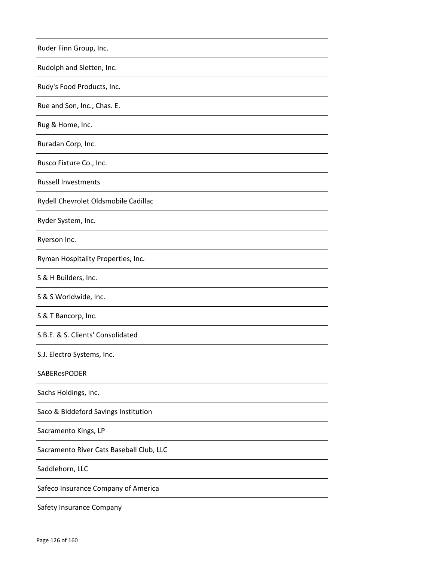| Ruder Finn Group, Inc.                   |
|------------------------------------------|
| Rudolph and Sletten, Inc.                |
| Rudy's Food Products, Inc.               |
| Rue and Son, Inc., Chas. E.              |
| Rug & Home, Inc.                         |
| Ruradan Corp, Inc.                       |
| Rusco Fixture Co., Inc.                  |
| <b>Russell Investments</b>               |
| Rydell Chevrolet Oldsmobile Cadillac     |
| Ryder System, Inc.                       |
| Ryerson Inc.                             |
| Ryman Hospitality Properties, Inc.       |
| S & H Builders, Inc.                     |
| S & S Worldwide, Inc.                    |
| S & T Bancorp, Inc.                      |
| S.B.E. & S. Clients' Consolidated        |
| S.J. Electro Systems, Inc.               |
| SABEResPODER                             |
| Sachs Holdings, Inc.                     |
| Saco & Biddeford Savings Institution     |
| Sacramento Kings, LP                     |
| Sacramento River Cats Baseball Club, LLC |
| Saddlehorn, LLC                          |
| Safeco Insurance Company of America      |
| Safety Insurance Company                 |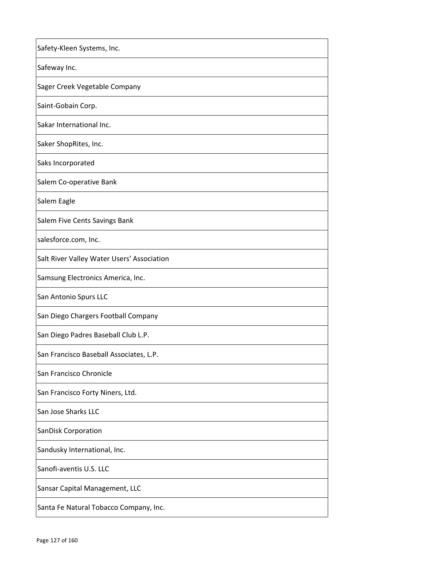| Safety-Kleen Systems, Inc.                 |
|--------------------------------------------|
| Safeway Inc.                               |
| Sager Creek Vegetable Company              |
| Saint-Gobain Corp.                         |
| Sakar International Inc.                   |
| Saker ShopRites, Inc.                      |
| Saks Incorporated                          |
| Salem Co-operative Bank                    |
| Salem Eagle                                |
| Salem Five Cents Savings Bank              |
| salesforce.com, Inc.                       |
| Salt River Valley Water Users' Association |
| Samsung Electronics America, Inc.          |
| San Antonio Spurs LLC                      |
| San Diego Chargers Football Company        |
| San Diego Padres Baseball Club L.P.        |
| San Francisco Baseball Associates, L.P.    |
| San Francisco Chronicle                    |
| San Francisco Forty Niners, Ltd.           |
| San Jose Sharks LLC                        |
| <b>SanDisk Corporation</b>                 |
| Sandusky International, Inc.               |
| Sanofi-aventis U.S. LLC                    |
| Sansar Capital Management, LLC             |
| Santa Fe Natural Tobacco Company, Inc.     |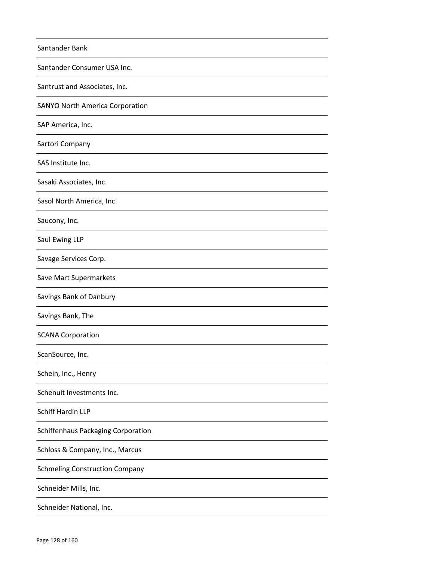| Santander Bank                         |
|----------------------------------------|
| Santander Consumer USA Inc.            |
| Santrust and Associates, Inc.          |
| <b>SANYO North America Corporation</b> |
| SAP America, Inc.                      |
| Sartori Company                        |
| SAS Institute Inc.                     |
| Sasaki Associates, Inc.                |
| Sasol North America, Inc.              |
| Saucony, Inc.                          |
| Saul Ewing LLP                         |
| Savage Services Corp.                  |
| Save Mart Supermarkets                 |
| Savings Bank of Danbury                |
| Savings Bank, The                      |
| <b>SCANA Corporation</b>               |
| ScanSource, Inc.                       |
| Schein, Inc., Henry                    |
| Schenuit Investments Inc.              |
| Schiff Hardin LLP                      |
| Schiffenhaus Packaging Corporation     |
| Schloss & Company, Inc., Marcus        |
| <b>Schmeling Construction Company</b>  |
| Schneider Mills, Inc.                  |
| Schneider National, Inc.               |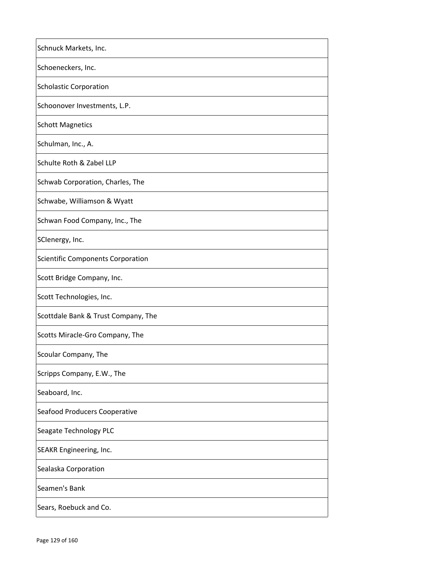| Schnuck Markets, Inc.                    |
|------------------------------------------|
| Schoeneckers, Inc.                       |
| <b>Scholastic Corporation</b>            |
| Schoonover Investments, L.P.             |
| <b>Schott Magnetics</b>                  |
| Schulman, Inc., A.                       |
| Schulte Roth & Zabel LLP                 |
| Schwab Corporation, Charles, The         |
| Schwabe, Williamson & Wyatt              |
| Schwan Food Company, Inc., The           |
| SClenergy, Inc.                          |
| <b>Scientific Components Corporation</b> |
| Scott Bridge Company, Inc.               |
| Scott Technologies, Inc.                 |
| Scottdale Bank & Trust Company, The      |
| Scotts Miracle-Gro Company, The          |
| Scoular Company, The                     |
| Scripps Company, E.W., The               |
| Seaboard, Inc.                           |
| Seafood Producers Cooperative            |
| Seagate Technology PLC                   |
| SEAKR Engineering, Inc.                  |
| Sealaska Corporation                     |
| Seamen's Bank                            |
| Sears, Roebuck and Co.                   |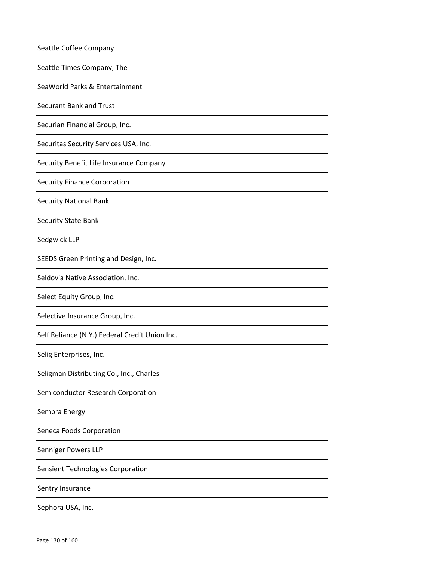| Seattle Coffee Company                         |
|------------------------------------------------|
| Seattle Times Company, The                     |
| SeaWorld Parks & Entertainment                 |
| <b>Securant Bank and Trust</b>                 |
| Securian Financial Group, Inc.                 |
| Securitas Security Services USA, Inc.          |
| Security Benefit Life Insurance Company        |
| <b>Security Finance Corporation</b>            |
| <b>Security National Bank</b>                  |
| <b>Security State Bank</b>                     |
| Sedgwick LLP                                   |
| SEEDS Green Printing and Design, Inc.          |
| Seldovia Native Association, Inc.              |
| Select Equity Group, Inc.                      |
| Selective Insurance Group, Inc.                |
| Self Reliance (N.Y.) Federal Credit Union Inc. |
| Selig Enterprises, Inc.                        |
| Seligman Distributing Co., Inc., Charles       |
| Semiconductor Research Corporation             |
| Sempra Energy                                  |
| Seneca Foods Corporation                       |
| Senniger Powers LLP                            |
| Sensient Technologies Corporation              |
| Sentry Insurance                               |
| Sephora USA, Inc.                              |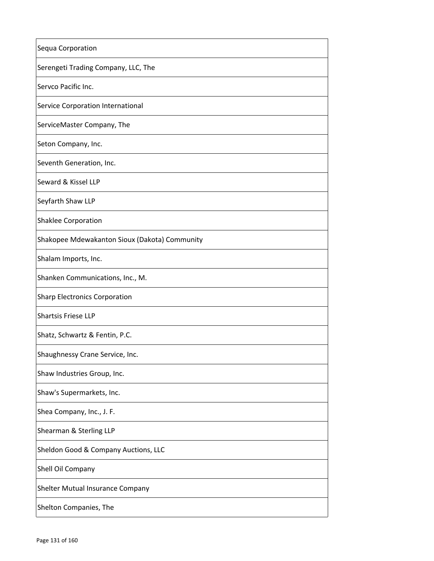| Sequa Corporation                             |
|-----------------------------------------------|
| Serengeti Trading Company, LLC, The           |
| Servco Pacific Inc.                           |
| Service Corporation International             |
| ServiceMaster Company, The                    |
| Seton Company, Inc.                           |
| Seventh Generation, Inc.                      |
| Seward & Kissel LLP                           |
| Seyfarth Shaw LLP                             |
| <b>Shaklee Corporation</b>                    |
| Shakopee Mdewakanton Sioux (Dakota) Community |
| Shalam Imports, Inc.                          |
| Shanken Communications, Inc., M.              |
| <b>Sharp Electronics Corporation</b>          |
| Shartsis Friese LLP                           |
| Shatz, Schwartz & Fentin, P.C.                |
| Shaughnessy Crane Service, Inc.               |
| Shaw Industries Group, Inc.                   |
| Shaw's Supermarkets, Inc.                     |
| Shea Company, Inc., J. F.                     |
| Shearman & Sterling LLP                       |
| Sheldon Good & Company Auctions, LLC          |
| Shell Oil Company                             |
| Shelter Mutual Insurance Company              |
| Shelton Companies, The                        |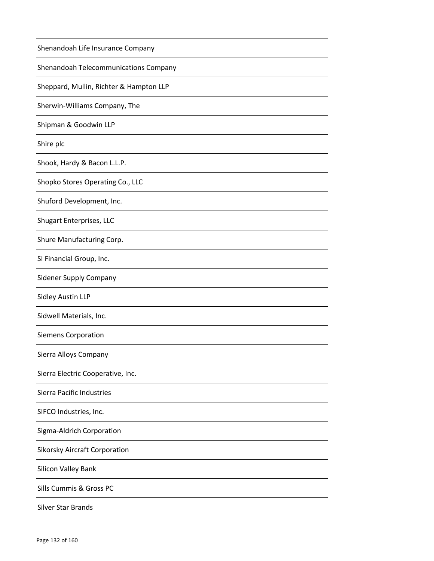| Shenandoah Life Insurance Company       |
|-----------------------------------------|
| Shenandoah Telecommunications Company   |
| Sheppard, Mullin, Richter & Hampton LLP |
| Sherwin-Williams Company, The           |
| Shipman & Goodwin LLP                   |
| Shire plc                               |
| Shook, Hardy & Bacon L.L.P.             |
| Shopko Stores Operating Co., LLC        |
| Shuford Development, Inc.               |
| <b>Shugart Enterprises, LLC</b>         |
| Shure Manufacturing Corp.               |
| SI Financial Group, Inc.                |
| <b>Sidener Supply Company</b>           |
| <b>Sidley Austin LLP</b>                |
| Sidwell Materials, Inc.                 |
| <b>Siemens Corporation</b>              |
| Sierra Alloys Company                   |
| Sierra Electric Cooperative, Inc.       |
| Sierra Pacific Industries               |
| SIFCO Industries, Inc.                  |
| Sigma-Aldrich Corporation               |
| <b>Sikorsky Aircraft Corporation</b>    |
| Silicon Valley Bank                     |
| Sills Cummis & Gross PC                 |
| <b>Silver Star Brands</b>               |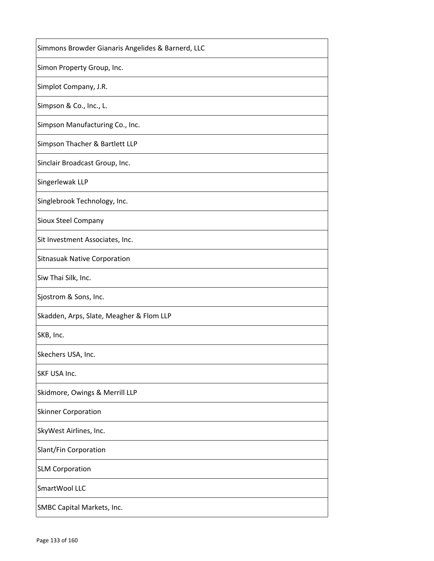| Simmons Browder Gianaris Angelides & Barnerd, LLC |
|---------------------------------------------------|
| Simon Property Group, Inc.                        |
| Simplot Company, J.R.                             |
| Simpson & Co., Inc., L.                           |
| Simpson Manufacturing Co., Inc.                   |
| Simpson Thacher & Bartlett LLP                    |
| Sinclair Broadcast Group, Inc.                    |
| Singerlewak LLP                                   |
| Singlebrook Technology, Inc.                      |
| Sioux Steel Company                               |
| Sit Investment Associates, Inc.                   |
| <b>Sitnasuak Native Corporation</b>               |
| Siw Thai Silk, Inc.                               |
| Sjostrom & Sons, Inc.                             |
| Skadden, Arps, Slate, Meagher & Flom LLP          |
| SKB, Inc.                                         |
| Skechers USA, Inc.                                |
| SKF USA Inc.                                      |
| Skidmore, Owings & Merrill LLP                    |
| <b>Skinner Corporation</b>                        |
| SkyWest Airlines, Inc.                            |
| Slant/Fin Corporation                             |
| <b>SLM Corporation</b>                            |
| SmartWool LLC                                     |
| SMBC Capital Markets, Inc.                        |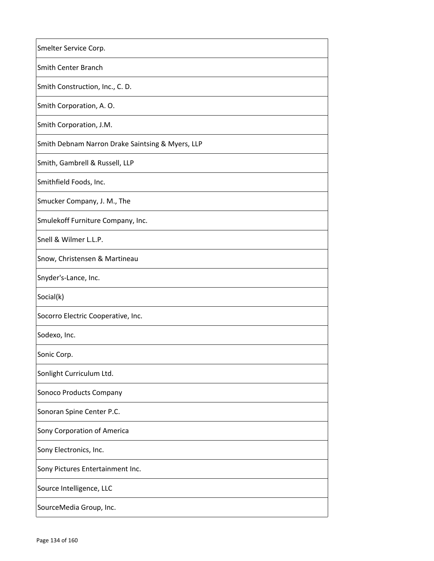| Smelter Service Corp.                            |
|--------------------------------------------------|
| <b>Smith Center Branch</b>                       |
| Smith Construction, Inc., C. D.                  |
| Smith Corporation, A.O.                          |
| Smith Corporation, J.M.                          |
| Smith Debnam Narron Drake Saintsing & Myers, LLP |
| Smith, Gambrell & Russell, LLP                   |
| Smithfield Foods, Inc.                           |
| Smucker Company, J. M., The                      |
| Smulekoff Furniture Company, Inc.                |
| Snell & Wilmer L.L.P.                            |
| Snow, Christensen & Martineau                    |
| Snyder's-Lance, Inc.                             |
| Social(k)                                        |
| Socorro Electric Cooperative, Inc.               |
| Sodexo, Inc.                                     |
| Sonic Corp.                                      |
| Sonlight Curriculum Ltd.                         |
| Sonoco Products Company                          |
| Sonoran Spine Center P.C.                        |
| Sony Corporation of America                      |
| Sony Electronics, Inc.                           |
| Sony Pictures Entertainment Inc.                 |
| Source Intelligence, LLC                         |
| SourceMedia Group, Inc.                          |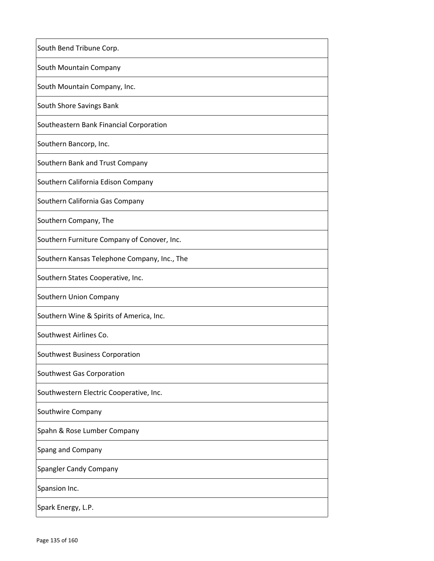| South Bend Tribune Corp.                     |
|----------------------------------------------|
| South Mountain Company                       |
| South Mountain Company, Inc.                 |
| South Shore Savings Bank                     |
| Southeastern Bank Financial Corporation      |
| Southern Bancorp, Inc.                       |
| Southern Bank and Trust Company              |
| Southern California Edison Company           |
| Southern California Gas Company              |
| Southern Company, The                        |
| Southern Furniture Company of Conover, Inc.  |
| Southern Kansas Telephone Company, Inc., The |
| Southern States Cooperative, Inc.            |
| Southern Union Company                       |
| Southern Wine & Spirits of America, Inc.     |
| Southwest Airlines Co.                       |
| Southwest Business Corporation               |
| Southwest Gas Corporation                    |
| Southwestern Electric Cooperative, Inc.      |
| Southwire Company                            |
| Spahn & Rose Lumber Company                  |
| Spang and Company                            |
| <b>Spangler Candy Company</b>                |
| Spansion Inc.                                |
| Spark Energy, L.P.                           |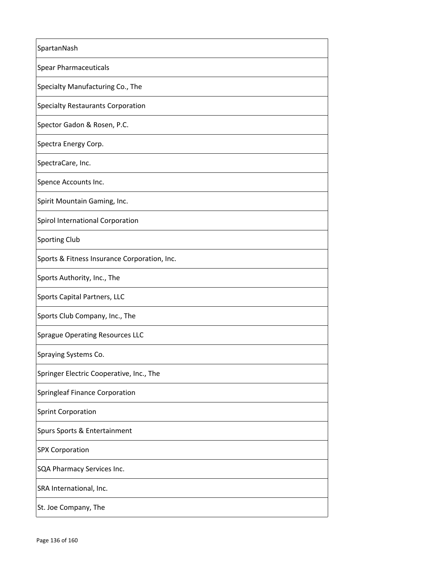| SpartanNash                                  |
|----------------------------------------------|
| <b>Spear Pharmaceuticals</b>                 |
| Specialty Manufacturing Co., The             |
| <b>Specialty Restaurants Corporation</b>     |
| Spector Gadon & Rosen, P.C.                  |
| Spectra Energy Corp.                         |
| SpectraCare, Inc.                            |
| Spence Accounts Inc.                         |
| Spirit Mountain Gaming, Inc.                 |
| Spirol International Corporation             |
| <b>Sporting Club</b>                         |
| Sports & Fitness Insurance Corporation, Inc. |
| Sports Authority, Inc., The                  |
| Sports Capital Partners, LLC                 |
| Sports Club Company, Inc., The               |
| <b>Sprague Operating Resources LLC</b>       |
| Spraying Systems Co.                         |
| Springer Electric Cooperative, Inc., The     |
| Springleaf Finance Corporation               |
| <b>Sprint Corporation</b>                    |
| Spurs Sports & Entertainment                 |
| <b>SPX Corporation</b>                       |
| SQA Pharmacy Services Inc.                   |
| SRA International, Inc.                      |
| St. Joe Company, The                         |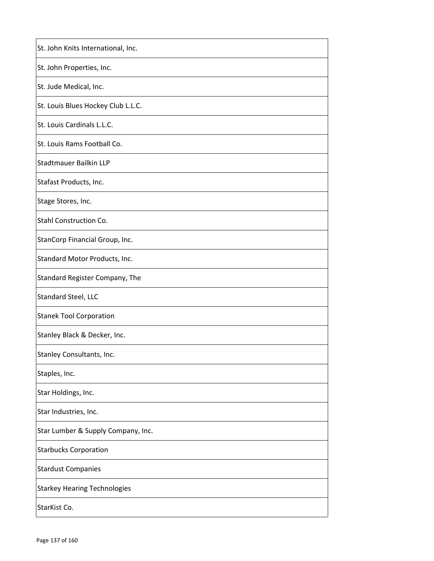| St. John Knits International, Inc.  |
|-------------------------------------|
| St. John Properties, Inc.           |
| St. Jude Medical, Inc.              |
| St. Louis Blues Hockey Club L.L.C.  |
| St. Louis Cardinals L.L.C.          |
| St. Louis Rams Football Co.         |
| <b>Stadtmauer Bailkin LLP</b>       |
| Stafast Products, Inc.              |
| Stage Stores, Inc.                  |
| Stahl Construction Co.              |
| StanCorp Financial Group, Inc.      |
| Standard Motor Products, Inc.       |
| Standard Register Company, The      |
| Standard Steel, LLC                 |
| <b>Stanek Tool Corporation</b>      |
| Stanley Black & Decker, Inc.        |
| Stanley Consultants, Inc.           |
| Staples, Inc.                       |
| Star Holdings, Inc.                 |
| Star Industries, Inc.               |
| Star Lumber & Supply Company, Inc.  |
| <b>Starbucks Corporation</b>        |
| <b>Stardust Companies</b>           |
| <b>Starkey Hearing Technologies</b> |
| StarKist Co.                        |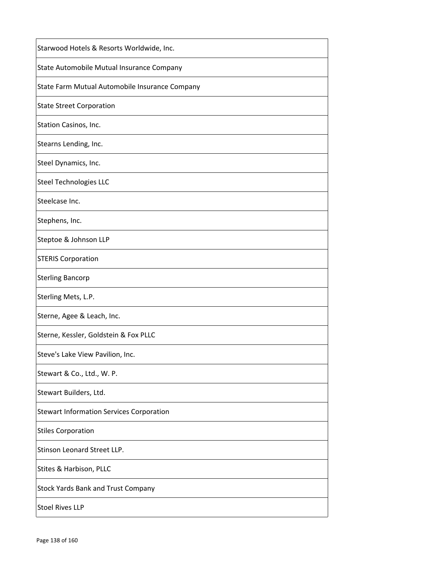| Starwood Hotels & Resorts Worldwide, Inc.       |
|-------------------------------------------------|
| State Automobile Mutual Insurance Company       |
| State Farm Mutual Automobile Insurance Company  |
| <b>State Street Corporation</b>                 |
| Station Casinos, Inc.                           |
| Stearns Lending, Inc.                           |
| Steel Dynamics, Inc.                            |
| <b>Steel Technologies LLC</b>                   |
| Steelcase Inc.                                  |
| Stephens, Inc.                                  |
| Steptoe & Johnson LLP                           |
| <b>STERIS Corporation</b>                       |
| <b>Sterling Bancorp</b>                         |
| Sterling Mets, L.P.                             |
| Sterne, Agee & Leach, Inc.                      |
| Sterne, Kessler, Goldstein & Fox PLLC           |
| Steve's Lake View Pavilion, Inc.                |
| Stewart & Co., Ltd., W. P.                      |
| Stewart Builders, Ltd.                          |
| <b>Stewart Information Services Corporation</b> |
| <b>Stiles Corporation</b>                       |
| Stinson Leonard Street LLP.                     |
| Stites & Harbison, PLLC                         |
| <b>Stock Yards Bank and Trust Company</b>       |
| <b>Stoel Rives LLP</b>                          |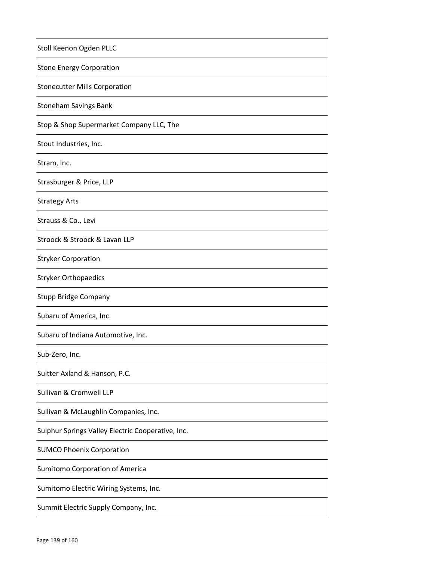| Stoll Keenon Ogden PLLC                           |
|---------------------------------------------------|
| <b>Stone Energy Corporation</b>                   |
| <b>Stonecutter Mills Corporation</b>              |
| <b>Stoneham Savings Bank</b>                      |
| Stop & Shop Supermarket Company LLC, The          |
| Stout Industries, Inc.                            |
| Stram, Inc.                                       |
| Strasburger & Price, LLP                          |
| <b>Strategy Arts</b>                              |
| Strauss & Co., Levi                               |
| Stroock & Stroock & Lavan LLP                     |
| <b>Stryker Corporation</b>                        |
| <b>Stryker Orthopaedics</b>                       |
| Stupp Bridge Company                              |
| Subaru of America, Inc.                           |
| Subaru of Indiana Automotive, Inc.                |
| Sub-Zero, Inc.                                    |
| Suitter Axland & Hanson, P.C.                     |
| Sullivan & Cromwell LLP                           |
| Sullivan & McLaughlin Companies, Inc.             |
| Sulphur Springs Valley Electric Cooperative, Inc. |
| <b>SUMCO Phoenix Corporation</b>                  |
| <b>Sumitomo Corporation of America</b>            |
| Sumitomo Electric Wiring Systems, Inc.            |
| Summit Electric Supply Company, Inc.              |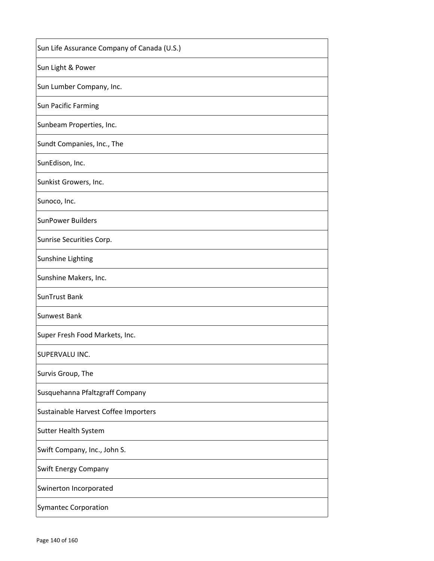| Sun Life Assurance Company of Canada (U.S.) |
|---------------------------------------------|
| Sun Light & Power                           |
| Sun Lumber Company, Inc.                    |
| Sun Pacific Farming                         |
| Sunbeam Properties, Inc.                    |
| Sundt Companies, Inc., The                  |
| SunEdison, Inc.                             |
| Sunkist Growers, Inc.                       |
| Sunoco, Inc.                                |
| <b>SunPower Builders</b>                    |
| Sunrise Securities Corp.                    |
| Sunshine Lighting                           |
| Sunshine Makers, Inc.                       |
| SunTrust Bank                               |
| <b>Sunwest Bank</b>                         |
| Super Fresh Food Markets, Inc.              |
| SUPERVALU INC.                              |
| Survis Group, The                           |
| Susquehanna Pfaltzgraff Company             |
| Sustainable Harvest Coffee Importers        |
| <b>Sutter Health System</b>                 |
| Swift Company, Inc., John S.                |
| <b>Swift Energy Company</b>                 |
| Swinerton Incorporated                      |
| <b>Symantec Corporation</b>                 |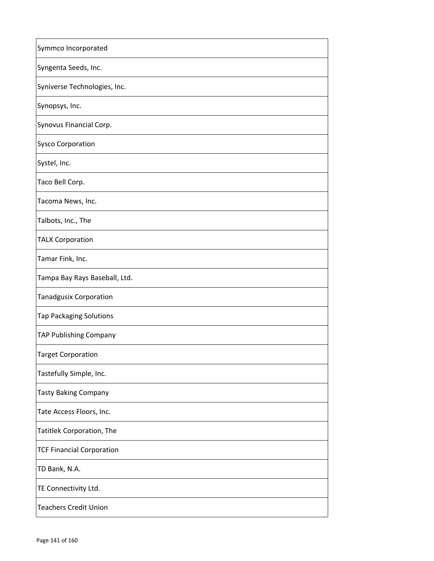| Symmco Incorporated              |
|----------------------------------|
| Syngenta Seeds, Inc.             |
| Syniverse Technologies, Inc.     |
| Synopsys, Inc.                   |
| Synovus Financial Corp.          |
| <b>Sysco Corporation</b>         |
| Systel, Inc.                     |
| Taco Bell Corp.                  |
| Tacoma News, Inc.                |
| Talbots, Inc., The               |
| <b>TALX Corporation</b>          |
| Tamar Fink, Inc.                 |
| Tampa Bay Rays Baseball, Ltd.    |
| <b>Tanadgusix Corporation</b>    |
| <b>Tap Packaging Solutions</b>   |
| TAP Publishing Company           |
| <b>Target Corporation</b>        |
| Tastefully Simple, Inc.          |
| <b>Tasty Baking Company</b>      |
| Tate Access Floors, Inc.         |
| <b>Tatitlek Corporation, The</b> |
| <b>TCF Financial Corporation</b> |
| TD Bank, N.A.                    |
| TE Connectivity Ltd.             |
| <b>Teachers Credit Union</b>     |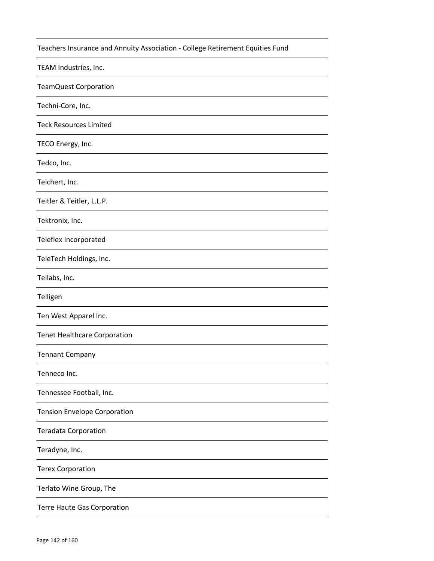| Teachers Insurance and Annuity Association - College Retirement Equities Fund |
|-------------------------------------------------------------------------------|
| TEAM Industries, Inc.                                                         |
| <b>TeamQuest Corporation</b>                                                  |
| Techni-Core, Inc.                                                             |
| <b>Teck Resources Limited</b>                                                 |
| TECO Energy, Inc.                                                             |
| Tedco, Inc.                                                                   |
| Teichert, Inc.                                                                |
| Teitler & Teitler, L.L.P.                                                     |
| Tektronix, Inc.                                                               |
| Teleflex Incorporated                                                         |
| TeleTech Holdings, Inc.                                                       |
| Tellabs, Inc.                                                                 |
| Telligen                                                                      |
| Ten West Apparel Inc.                                                         |
| <b>Tenet Healthcare Corporation</b>                                           |
| <b>Tennant Company</b>                                                        |
| Tenneco Inc.                                                                  |
| Tennessee Football, Inc.                                                      |
| Tension Envelope Corporation                                                  |
| <b>Teradata Corporation</b>                                                   |
| Teradyne, Inc.                                                                |
| <b>Terex Corporation</b>                                                      |
| Terlato Wine Group, The                                                       |
| Terre Haute Gas Corporation                                                   |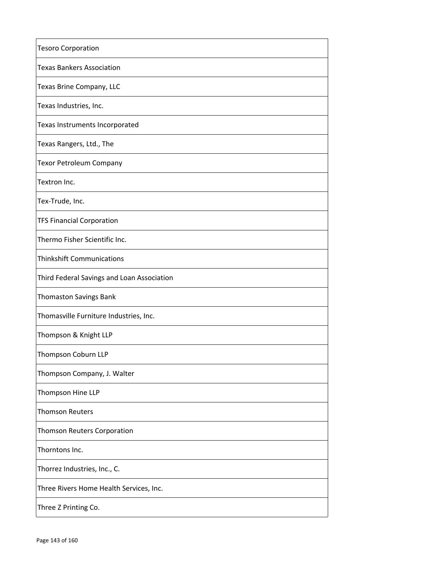| <b>Tesoro Corporation</b>                  |
|--------------------------------------------|
| <b>Texas Bankers Association</b>           |
| Texas Brine Company, LLC                   |
| Texas Industries, Inc.                     |
| Texas Instruments Incorporated             |
| Texas Rangers, Ltd., The                   |
| <b>Texor Petroleum Company</b>             |
| Textron Inc.                               |
| Tex-Trude, Inc.                            |
| <b>TFS Financial Corporation</b>           |
| Thermo Fisher Scientific Inc.              |
| <b>Thinkshift Communications</b>           |
| Third Federal Savings and Loan Association |
| <b>Thomaston Savings Bank</b>              |
| Thomasville Furniture Industries, Inc.     |
| Thompson & Knight LLP                      |
| Thompson Coburn LLP                        |
| Thompson Company, J. Walter                |
| Thompson Hine LLP                          |
| <b>Thomson Reuters</b>                     |
| <b>Thomson Reuters Corporation</b>         |
| Thorntons Inc.                             |
| Thorrez Industries, Inc., C.               |
| Three Rivers Home Health Services, Inc.    |
| Three Z Printing Co.                       |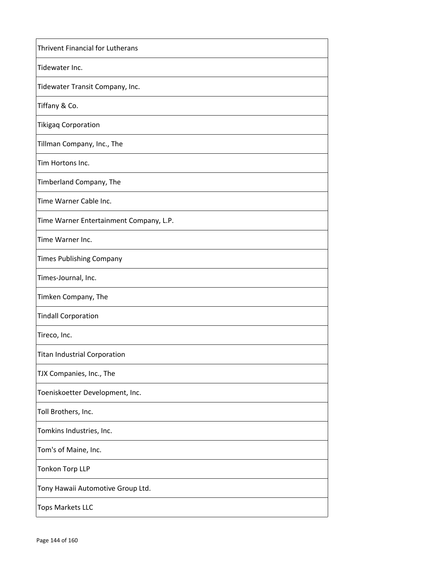| <b>Thrivent Financial for Lutherans</b> |
|-----------------------------------------|
| Tidewater Inc.                          |
| Tidewater Transit Company, Inc.         |
| Tiffany & Co.                           |
| <b>Tikigaq Corporation</b>              |
| Tillman Company, Inc., The              |
| Tim Hortons Inc.                        |
| Timberland Company, The                 |
| Time Warner Cable Inc.                  |
| Time Warner Entertainment Company, L.P. |
| Time Warner Inc.                        |
| <b>Times Publishing Company</b>         |
| Times-Journal, Inc.                     |
| Timken Company, The                     |
| <b>Tindall Corporation</b>              |
| Tireco, Inc.                            |
| Titan Industrial Corporation            |
| TJX Companies, Inc., The                |
| Toeniskoetter Development, Inc.         |
| Toll Brothers, Inc.                     |
| Tomkins Industries, Inc.                |
| Tom's of Maine, Inc.                    |
| <b>Tonkon Torp LLP</b>                  |
| Tony Hawaii Automotive Group Ltd.       |
| <b>Tops Markets LLC</b>                 |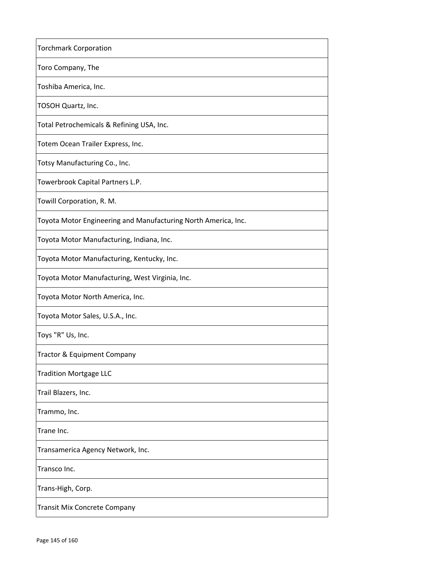| <b>Torchmark Corporation</b>                                   |
|----------------------------------------------------------------|
| Toro Company, The                                              |
| Toshiba America, Inc.                                          |
| TOSOH Quartz, Inc.                                             |
| Total Petrochemicals & Refining USA, Inc.                      |
| Totem Ocean Trailer Express, Inc.                              |
| Totsy Manufacturing Co., Inc.                                  |
| Towerbrook Capital Partners L.P.                               |
| Towill Corporation, R. M.                                      |
| Toyota Motor Engineering and Manufacturing North America, Inc. |
| Toyota Motor Manufacturing, Indiana, Inc.                      |
| Toyota Motor Manufacturing, Kentucky, Inc.                     |
| Toyota Motor Manufacturing, West Virginia, Inc.                |
| Toyota Motor North America, Inc.                               |
| Toyota Motor Sales, U.S.A., Inc.                               |
| Toys "R" Us, Inc.                                              |
| Tractor & Equipment Company                                    |
| <b>Tradition Mortgage LLC</b>                                  |
| Trail Blazers, Inc.                                            |
| Trammo, Inc.                                                   |
| Trane Inc.                                                     |
| Transamerica Agency Network, Inc.                              |
| Transco Inc.                                                   |
| Trans-High, Corp.                                              |
| <b>Transit Mix Concrete Company</b>                            |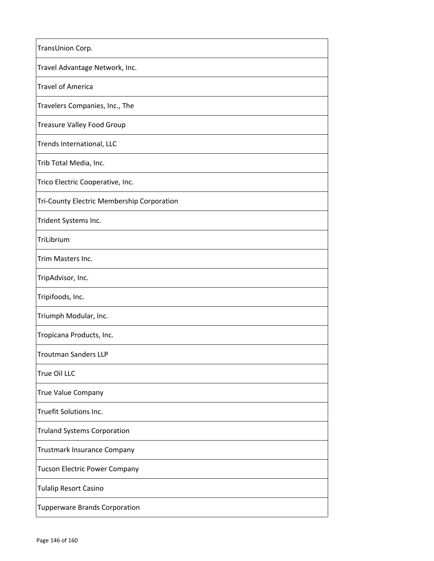| TransUnion Corp.                           |
|--------------------------------------------|
| Travel Advantage Network, Inc.             |
| <b>Travel of America</b>                   |
| Travelers Companies, Inc., The             |
| <b>Treasure Valley Food Group</b>          |
| Trends International, LLC                  |
| Trib Total Media, Inc.                     |
| Trico Electric Cooperative, Inc.           |
| Tri-County Electric Membership Corporation |
| Trident Systems Inc.                       |
| TriLibrium                                 |
| Trim Masters Inc.                          |
| TripAdvisor, Inc.                          |
| Tripifoods, Inc.                           |
| Triumph Modular, Inc.                      |
| Tropicana Products, Inc.                   |
| <b>Troutman Sanders LLP</b>                |
| True Oil LLC                               |
| <b>True Value Company</b>                  |
| Truefit Solutions Inc.                     |
| <b>Truland Systems Corporation</b>         |
| Trustmark Insurance Company                |
| Tucson Electric Power Company              |
| <b>Tulalip Resort Casino</b>               |
| <b>Tupperware Brands Corporation</b>       |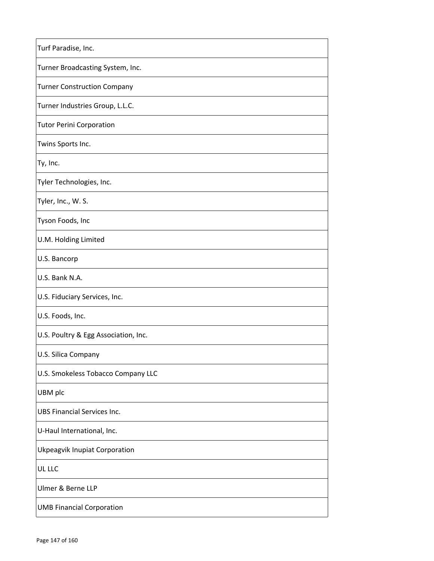| Turf Paradise, Inc.                  |
|--------------------------------------|
| Turner Broadcasting System, Inc.     |
| <b>Turner Construction Company</b>   |
| Turner Industries Group, L.L.C.      |
| <b>Tutor Perini Corporation</b>      |
| Twins Sports Inc.                    |
| Ty, Inc.                             |
| Tyler Technologies, Inc.             |
| Tyler, Inc., W. S.                   |
| Tyson Foods, Inc                     |
| U.M. Holding Limited                 |
| U.S. Bancorp                         |
| U.S. Bank N.A.                       |
| U.S. Fiduciary Services, Inc.        |
| U.S. Foods, Inc.                     |
| U.S. Poultry & Egg Association, Inc. |
| U.S. Silica Company                  |
| U.S. Smokeless Tobacco Company LLC   |
| UBM plc                              |
| <b>UBS Financial Services Inc.</b>   |
| U-Haul International, Inc.           |
| Ukpeagvik Inupiat Corporation        |
| UL LLC                               |
| Ulmer & Berne LLP                    |
| <b>UMB Financial Corporation</b>     |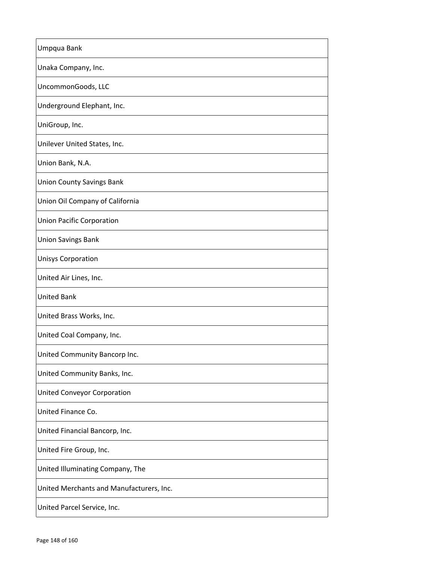| Umpqua Bank                              |
|------------------------------------------|
| Unaka Company, Inc.                      |
| UncommonGoods, LLC                       |
| Underground Elephant, Inc.               |
| UniGroup, Inc.                           |
| Unilever United States, Inc.             |
| Union Bank, N.A.                         |
| <b>Union County Savings Bank</b>         |
| Union Oil Company of California          |
| <b>Union Pacific Corporation</b>         |
| <b>Union Savings Bank</b>                |
| <b>Unisys Corporation</b>                |
| United Air Lines, Inc.                   |
| <b>United Bank</b>                       |
| United Brass Works, Inc.                 |
| United Coal Company, Inc.                |
| United Community Bancorp Inc.            |
| United Community Banks, Inc.             |
| United Conveyor Corporation              |
| United Finance Co.                       |
| United Financial Bancorp, Inc.           |
| United Fire Group, Inc.                  |
| United Illuminating Company, The         |
| United Merchants and Manufacturers, Inc. |
| United Parcel Service, Inc.              |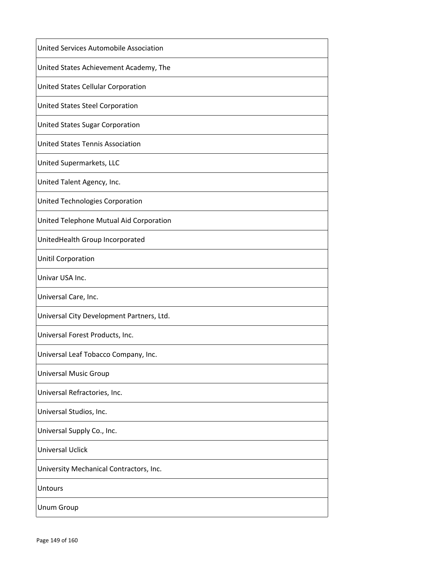| United Services Automobile Association    |
|-------------------------------------------|
| United States Achievement Academy, The    |
| United States Cellular Corporation        |
| United States Steel Corporation           |
| United States Sugar Corporation           |
| <b>United States Tennis Association</b>   |
| United Supermarkets, LLC                  |
| United Talent Agency, Inc.                |
| United Technologies Corporation           |
| United Telephone Mutual Aid Corporation   |
| UnitedHealth Group Incorporated           |
| <b>Unitil Corporation</b>                 |
| Univar USA Inc.                           |
| Universal Care, Inc.                      |
| Universal City Development Partners, Ltd. |
| Universal Forest Products, Inc.           |
| Universal Leaf Tobacco Company, Inc.      |
| <b>Universal Music Group</b>              |
| Universal Refractories, Inc.              |
| Universal Studios, Inc.                   |
| Universal Supply Co., Inc.                |
| <b>Universal Uclick</b>                   |
| University Mechanical Contractors, Inc.   |
| <b>Untours</b>                            |
| <b>Unum Group</b>                         |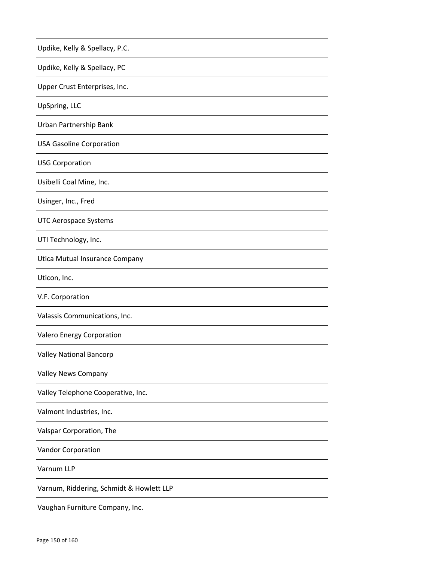| Updike, Kelly & Spellacy, P.C.           |
|------------------------------------------|
| Updike, Kelly & Spellacy, PC             |
| Upper Crust Enterprises, Inc.            |
| UpSpring, LLC                            |
| Urban Partnership Bank                   |
| <b>USA Gasoline Corporation</b>          |
| <b>USG Corporation</b>                   |
| Usibelli Coal Mine, Inc.                 |
| Usinger, Inc., Fred                      |
| <b>UTC Aerospace Systems</b>             |
| UTI Technology, Inc.                     |
| Utica Mutual Insurance Company           |
| Uticon, Inc.                             |
| V.F. Corporation                         |
| Valassis Communications, Inc.            |
| Valero Energy Corporation                |
| <b>Valley National Bancorp</b>           |
| Valley News Company                      |
| Valley Telephone Cooperative, Inc.       |
| Valmont Industries, Inc.                 |
| Valspar Corporation, The                 |
| <b>Vandor Corporation</b>                |
| Varnum LLP                               |
| Varnum, Riddering, Schmidt & Howlett LLP |
| Vaughan Furniture Company, Inc.          |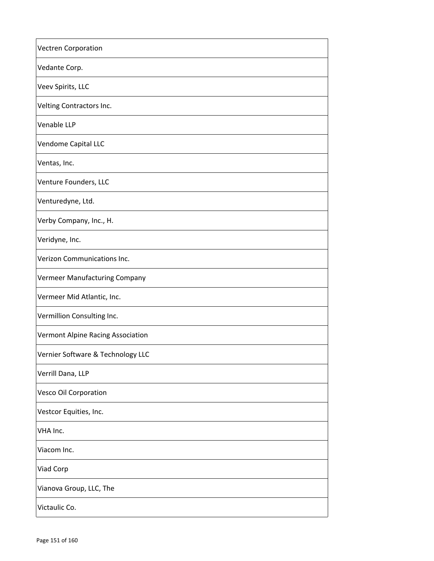| <b>Vectren Corporation</b>        |
|-----------------------------------|
| Vedante Corp.                     |
| Veev Spirits, LLC                 |
| Velting Contractors Inc.          |
| Venable LLP                       |
| Vendome Capital LLC               |
| Ventas, Inc.                      |
| Venture Founders, LLC             |
| Venturedyne, Ltd.                 |
| Verby Company, Inc., H.           |
| Veridyne, Inc.                    |
| Verizon Communications Inc.       |
| Vermeer Manufacturing Company     |
| Vermeer Mid Atlantic, Inc.        |
| Vermillion Consulting Inc.        |
| Vermont Alpine Racing Association |
| Vernier Software & Technology LLC |
| Verrill Dana, LLP                 |
| <b>Vesco Oil Corporation</b>      |
| Vestcor Equities, Inc.            |
| VHA Inc.                          |
| Viacom Inc.                       |
| Viad Corp                         |
| Vianova Group, LLC, The           |
| Victaulic Co.                     |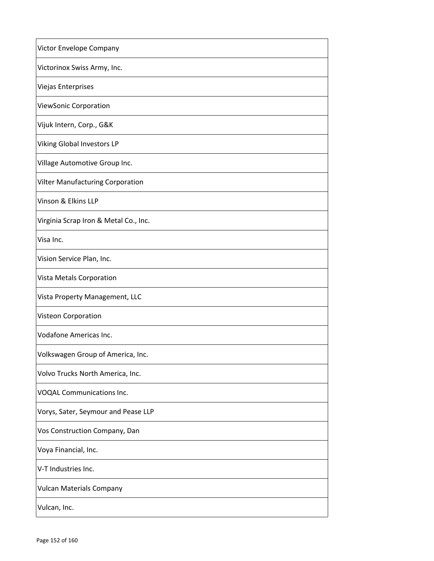| Victor Envelope Company               |
|---------------------------------------|
| Victorinox Swiss Army, Inc.           |
| Viejas Enterprises                    |
| ViewSonic Corporation                 |
| Vijuk Intern, Corp., G&K              |
| Viking Global Investors LP            |
| Village Automotive Group Inc.         |
| Vilter Manufacturing Corporation      |
| Vinson & Elkins LLP                   |
| Virginia Scrap Iron & Metal Co., Inc. |
| Visa Inc.                             |
| Vision Service Plan, Inc.             |
| Vista Metals Corporation              |
| Vista Property Management, LLC        |
| Visteon Corporation                   |
| Vodafone Americas Inc.                |
| Volkswagen Group of America, Inc.     |
| Volvo Trucks North America, Inc.      |
| <b>VOQAL Communications Inc.</b>      |
| Vorys, Sater, Seymour and Pease LLP   |
| Vos Construction Company, Dan         |
| Voya Financial, Inc.                  |
| V-T Industries Inc.                   |
| <b>Vulcan Materials Company</b>       |
| Vulcan, Inc.                          |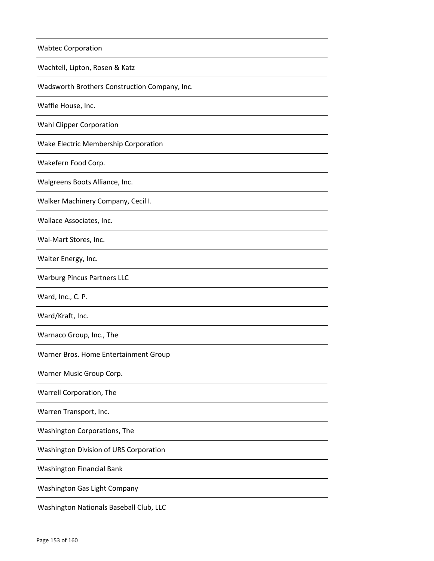| <b>Wabtec Corporation</b>                     |
|-----------------------------------------------|
| Wachtell, Lipton, Rosen & Katz                |
| Wadsworth Brothers Construction Company, Inc. |
| Waffle House, Inc.                            |
| Wahl Clipper Corporation                      |
| Wake Electric Membership Corporation          |
| Wakefern Food Corp.                           |
| Walgreens Boots Alliance, Inc.                |
| Walker Machinery Company, Cecil I.            |
| Wallace Associates, Inc.                      |
| Wal-Mart Stores, Inc.                         |
| Walter Energy, Inc.                           |
| <b>Warburg Pincus Partners LLC</b>            |
| Ward, Inc., C. P.                             |
| Ward/Kraft, Inc.                              |
| Warnaco Group, Inc., The                      |
| Warner Bros. Home Entertainment Group         |
| Warner Music Group Corp.                      |
| Warrell Corporation, The                      |
| Warren Transport, Inc.                        |
| Washington Corporations, The                  |
| Washington Division of URS Corporation        |
| <b>Washington Financial Bank</b>              |
| Washington Gas Light Company                  |
| Washington Nationals Baseball Club, LLC       |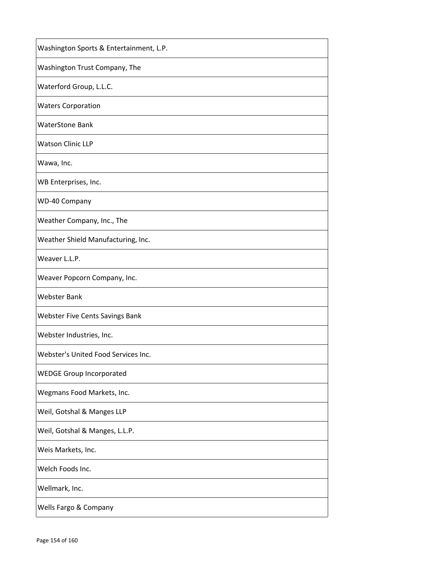| Washington Sports & Entertainment, L.P.    |
|--------------------------------------------|
| Washington Trust Company, The              |
| Waterford Group, L.L.C.                    |
| <b>Waters Corporation</b>                  |
| <b>WaterStone Bank</b>                     |
| <b>Watson Clinic LLP</b>                   |
| Wawa, Inc.                                 |
| WB Enterprises, Inc.                       |
| <b>WD-40 Company</b>                       |
| Weather Company, Inc., The                 |
| Weather Shield Manufacturing, Inc.         |
| Weaver L.L.P.                              |
| Weaver Popcorn Company, Inc.               |
| <b>Webster Bank</b>                        |
| <b>Webster Five Cents Savings Bank</b>     |
| Webster Industries, Inc.                   |
| <b>Webster's United Food Services Inc.</b> |
| <b>WEDGE Group Incorporated</b>            |
| Wegmans Food Markets, Inc.                 |
| Weil, Gotshal & Manges LLP                 |
| Weil, Gotshal & Manges, L.L.P.             |
| Weis Markets, Inc.                         |
| Welch Foods Inc.                           |
| Wellmark, Inc.                             |
| Wells Fargo & Company                      |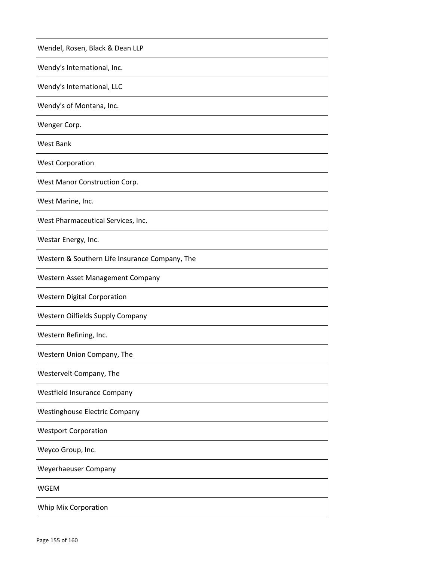| Wendel, Rosen, Black & Dean LLP                |
|------------------------------------------------|
| Wendy's International, Inc.                    |
| Wendy's International, LLC                     |
| Wendy's of Montana, Inc.                       |
| Wenger Corp.                                   |
| West Bank                                      |
| <b>West Corporation</b>                        |
| West Manor Construction Corp.                  |
| West Marine, Inc.                              |
| West Pharmaceutical Services, Inc.             |
| Westar Energy, Inc.                            |
| Western & Southern Life Insurance Company, The |
| Western Asset Management Company               |
| <b>Western Digital Corporation</b>             |
| <b>Western Oilfields Supply Company</b>        |
| Western Refining, Inc.                         |
| Western Union Company, The                     |
| Westervelt Company, The                        |
| Westfield Insurance Company                    |
| <b>Westinghouse Electric Company</b>           |
| <b>Westport Corporation</b>                    |
| Weyco Group, Inc.                              |
| Weyerhaeuser Company                           |
| <b>WGEM</b>                                    |
| Whip Mix Corporation                           |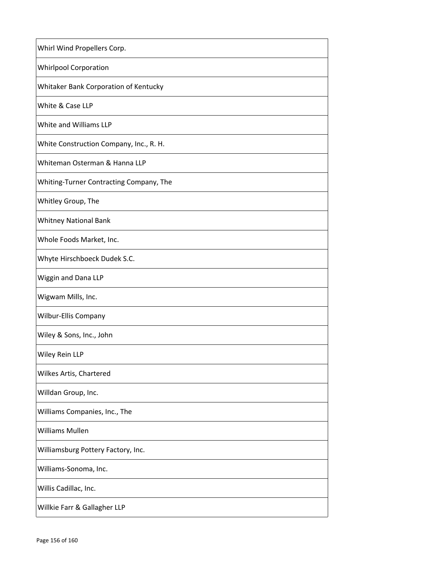| Whirl Wind Propellers Corp.             |
|-----------------------------------------|
| <b>Whirlpool Corporation</b>            |
| Whitaker Bank Corporation of Kentucky   |
| White & Case LLP                        |
| White and Williams LLP                  |
| White Construction Company, Inc., R. H. |
| Whiteman Osterman & Hanna LLP           |
| Whiting-Turner Contracting Company, The |
| Whitley Group, The                      |
| <b>Whitney National Bank</b>            |
| Whole Foods Market, Inc.                |
| Whyte Hirschboeck Dudek S.C.            |
| Wiggin and Dana LLP                     |
| Wigwam Mills, Inc.                      |
| Wilbur-Ellis Company                    |
| Wiley & Sons, Inc., John                |
| Wiley Rein LLP                          |
| Wilkes Artis, Chartered                 |
| Willdan Group, Inc.                     |
| Williams Companies, Inc., The           |
| <b>Williams Mullen</b>                  |
| Williamsburg Pottery Factory, Inc.      |
| Williams-Sonoma, Inc.                   |
| Willis Cadillac, Inc.                   |
| Willkie Farr & Gallagher LLP            |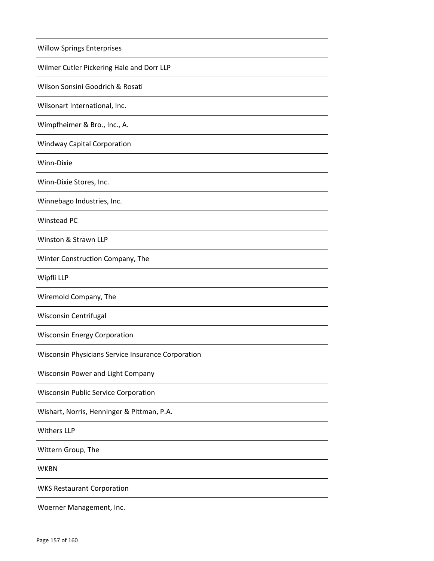| <b>Willow Springs Enterprises</b>                  |
|----------------------------------------------------|
| Wilmer Cutler Pickering Hale and Dorr LLP          |
| Wilson Sonsini Goodrich & Rosati                   |
| Wilsonart International, Inc.                      |
| Wimpfheimer & Bro., Inc., A.                       |
| <b>Windway Capital Corporation</b>                 |
| Winn-Dixie                                         |
| Winn-Dixie Stores, Inc.                            |
| Winnebago Industries, Inc.                         |
| Winstead PC                                        |
| Winston & Strawn LLP                               |
| Winter Construction Company, The                   |
| Wipfli LLP                                         |
| Wiremold Company, The                              |
| Wisconsin Centrifugal                              |
| <b>Wisconsin Energy Corporation</b>                |
| Wisconsin Physicians Service Insurance Corporation |
| Wisconsin Power and Light Company                  |
| <b>Wisconsin Public Service Corporation</b>        |
| Wishart, Norris, Henninger & Pittman, P.A.         |
| <b>Withers LLP</b>                                 |
| Wittern Group, The                                 |
| <b>WKBN</b>                                        |
| <b>WKS Restaurant Corporation</b>                  |
| Woerner Management, Inc.                           |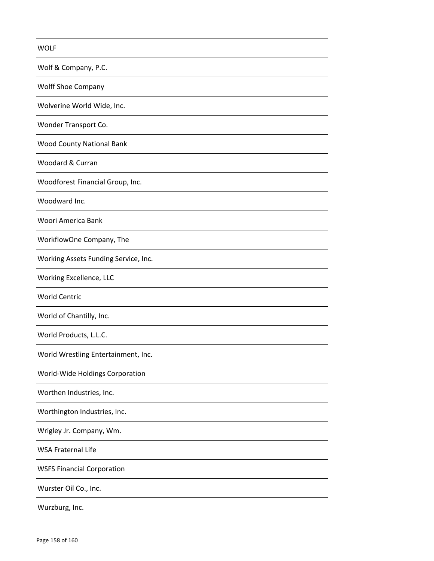| <b>WOLF</b>                          |
|--------------------------------------|
| Wolf & Company, P.C.                 |
| <b>Wolff Shoe Company</b>            |
| Wolverine World Wide, Inc.           |
| Wonder Transport Co.                 |
| <b>Wood County National Bank</b>     |
| Woodard & Curran                     |
| Woodforest Financial Group, Inc.     |
| Woodward Inc.                        |
| Woori America Bank                   |
| WorkflowOne Company, The             |
| Working Assets Funding Service, Inc. |
| Working Excellence, LLC              |
| <b>World Centric</b>                 |
| World of Chantilly, Inc.             |
| World Products, L.L.C.               |
| World Wrestling Entertainment, Inc.  |
| World-Wide Holdings Corporation      |
| Worthen Industries, Inc.             |
| Worthington Industries, Inc.         |
| Wrigley Jr. Company, Wm.             |
| <b>WSA Fraternal Life</b>            |
| <b>WSFS Financial Corporation</b>    |
| Wurster Oil Co., Inc.                |
| Wurzburg, Inc.                       |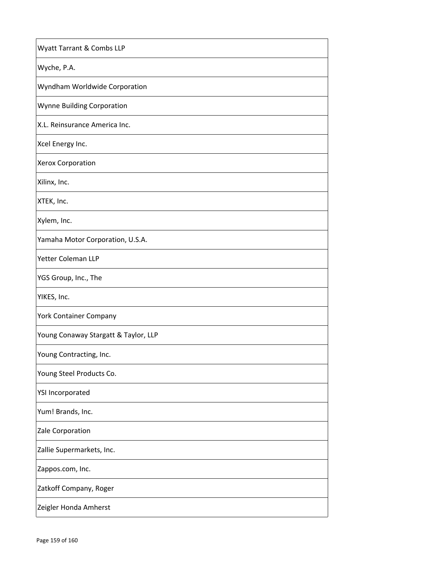| Wyatt Tarrant & Combs LLP            |
|--------------------------------------|
| Wyche, P.A.                          |
| Wyndham Worldwide Corporation        |
| Wynne Building Corporation           |
| X.L. Reinsurance America Inc.        |
| Xcel Energy Inc.                     |
| Xerox Corporation                    |
| Xilinx, Inc.                         |
| XTEK, Inc.                           |
| Xylem, Inc.                          |
| Yamaha Motor Corporation, U.S.A.     |
| Yetter Coleman LLP                   |
| YGS Group, Inc., The                 |
| YIKES, Inc.                          |
| York Container Company               |
| Young Conaway Stargatt & Taylor, LLP |
| Young Contracting, Inc.              |
| Young Steel Products Co.             |
| <b>YSI Incorporated</b>              |
| Yum! Brands, Inc.                    |
| Zale Corporation                     |
| Zallie Supermarkets, Inc.            |
| Zappos.com, Inc.                     |
| Zatkoff Company, Roger               |
| Zeigler Honda Amherst                |